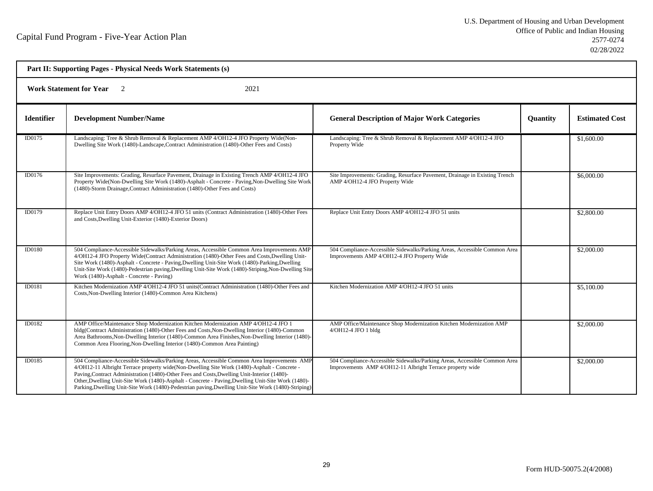| Part II: Supporting Pages - Physical Needs Work Statements (s) |                                                                                                                                                                                                                                                                                                                                                                                                                                                                                                       |                                                                                                                                        |                 |                       |  |
|----------------------------------------------------------------|-------------------------------------------------------------------------------------------------------------------------------------------------------------------------------------------------------------------------------------------------------------------------------------------------------------------------------------------------------------------------------------------------------------------------------------------------------------------------------------------------------|----------------------------------------------------------------------------------------------------------------------------------------|-----------------|-----------------------|--|
| 2021<br><b>Work Statement for Year</b>                         |                                                                                                                                                                                                                                                                                                                                                                                                                                                                                                       |                                                                                                                                        |                 |                       |  |
| <b>Identifier</b>                                              | <b>Development Number/Name</b>                                                                                                                                                                                                                                                                                                                                                                                                                                                                        | <b>General Description of Major Work Categories</b>                                                                                    | <b>Quantity</b> | <b>Estimated Cost</b> |  |
| ID0175                                                         | Landscaping: Tree & Shrub Removal & Replacement AMP 4/OH12-4 JFO Property Wide(Non-<br>Dwelling Site Work (1480)-Landscape, Contract Administration (1480)-Other Fees and Costs)                                                                                                                                                                                                                                                                                                                      | Landscaping: Tree & Shrub Removal & Replacement AMP 4/OH12-4 JFO<br>Property Wide                                                      |                 | \$1,600.00            |  |
| ID0176                                                         | Site Improvements: Grading, Resurface Pavement, Drainage in Existing Trench AMP 4/OH12-4 JFO<br>Property Wide(Non-Dwelling Site Work (1480)-Asphalt - Concrete - Paving, Non-Dwelling Site Work<br>(1480)-Storm Drainage, Contract Administration (1480)-Other Fees and Costs)                                                                                                                                                                                                                        | Site Improvements: Grading, Resurface Pavement, Drainage in Existing Trench<br>AMP 4/OH12-4 JFO Property Wide                          |                 | \$6,000.00            |  |
| ID0179                                                         | Replace Unit Entry Doors AMP 4/OH12-4 JFO 51 units (Contract Administration (1480)-Other Fees<br>and Costs, Dwelling Unit-Exterior (1480)-Exterior Doors)                                                                                                                                                                                                                                                                                                                                             | Replace Unit Entry Doors AMP 4/OH12-4 JFO 51 units                                                                                     |                 | \$2,800.00            |  |
| <b>ID0180</b>                                                  | 504 Compliance-Accessible Sidewalks/Parking Areas, Accessible Common Area Improvements AMP<br>4/OH12-4 JFO Property Wide(Contract Administration (1480)-Other Fees and Costs, Dwelling Unit-<br>Site Work (1480)-Asphalt - Concrete - Paving, Dwelling Unit-Site Work (1480)-Parking, Dwelling<br>Unit-Site Work (1480)-Pedestrian paving, Dwelling Unit-Site Work (1480)-Striping, Non-Dwelling Site<br>Work (1480)-Asphalt - Concrete - Paving)                                                     | 504 Compliance-Accessible Sidewalks/Parking Areas, Accessible Common Area<br>Improvements AMP 4/OH12-4 JFO Property Wide               |                 | \$2,000.00            |  |
| ID0181                                                         | Kitchen Modernization AMP 4/OH12-4 JFO 51 units(Contract Administration (1480)-Other Fees and<br>Costs, Non-Dwelling Interior (1480)-Common Area Kitchens)                                                                                                                                                                                                                                                                                                                                            | Kitchen Modernization AMP 4/OH12-4 JFO 51 units                                                                                        |                 | \$5,100.00            |  |
| ID0182                                                         | AMP Office/Maintenance Shop Modernization Kitchen Modernization AMP 4/OH12-4 JFO 1<br>bldg(Contract Administration (1480)-Other Fees and Costs, Non-Dwelling Interior (1480)-Common<br>Area Bathrooms, Non-Dwelling Interior (1480)-Common Area Finishes, Non-Dwelling Interior (1480)-<br>Common Area Flooring, Non-Dwelling Interior (1480)-Common Area Painting)                                                                                                                                   | AMP Office/Maintenance Shop Modernization Kitchen Modernization AMP<br>4/OH12-4 JFO 1 bldg                                             |                 | \$2,000.00            |  |
| ID0185                                                         | 504 Compliance-Accessible Sidewalks/Parking Areas, Accessible Common Area Improvements AMP<br>4/OH12-11 Albright Terrace property wide(Non-Dwelling Site Work (1480)-Asphalt - Concrete -<br>Paving, Contract Administration (1480)-Other Fees and Costs, Dwelling Unit-Interior (1480)-<br>Other, Dwelling Unit-Site Work (1480)-Asphalt - Concrete - Paving, Dwelling Unit-Site Work (1480)-<br>Parking, Dwelling Unit-Site Work (1480)-Pedestrian paving, Dwelling Unit-Site Work (1480)-Striping) | 504 Compliance-Accessible Sidewalks/Parking Areas, Accessible Common Area<br>Improvements AMP 4/OH12-11 Albright Terrace property wide |                 | \$2,000.00            |  |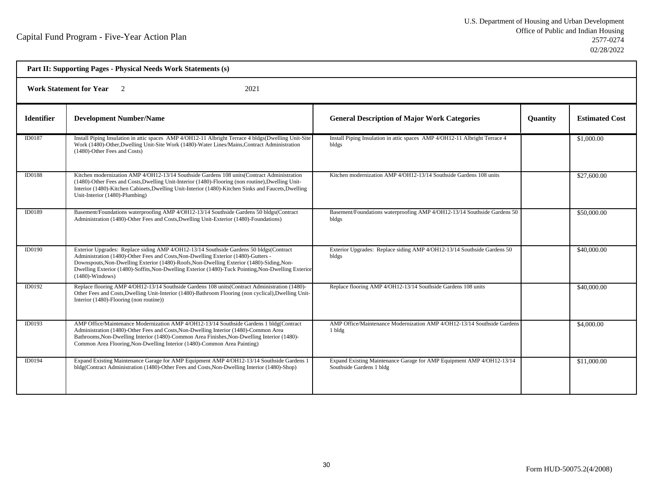| Part II: Supporting Pages - Physical Needs Work Statements (s)<br><b>Work Statement for Year</b><br>2021<br>$\overline{2}$ |                                                                                                                                                                                                                                                                                                                                                                                                        |                                                                                                   |  |             |  |  |
|----------------------------------------------------------------------------------------------------------------------------|--------------------------------------------------------------------------------------------------------------------------------------------------------------------------------------------------------------------------------------------------------------------------------------------------------------------------------------------------------------------------------------------------------|---------------------------------------------------------------------------------------------------|--|-------------|--|--|
|                                                                                                                            |                                                                                                                                                                                                                                                                                                                                                                                                        |                                                                                                   |  |             |  |  |
| ID0187                                                                                                                     | Install Piping Insulation in attic spaces AMP 4/OH12-11 Albright Terrace 4 bldgs(Dwelling Unit-Site<br>Work (1480)-Other, Dwelling Unit-Site Work (1480)-Water Lines/Mains, Contract Administration<br>(1480)-Other Fees and Costs)                                                                                                                                                                    | Install Piping Insulation in attic spaces AMP 4/OH12-11 Albright Terrace 4<br>bldgs               |  | \$1,000.00  |  |  |
| <b>ID0188</b>                                                                                                              | Kitchen modernization AMP 4/OH12-13/14 Southside Gardens 108 units (Contract Administration<br>(1480)-Other Fees and Costs, Dwelling Unit-Interior (1480)-Flooring (non routine), Dwelling Unit-<br>Interior (1480)-Kitchen Cabinets, Dwelling Unit-Interior (1480)-Kitchen Sinks and Faucets, Dwelling<br>Unit-Interior (1480)-Plumbing)                                                              | Kitchen modernization AMP 4/OH12-13/14 Southside Gardens 108 units                                |  | \$27,600.00 |  |  |
| ID0189                                                                                                                     | Basement/Foundations waterproofing AMP 4/OH12-13/14 Southside Gardens 50 bldgs(Contract<br>Administration (1480)-Other Fees and Costs, Dwelling Unit-Exterior (1480)-Foundations)                                                                                                                                                                                                                      | Basement/Foundations waterproofing AMP 4/OH12-13/14 Southside Gardens 50<br>bldgs                 |  | \$50,000.00 |  |  |
| ID0190                                                                                                                     | Exterior Upgrades: Replace siding AMP 4/OH12-13/14 Southside Gardens 50 bldgs(Contract<br>Administration (1480)-Other Fees and Costs, Non-Dwelling Exterior (1480)-Gutters -<br>Downspouts, Non-Dwelling Exterior (1480)-Roofs, Non-Dwelling Exterior (1480)-Siding, Non-<br>Dwelling Exterior (1480)-Soffits, Non-Dwelling Exterior (1480)-Tuck Pointing, Non-Dwelling Exterior<br>$(1480)$ -Windows) | Exterior Upgrades: Replace siding AMP 4/OH12-13/14 Southside Gardens 50<br>bldgs                  |  | \$40,000.00 |  |  |
| ID0192                                                                                                                     | Replace flooring AMP 4/OH12-13/14 Southside Gardens 108 units(Contract Administration (1480)-<br>Other Fees and Costs, Dwelling Unit-Interior (1480)-Bathroom Flooring (non cyclical), Dwelling Unit-<br>Interior (1480)-Flooring (non routine))                                                                                                                                                       | Replace flooring AMP 4/OH12-13/14 Southside Gardens 108 units                                     |  | \$40,000.00 |  |  |
| ID0193                                                                                                                     | AMP Office/Maintenance Modernization AMP 4/OH12-13/14 Southside Gardens 1 bldg(Contract<br>Administration (1480)-Other Fees and Costs, Non-Dwelling Interior (1480)-Common Area<br>Bathrooms, Non-Dwelling Interior (1480)-Common Area Finishes, Non-Dwelling Interior (1480)-<br>Common Area Flooring, Non-Dwelling Interior (1480)-Common Area Painting)                                             | AMP Office/Maintenance Modernization AMP 4/OH12-13/14 Southside Gardens<br>1 bldg                 |  | \$4,000.00  |  |  |
| ID0194                                                                                                                     | Expand Existing Maintenance Garage for AMP Equipment AMP 4/OH12-13/14 Southside Gardens 1<br>bldg(Contract Administration (1480)-Other Fees and Costs, Non-Dwelling Interior (1480)-Shop)                                                                                                                                                                                                              | Expand Existing Maintenance Garage for AMP Equipment AMP 4/OH12-13/14<br>Southside Gardens 1 bldg |  | \$11,000.00 |  |  |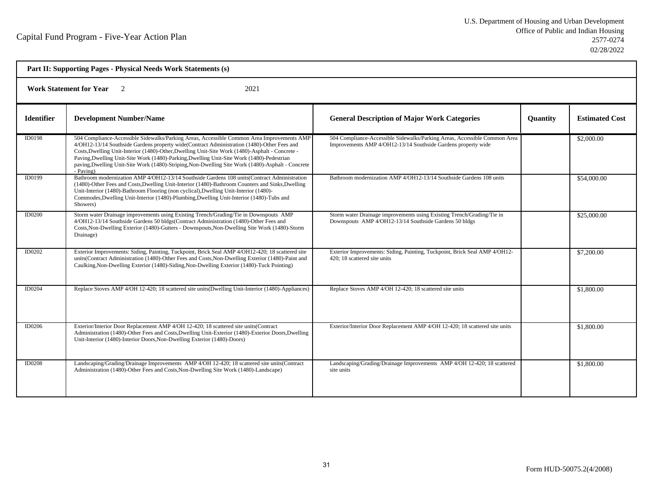| Part II: Supporting Pages - Physical Needs Work Statements (s) |                                                                                                                                                                                                                                                                                                                                                                                                                                                                                                            |                                                                                                                                            |          |                       |  |
|----------------------------------------------------------------|------------------------------------------------------------------------------------------------------------------------------------------------------------------------------------------------------------------------------------------------------------------------------------------------------------------------------------------------------------------------------------------------------------------------------------------------------------------------------------------------------------|--------------------------------------------------------------------------------------------------------------------------------------------|----------|-----------------------|--|
| Work Statement for Year 2<br>2021                              |                                                                                                                                                                                                                                                                                                                                                                                                                                                                                                            |                                                                                                                                            |          |                       |  |
| <b>Identifier</b>                                              | <b>Development Number/Name</b>                                                                                                                                                                                                                                                                                                                                                                                                                                                                             | <b>General Description of Major Work Categories</b>                                                                                        | Quantity | <b>Estimated Cost</b> |  |
| ID0198                                                         | 504 Compliance-Accessible Sidewalks/Parking Areas, Accessible Common Area Improvements AMP<br>4/OH12-13/14 Southside Gardens property wide(Contract Administration (1480)-Other Fees and<br>Costs, Dwelling Unit-Interior (1480)-Other, Dwelling Unit-Site Work (1480)-Asphalt - Concrete -<br>Paving, Dwelling Unit-Site Work (1480)-Parking, Dwelling Unit-Site Work (1480)-Pedestrian<br>paving, Dwelling Unit-Site Work (1480)-Striping, Non-Dwelling Site Work (1480)-Asphalt - Concrete<br>- Paving) | 504 Compliance-Accessible Sidewalks/Parking Areas, Accessible Common Area<br>Improvements AMP 4/OH12-13/14 Southside Gardens property wide |          | \$2,000.00            |  |
| ID0199                                                         | Bathroom modernization AMP 4/OH12-13/14 Southside Gardens 108 units(Contract Administration<br>(1480)-Other Fees and Costs, Dwelling Unit-Interior (1480)-Bathroom Counters and Sinks, Dwelling<br>Unit-Interior (1480)-Bathroom Flooring (non cyclical), Dwelling Unit-Interior (1480)-<br>Commodes, Dwelling Unit-Interior (1480)-Plumbing, Dwelling Unit-Interior (1480)-Tubs and<br>Showers)                                                                                                           | Bathroom modernization AMP 4/OH12-13/14 Southside Gardens 108 units                                                                        |          | \$54,000.00           |  |
| <b>ID0200</b>                                                  | Storm water Drainage improvements using Existing Trench/Grading/Tie in Downspouts AMP<br>4/OH12-13/14 Southside Gardens 50 bldgs(Contract Administration (1480)-Other Fees and<br>Costs, Non-Dwelling Exterior (1480)-Gutters - Downspouts, Non-Dwelling Site Work (1480)-Storm<br>Drainage)                                                                                                                                                                                                               | Storm water Drainage improvements using Existing Trench/Grading/Tie in<br>Downspouts AMP 4/OH12-13/14 Southside Gardens 50 bldgs           |          | \$25,000.00           |  |
| ID0202                                                         | Exterior Improvements: Siding, Painting, Tuckpoint, Brick Seal AMP 4/OH12-420; 18 scattered site<br>units(Contract Administration (1480)-Other Fees and Costs, Non-Dwelling Exterior (1480)-Paint and<br>Caulking, Non-Dwelling Exterior (1480)-Siding, Non-Dwelling Exterior (1480)-Tuck Pointing)                                                                                                                                                                                                        | Exterior Improvements: Siding, Painting, Tuckpoint, Brick Seal AMP 4/OH12-<br>420; 18 scattered site units                                 |          | \$7,200.00            |  |
| <b>ID0204</b>                                                  | Replace Stoves AMP 4/OH 12-420; 18 scattered site units(Dwelling Unit-Interior (1480)-Appliances)                                                                                                                                                                                                                                                                                                                                                                                                          | Replace Stoves AMP 4/OH 12-420; 18 scattered site units                                                                                    |          | \$1,800.00            |  |
| ID0206                                                         | Exterior/Interior Door Replacement AMP 4/OH 12-420; 18 scattered site units(Contract<br>Administration (1480)-Other Fees and Costs, Dwelling Unit-Exterior (1480)-Exterior Doors, Dwelling<br>Unit-Interior (1480)-Interior Doors, Non-Dwelling Exterior (1480)-Doors)                                                                                                                                                                                                                                     | Exterior/Interior Door Replacement AMP 4/OH 12-420; 18 scattered site units                                                                |          | \$1,800.00            |  |
| <b>ID0208</b>                                                  | Landscaping/Grading/Drainage Improvements AMP 4/OH 12-420; 18 scattered site units(Contract<br>Administration (1480)-Other Fees and Costs, Non-Dwelling Site Work (1480)-Landscape)                                                                                                                                                                                                                                                                                                                        | Landscaping/Grading/Drainage Improvements AMP 4/OH 12-420; 18 scattered<br>site units                                                      |          | \$1,800.00            |  |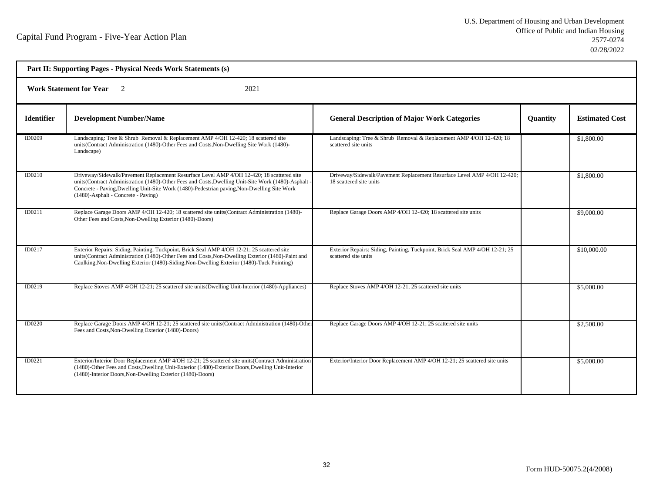| Part II: Supporting Pages - Physical Needs Work Statements (s) |                                                                                                                                                                                                                                                                                                                                        |                                                                                                      |                 |                       |  |
|----------------------------------------------------------------|----------------------------------------------------------------------------------------------------------------------------------------------------------------------------------------------------------------------------------------------------------------------------------------------------------------------------------------|------------------------------------------------------------------------------------------------------|-----------------|-----------------------|--|
| <b>Work Statement for Year</b> 2<br>2021                       |                                                                                                                                                                                                                                                                                                                                        |                                                                                                      |                 |                       |  |
| <b>Identifier</b>                                              | <b>Development Number/Name</b>                                                                                                                                                                                                                                                                                                         | <b>General Description of Major Work Categories</b>                                                  | <b>Quantity</b> | <b>Estimated Cost</b> |  |
| ID0209                                                         | Landscaping: Tree & Shrub Removal & Replacement AMP 4/OH 12-420; 18 scattered site<br>units(Contract Administration (1480)-Other Fees and Costs, Non-Dwelling Site Work (1480)-<br>Landscape)                                                                                                                                          | Landscaping: Tree & Shrub Removal & Replacement AMP 4/OH 12-420; 18<br>scattered site units          |                 | \$1,800.00            |  |
| ID0210                                                         | Driveway/Sidewalk/Pavement Replacement Resurface Level AMP 4/OH 12-420; 18 scattered site<br>units(Contract Administration (1480)-Other Fees and Costs, Dwelling Unit-Site Work (1480)-Asphalt -<br>Concrete - Paving, Dwelling Unit-Site Work (1480)-Pedestrian paving, Non-Dwelling Site Work<br>(1480)-Asphalt - Concrete - Paving) | Driveway/Sidewalk/Pavement Replacement Resurface Level AMP 4/OH 12-420;<br>18 scattered site units   |                 | \$1,800.00            |  |
| ID0211                                                         | Replace Garage Doors AMP 4/OH 12-420; 18 scattered site units(Contract Administration (1480)-<br>Other Fees and Costs, Non-Dwelling Exterior (1480)-Doors)                                                                                                                                                                             | Replace Garage Doors AMP 4/OH 12-420; 18 scattered site units                                        |                 | \$9,000.00            |  |
| ID0217                                                         | Exterior Repairs: Siding, Painting, Tuckpoint, Brick Seal AMP 4/OH 12-21; 25 scattered site<br>units(Contract Administration (1480)-Other Fees and Costs, Non-Dwelling Exterior (1480)-Paint and<br>Caulking, Non-Dwelling Exterior (1480)-Siding, Non-Dwelling Exterior (1480)-Tuck Pointing)                                         | Exterior Repairs: Siding, Painting, Tuckpoint, Brick Seal AMP 4/OH 12-21; 25<br>scattered site units |                 | \$10,000.00           |  |
| ID0219                                                         | Replace Stoves AMP 4/OH 12-21; 25 scattered site units (Dwelling Unit-Interior (1480)-Appliances)                                                                                                                                                                                                                                      | Replace Stoves AMP 4/OH 12-21; 25 scattered site units                                               |                 | \$5,000.00            |  |
| ID0220                                                         | Replace Garage Doors AMP 4/OH 12-21; 25 scattered site units (Contract Administration (1480)-Other<br>Fees and Costs, Non-Dwelling Exterior (1480)-Doors)                                                                                                                                                                              | Replace Garage Doors AMP 4/OH 12-21; 25 scattered site units                                         |                 | \$2,500.00            |  |
| ID0221                                                         | Exterior/Interior Door Replacement AMP 4/OH 12-21; 25 scattered site units (Contract Administration<br>(1480)-Other Fees and Costs, Dwelling Unit-Exterior (1480)-Exterior Doors, Dwelling Unit-Interior<br>(1480)-Interior Doors, Non-Dwelling Exterior (1480)-Doors)                                                                 | Exterior/Interior Door Replacement AMP 4/OH 12-21; 25 scattered site units                           |                 | \$5,000.00            |  |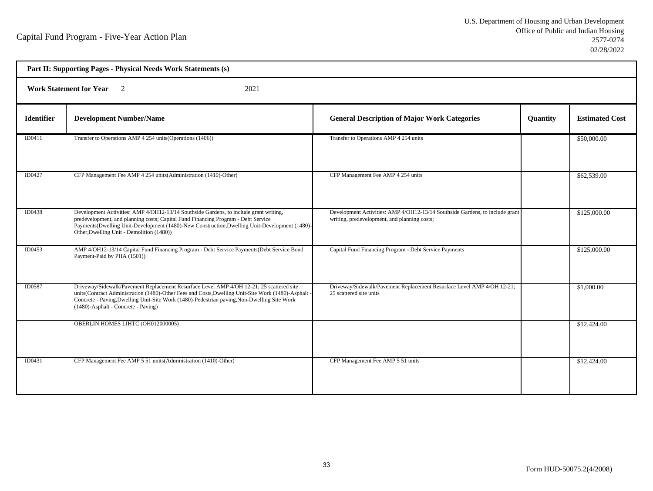| Part II: Supporting Pages - Physical Needs Work Statements (s) |                                                                                                                                                                                                                                                                                                                                       |                                                                                                                              |          |                       |  |  |
|----------------------------------------------------------------|---------------------------------------------------------------------------------------------------------------------------------------------------------------------------------------------------------------------------------------------------------------------------------------------------------------------------------------|------------------------------------------------------------------------------------------------------------------------------|----------|-----------------------|--|--|
| <b>Work Statement for Year</b><br>$\overline{2}$<br>2021       |                                                                                                                                                                                                                                                                                                                                       |                                                                                                                              |          |                       |  |  |
| <b>Identifier</b>                                              | <b>Development Number/Name</b>                                                                                                                                                                                                                                                                                                        | <b>General Description of Major Work Categories</b>                                                                          | Quantity | <b>Estimated Cost</b> |  |  |
| ID0411                                                         | Transfer to Operations AMP 4 254 units (Operations (1406))                                                                                                                                                                                                                                                                            | Transfer to Operations AMP 4 254 units                                                                                       |          | \$50,000.00           |  |  |
| ID0427                                                         | CFP Management Fee AMP 4 254 units (Administration (1410)-Other)                                                                                                                                                                                                                                                                      | CFP Management Fee AMP 4 254 units                                                                                           |          | \$62,539.00           |  |  |
| ID0438                                                         | Development Activities: AMP 4/OH12-13/14 Southside Gardens, to include grant writing,<br>predevelopment, and planning costs; Capital Fund Financing Program - Debt Service<br>Payments(Dwelling Unit-Development (1480)-New Construction, Dwelling Unit-Development (1480)-<br>Other, Dwelling Unit - Demolition (1480))              | Development Activities: AMP 4/OH12-13/14 Southside Gardens, to include grant<br>writing, predevelopment, and planning costs; |          | \$125,000.00          |  |  |
| ID0453                                                         | AMP 4/OH12-13/14 Capital Fund Financing Program - Debt Service Payments(Debt Service Bond<br>Payment-Paid by PHA (1501))                                                                                                                                                                                                              | Capital Fund Financing Program - Debt Service Payments                                                                       |          | \$125,000.00          |  |  |
| ID0587                                                         | Driveway/Sidewalk/Pavement Replacement Resurface Level AMP 4/OH 12-21; 25 scattered site<br>units(Contract Administration (1480)-Other Fees and Costs, Dwelling Unit-Site Work (1480)-Asphalt -<br>Concrete - Paving, Dwelling Unit-Site Work (1480)-Pedestrian paving, Non-Dwelling Site Work<br>(1480)-Asphalt - Concrete - Paving) | Driveway/Sidewalk/Pavement Replacement Resurface Level AMP 4/OH 12-21;<br>25 scattered site units                            |          | \$1,000.00            |  |  |
|                                                                | OBERLIN HOMES LIHTC (OH012000005)                                                                                                                                                                                                                                                                                                     |                                                                                                                              |          | \$12,424.00           |  |  |
| ID0431                                                         | CFP Management Fee AMP 5 51 units (Administration (1410)-Other)                                                                                                                                                                                                                                                                       | CFP Management Fee AMP 5 51 units                                                                                            |          | \$12,424.00           |  |  |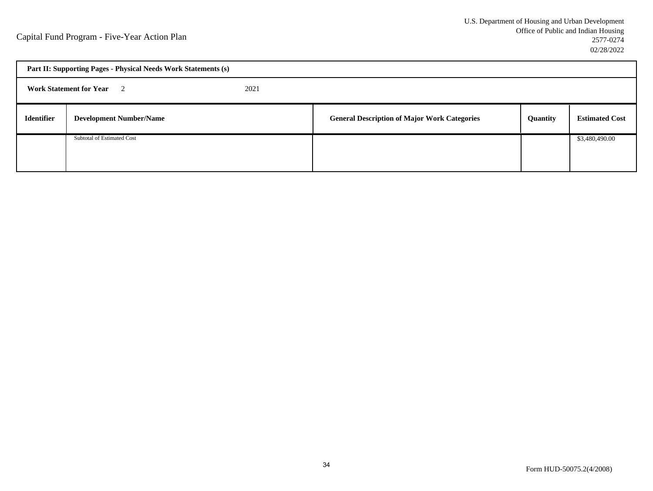| Part II: Supporting Pages - Physical Needs Work Statements (s) |                                          |  |                                                     |          |                       |  |
|----------------------------------------------------------------|------------------------------------------|--|-----------------------------------------------------|----------|-----------------------|--|
|                                                                | <b>Work Statement for Year</b> 2<br>2021 |  |                                                     |          |                       |  |
| <b>Identifier</b>                                              | <b>Development Number/Name</b>           |  | <b>General Description of Major Work Categories</b> | Quantity | <b>Estimated Cost</b> |  |
|                                                                | Subtotal of Estimated Cost               |  |                                                     |          | \$3,480,490.00        |  |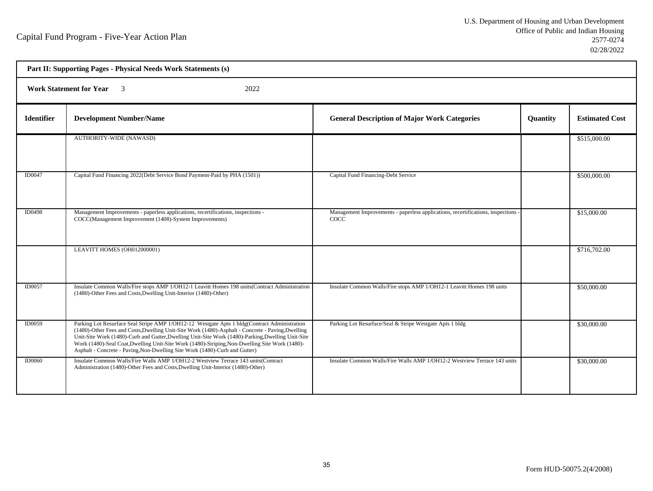- r

Ť.

| Part II: Supporting Pages - Physical Needs Work Statements (s) |                                                                                                                                                                                                                                                                                                                                                                                                                                                                                         |                                                                                         |                 |                       |  |
|----------------------------------------------------------------|-----------------------------------------------------------------------------------------------------------------------------------------------------------------------------------------------------------------------------------------------------------------------------------------------------------------------------------------------------------------------------------------------------------------------------------------------------------------------------------------|-----------------------------------------------------------------------------------------|-----------------|-----------------------|--|
| <b>Work Statement for Year</b> 3<br>2022                       |                                                                                                                                                                                                                                                                                                                                                                                                                                                                                         |                                                                                         |                 |                       |  |
| <b>Identifier</b>                                              | <b>Development Number/Name</b>                                                                                                                                                                                                                                                                                                                                                                                                                                                          | <b>General Description of Major Work Categories</b>                                     | <b>Quantity</b> | <b>Estimated Cost</b> |  |
|                                                                | <b>AUTHORITY-WIDE (NAWASD)</b>                                                                                                                                                                                                                                                                                                                                                                                                                                                          |                                                                                         |                 | \$515,000.00          |  |
| ID0047                                                         | Capital Fund Financing 2022(Debt Service Bond Payment-Paid by PHA (1501))                                                                                                                                                                                                                                                                                                                                                                                                               | Capital Fund Financing-Debt Service                                                     |                 | \$500,000.00          |  |
| <b>ID0498</b>                                                  | Management Improvements - paperless applications, recertifications, inspections -<br>COCC(Management Improvement (1408)-System Improvements)                                                                                                                                                                                                                                                                                                                                            | Management Improvements - paperless applications, recertifications, inspections<br>COCC |                 | \$15,000.00           |  |
|                                                                | LEAVITT HOMES (OH012000001)                                                                                                                                                                                                                                                                                                                                                                                                                                                             |                                                                                         |                 | \$716,702.00          |  |
| <b>ID0057</b>                                                  | Insulate Common Walls/Fire stops AMP 1/OH12-1 Leavitt Homes 198 units(Contract Administration<br>(1480)-Other Fees and Costs, Dwelling Unit-Interior (1480)-Other)                                                                                                                                                                                                                                                                                                                      | Insulate Common Walls/Fire stops AMP 1/OH12-1 Leavitt Homes 198 units                   |                 | \$50,000.00           |  |
| ID0059                                                         | Parking Lot Resurface Seal Stripe AMP 1/OH12-12 Westgate Apts 1 bldg(Contract Administration<br>(1480)-Other Fees and Costs, Dwelling Unit-Site Work (1480)-Asphalt - Concrete - Paving, Dwelling<br>Unit-Site Work (1480)-Curb and Gutter, Dwelling Unit-Site Work (1480)-Parking, Dwelling Unit-Site<br>Work (1480)-Seal Coat, Dwelling Unit-Site Work (1480)-Striping, Non-Dwelling Site Work (1480)-<br>Asphalt - Concrete - Paving, Non-Dwelling Site Work (1480)-Curb and Gutter) | Parking Lot Resurface/Seal & Stripe Westgate Apts 1 bldg                                |                 | \$30,000.00           |  |
| <b>ID0060</b>                                                  | Insulate Common Walls/Fire Walls AMP 1/OH12-2 Westview Terrace 143 units (Contract<br>Administration (1480)-Other Fees and Costs, Dwelling Unit-Interior (1480)-Other)                                                                                                                                                                                                                                                                                                                  | Insulate Common Walls/Fire Walls AMP 1/OH12-2 Westview Terrace 143 units                |                 | \$30,000.00           |  |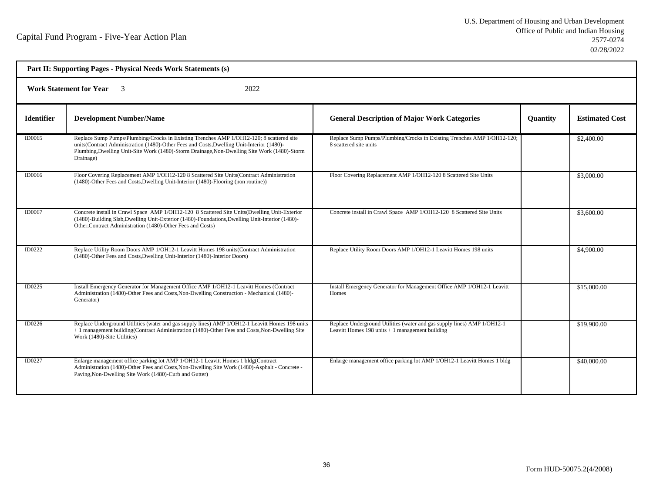| Part II: Supporting Pages - Physical Needs Work Statements (s) |                                                                                                                                                                                                                                                                                                    |                                                                                                                               |                 |                       |  |
|----------------------------------------------------------------|----------------------------------------------------------------------------------------------------------------------------------------------------------------------------------------------------------------------------------------------------------------------------------------------------|-------------------------------------------------------------------------------------------------------------------------------|-----------------|-----------------------|--|
| <b>Work Statement for Year</b> 3<br>2022                       |                                                                                                                                                                                                                                                                                                    |                                                                                                                               |                 |                       |  |
| <b>Identifier</b>                                              | <b>Development Number/Name</b>                                                                                                                                                                                                                                                                     | <b>General Description of Major Work Categories</b>                                                                           | <b>Quantity</b> | <b>Estimated Cost</b> |  |
| ID0065                                                         | Replace Sump Pumps/Plumbing/Crocks in Existing Trenches AMP 1/OH12-120; 8 scattered site<br>units(Contract Administration (1480)-Other Fees and Costs, Dwelling Unit-Interior (1480)-<br>Plumbing, Dwelling Unit-Site Work (1480)-Storm Drainage, Non-Dwelling Site Work (1480)-Storm<br>Drainage) | Replace Sump Pumps/Plumbing/Crocks in Existing Trenches AMP 1/OH12-120;<br>8 scattered site units                             |                 | \$2,400.00            |  |
| <b>ID0066</b>                                                  | Floor Covering Replacement AMP 1/OH12-120 8 Scattered Site Units (Contract Administration<br>(1480)-Other Fees and Costs, Dwelling Unit-Interior (1480)-Flooring (non routine))                                                                                                                    | Floor Covering Replacement AMP 1/OH12-120 8 Scattered Site Units                                                              |                 | \$3,000.00            |  |
| ID0067                                                         | Concrete install in Crawl Space AMP 1/OH12-120 8 Scattered Site Units(Dwelling Unit-Exterior<br>(1480)-Building Slab, Dwelling Unit-Exterior (1480)-Foundations, Dwelling Unit-Interior (1480)-<br>Other, Contract Administration (1480)-Other Fees and Costs)                                     | Concrete install in Crawl Space AMP 1/OH12-120 8 Scattered Site Units                                                         |                 | \$3,600.00            |  |
| <b>ID0222</b>                                                  | Replace Utility Room Doors AMP 1/OH12-1 Leavitt Homes 198 units (Contract Administration<br>(1480)-Other Fees and Costs, Dwelling Unit-Interior (1480)-Interior Doors)                                                                                                                             | Replace Utility Room Doors AMP 1/OH12-1 Leavitt Homes 198 units                                                               |                 | \$4,900.00            |  |
| ID0225                                                         | Install Emergency Generator for Management Office AMP 1/OH12-1 Leavitt Homes (Contract<br>Administration (1480)-Other Fees and Costs, Non-Dwelling Construction - Mechanical (1480)-<br>Generator)                                                                                                 | Install Emergency Generator for Management Office AMP 1/OH12-1 Leavitt<br>Homes                                               |                 | \$15,000.00           |  |
| ID0226                                                         | Replace Underground Utilities (water and gas supply lines) AMP 1/OH12-1 Leavitt Homes 198 units<br>+ 1 management building(Contract Administration (1480)-Other Fees and Costs, Non-Dwelling Site<br>Work (1480)-Site Utilities)                                                                   | Replace Underground Utilities (water and gas supply lines) AMP 1/OH12-1<br>Leavitt Homes $198$ units $+1$ management building |                 | \$19,900.00           |  |
| <b>ID0227</b>                                                  | Enlarge management office parking lot AMP 1/OH12-1 Leavitt Homes 1 bldg(Contract<br>Administration (1480)-Other Fees and Costs, Non-Dwelling Site Work (1480)-Asphalt - Concrete -<br>Paving, Non-Dwelling Site Work (1480)-Curb and Gutter)                                                       | Enlarge management office parking lot AMP 1/OH12-1 Leavitt Homes 1 bldg                                                       |                 | \$40,000.00           |  |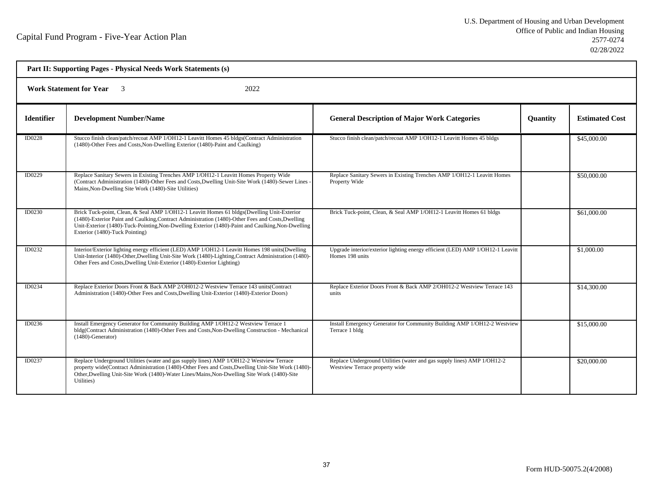| Part II: Supporting Pages - Physical Needs Work Statements (s) |                                                                                                                                                                                                                                                                                                                                        |                                                                                                           |                 |                       |  |  |
|----------------------------------------------------------------|----------------------------------------------------------------------------------------------------------------------------------------------------------------------------------------------------------------------------------------------------------------------------------------------------------------------------------------|-----------------------------------------------------------------------------------------------------------|-----------------|-----------------------|--|--|
|                                                                | <b>Work Statement for Year</b><br>2022                                                                                                                                                                                                                                                                                                 |                                                                                                           |                 |                       |  |  |
| <b>Identifier</b>                                              | <b>Development Number/Name</b>                                                                                                                                                                                                                                                                                                         | <b>General Description of Major Work Categories</b>                                                       | <b>Quantity</b> | <b>Estimated Cost</b> |  |  |
| <b>ID0228</b>                                                  | Stucco finish clean/patch/recoat AMP 1/OH12-1 Leavitt Homes 45 bldgs(Contract Administration<br>(1480)-Other Fees and Costs, Non-Dwelling Exterior (1480)-Paint and Caulking)                                                                                                                                                          | Stucco finish clean/patch/recoat AMP 1/OH12-1 Leavitt Homes 45 bldgs                                      |                 | \$45,000.00           |  |  |
| ID0229                                                         | Replace Sanitary Sewers in Existing Trenches AMP 1/OH12-1 Leavitt Homes Property Wide<br>(Contract Administration (1480)-Other Fees and Costs, Dwelling Unit-Site Work (1480)-Sewer Lines<br>Mains, Non-Dwelling Site Work (1480)-Site Utilities)                                                                                      | Replace Sanitary Sewers in Existing Trenches AMP 1/OH12-1 Leavitt Homes<br>Property Wide                  |                 | \$50,000.00           |  |  |
| ID0230                                                         | Brick Tuck-point, Clean, & Seal AMP 1/OH12-1 Leavitt Homes 61 bldgs(Dwelling Unit-Exterior<br>(1480)-Exterior Paint and Caulking, Contract Administration (1480)-Other Fees and Costs, Dwelling<br>Unit-Exterior (1480)-Tuck-Pointing, Non-Dwelling Exterior (1480)-Paint and Caulking, Non-Dwelling<br>Exterior (1480)-Tuck Pointing) | Brick Tuck-point, Clean, & Seal AMP 1/OH12-1 Leavitt Homes 61 bldgs                                       |                 | \$61,000.00           |  |  |
| ID0232                                                         | Interior/Exterior lighting energy efficient (LED) AMP 1/OH12-1 Leavitt Homes 198 units (Dwelling<br>Unit-Interior (1480)-Other, Dwelling Unit-Site Work (1480)-Lighting, Contract Administration (1480)-<br>Other Fees and Costs, Dwelling Unit-Exterior (1480)-Exterior Lighting)                                                     | Upgrade interior/exterior lighting energy efficient (LED) AMP 1/OH12-1 Leavitt<br>Homes 198 units         |                 | \$1,000.00            |  |  |
| ID0234                                                         | Replace Exterior Doors Front & Back AMP 2/OH012-2 Westview Terrace 143 units (Contract<br>Administration (1480)-Other Fees and Costs, Dwelling Unit-Exterior (1480)-Exterior Doors)                                                                                                                                                    | Replace Exterior Doors Front & Back AMP 2/OH012-2 Westview Terrace 143<br>units                           |                 | \$14,300.00           |  |  |
| ID0236                                                         | Install Emergency Generator for Community Building AMP 1/OH12-2 Westview Terrace 1<br>bldg(Contract Administration (1480)-Other Fees and Costs, Non-Dwelling Construction - Mechanical<br>$(1480)$ -Generator)                                                                                                                         | Install Emergency Generator for Community Building AMP 1/OH12-2 Westview<br>Terrace 1 bldg                |                 | \$15,000.00           |  |  |
| <b>ID0237</b>                                                  | Replace Underground Utilities (water and gas supply lines) AMP 1/OH12-2 Westview Terrace<br>property wide(Contract Administration (1480)-Other Fees and Costs, Dwelling Unit-Site Work (1480)-<br>Other, Dwelling Unit-Site Work (1480)-Water Lines/Mains, Non-Dwelling Site Work (1480)-Site<br>Utilities)                            | Replace Underground Utilities (water and gas supply lines) AMP 1/OH12-2<br>Westview Terrace property wide |                 | \$20,000.00           |  |  |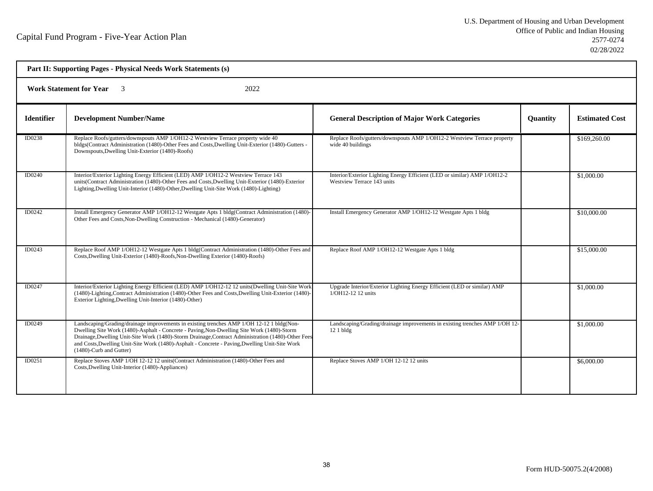| Part II: Supporting Pages - Physical Needs Work Statements (s) |                                                                                                                                                                                                                                                                                                                                                                                                                            |                                                                                                         |                 |                       |  |  |
|----------------------------------------------------------------|----------------------------------------------------------------------------------------------------------------------------------------------------------------------------------------------------------------------------------------------------------------------------------------------------------------------------------------------------------------------------------------------------------------------------|---------------------------------------------------------------------------------------------------------|-----------------|-----------------------|--|--|
|                                                                | 2022<br><b>Work Statement for Year</b> 3                                                                                                                                                                                                                                                                                                                                                                                   |                                                                                                         |                 |                       |  |  |
| <b>Identifier</b>                                              | <b>Development Number/Name</b>                                                                                                                                                                                                                                                                                                                                                                                             | <b>General Description of Major Work Categories</b>                                                     | <b>Quantity</b> | <b>Estimated Cost</b> |  |  |
| ID0238                                                         | Replace Roofs/gutters/downspouts AMP 1/OH12-2 Westview Terrace property wide 40<br>bldgs(Contract Administration (1480)-Other Fees and Costs, Dwelling Unit-Exterior (1480)-Gutters -<br>Downspouts, Dwelling Unit-Exterior (1480)-Roofs)                                                                                                                                                                                  | Replace Roofs/gutters/downspouts AMP 1/OH12-2 Westview Terrace property<br>wide 40 buildings            |                 | \$169,260.00          |  |  |
| ID0240                                                         | Interior/Exterior Lighting Energy Efficient (LED) AMP 1/OH12-2 Westview Terrace 143<br>units(Contract Administration (1480)-Other Fees and Costs, Dwelling Unit-Exterior (1480)-Exterior<br>Lighting, Dwelling Unit-Interior (1480)-Other, Dwelling Unit-Site Work (1480)-Lighting)                                                                                                                                        | Interior/Exterior Lighting Energy Efficient (LED or similar) AMP 1/OH12-2<br>Westview Terrace 143 units |                 | \$1,000.00            |  |  |
| ID0242                                                         | Install Emergency Generator AMP 1/OH12-12 Westgate Apts 1 bldg(Contract Administration (1480)-<br>Other Fees and Costs, Non-Dwelling Construction - Mechanical (1480)-Generator)                                                                                                                                                                                                                                           | Install Emergency Generator AMP 1/OH12-12 Westgate Apts 1 bldg                                          |                 | \$10,000.00           |  |  |
| ID0243                                                         | Replace Roof AMP 1/OH12-12 Westgate Apts 1 bldg(Contract Administration (1480)-Other Fees and<br>Costs, Dwelling Unit-Exterior (1480)-Roofs, Non-Dwelling Exterior (1480)-Roofs)                                                                                                                                                                                                                                           | Replace Roof AMP 1/OH12-12 Westgate Apts 1 bldg                                                         |                 | \$15,000.00           |  |  |
| ID0247                                                         | Interior/Exterior Lighting Energy Efficient (LED) AMP 1/OH12-12 12 units (Dwelling Unit-Site Work<br>(1480)-Lighting, Contract Administration (1480)-Other Fees and Costs, Dwelling Unit-Exterior (1480)-<br>Exterior Lighting, Dwelling Unit-Interior (1480)-Other)                                                                                                                                                       | Upgrade Interior/Exterior Lighting Energy Efficient (LED or similar) AMP<br>1/OH12-12 12 units          |                 | \$1,000.00            |  |  |
| ID0249                                                         | Landscaping/Grading/drainage improvements in existing trenches AMP 1/OH 12-12 1 bldg(Non-<br>Dwelling Site Work (1480)-Asphalt - Concrete - Paving, Non-Dwelling Site Work (1480)-Storm<br>Drainage, Dwelling Unit-Site Work (1480)-Storm Drainage, Contract Administration (1480)-Other Fees<br>and Costs, Dwelling Unit-Site Work (1480)-Asphalt - Concrete - Paving, Dwelling Unit-Site Work<br>(1480)-Curb and Gutter) | Landscaping/Grading/drainage improvements in existing trenches AMP 1/OH 12-<br>$121$ bldg               |                 | \$1,000.00            |  |  |
| ID0251                                                         | Replace Stoves AMP 1/OH 12-12 12 units (Contract Administration (1480)-Other Fees and<br>Costs, Dwelling Unit-Interior (1480)-Appliances)                                                                                                                                                                                                                                                                                  | Replace Stoves AMP 1/OH 12-12 12 units                                                                  |                 | \$6,000.00            |  |  |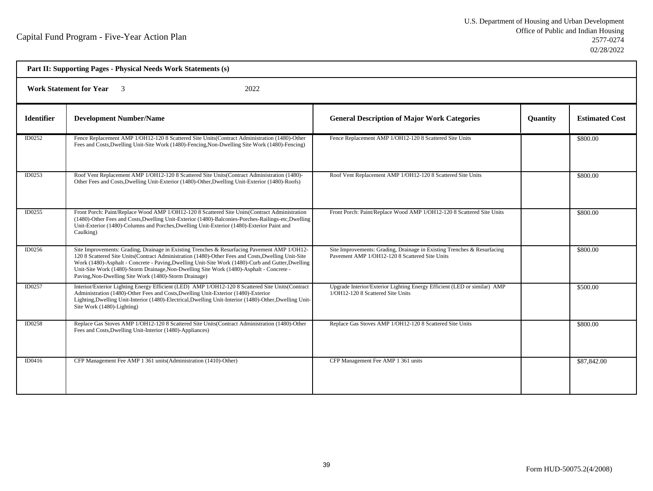| Part II: Supporting Pages - Physical Needs Work Statements (s) |                                                                                                                                                                                                                                                                                                                                                                                                                                                              |                                                                                                                           |          |                       |  |  |
|----------------------------------------------------------------|--------------------------------------------------------------------------------------------------------------------------------------------------------------------------------------------------------------------------------------------------------------------------------------------------------------------------------------------------------------------------------------------------------------------------------------------------------------|---------------------------------------------------------------------------------------------------------------------------|----------|-----------------------|--|--|
|                                                                | <b>Work Statement for Year</b><br>2022                                                                                                                                                                                                                                                                                                                                                                                                                       |                                                                                                                           |          |                       |  |  |
| <b>Identifier</b>                                              | <b>Development Number/Name</b>                                                                                                                                                                                                                                                                                                                                                                                                                               | <b>General Description of Major Work Categories</b>                                                                       | Quantity | <b>Estimated Cost</b> |  |  |
| ID0252                                                         | Fence Replacement AMP 1/OH12-120 8 Scattered Site Units (Contract Administration (1480)-Other<br>Fees and Costs, Dwelling Unit-Site Work (1480)-Fencing, Non-Dwelling Site Work (1480)-Fencing)                                                                                                                                                                                                                                                              | Fence Replacement AMP 1/OH12-120 8 Scattered Site Units                                                                   |          | \$800.00              |  |  |
| ID0253                                                         | Roof Vent Replacement AMP 1/OH12-120 8 Scattered Site Units(Contract Administration (1480)-<br>Other Fees and Costs, Dwelling Unit-Exterior (1480)-Other, Dwelling Unit-Exterior (1480)-Roofs)                                                                                                                                                                                                                                                               | Roof Vent Replacement AMP 1/OH12-120 8 Scattered Site Units                                                               |          | \$800.00              |  |  |
| ID0255                                                         | Front Porch: Paint/Replace Wood AMP 1/OH12-120 8 Scattered Site Units(Contract Administration<br>(1480)-Other Fees and Costs, Dwelling Unit-Exterior (1480)-Balconies-Porches-Railings-etc, Dwelling<br>Unit-Exterior (1480)-Columns and Porches, Dwelling Unit-Exterior (1480)-Exterior Paint and<br>Caulking)                                                                                                                                              | Front Porch: Paint/Replace Wood AMP 1/OH12-120 8 Scattered Site Units                                                     |          | \$800.00              |  |  |
| ID0256                                                         | Site Improvements: Grading, Drainage in Existing Trenches & Resurfacing Pavement AMP 1/OH12-<br>120 8 Scattered Site Units(Contract Administration (1480)-Other Fees and Costs, Dwelling Unit-Site<br>Work (1480)-Asphalt - Concrete - Paving, Dwelling Unit-Site Work (1480)-Curb and Gutter, Dwelling<br>Unit-Site Work (1480)-Storm Drainage, Non-Dwelling Site Work (1480)-Asphalt - Concrete -<br>Paving, Non-Dwelling Site Work (1480)-Storm Drainage) | Site Improvements: Grading, Drainage in Existing Trenches & Resurfacing<br>Pavement AMP 1/OH12-120 8 Scattered Site Units |          | \$800.00              |  |  |
| ID0257                                                         | Interior/Exterior Lighting Energy Efficient (LED) AMP 1/OH12-120 8 Scattered Site Units (Contract<br>Administration (1480)-Other Fees and Costs, Dwelling Unit-Exterior (1480)-Exterior<br>Lighting, Dwelling Unit-Interior (1480)-Electrical, Dwelling Unit-Interior (1480)-Other, Dwelling Unit-<br>Site Work (1480)-Lighting)                                                                                                                             | Upgrade Interior/Exterior Lighting Energy Efficient (LED or similar) AMP<br>1/OH12-120 8 Scattered Site Units             |          | \$500.00              |  |  |
| <b>ID0258</b>                                                  | Replace Gas Stoves AMP 1/OH12-120 8 Scattered Site Units(Contract Administration (1480)-Other<br>Fees and Costs, Dwelling Unit-Interior (1480)-Appliances)                                                                                                                                                                                                                                                                                                   | Replace Gas Stoves AMP 1/OH12-120 8 Scattered Site Units                                                                  |          | \$800.00              |  |  |
| ID0416                                                         | CFP Management Fee AMP 1 361 units (Administration (1410)-Other)                                                                                                                                                                                                                                                                                                                                                                                             | CFP Management Fee AMP 1 361 units                                                                                        |          | \$87,842.00           |  |  |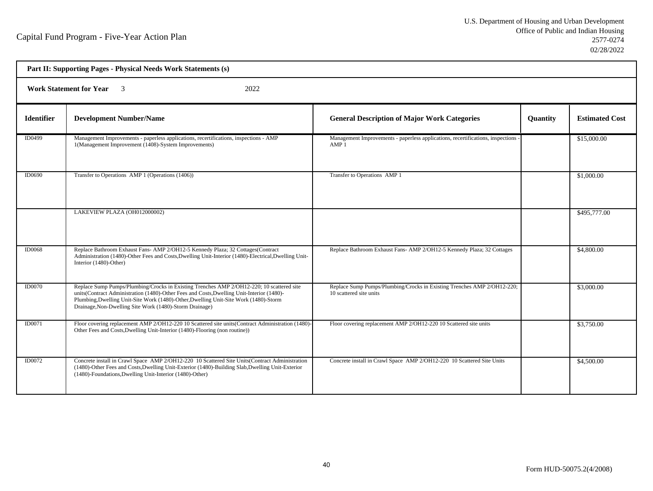| Part II: Supporting Pages - Physical Needs Work Statements (s) |                                                                                                                                                                                                                                                                                                                                           |                                                                                                     |                 |                       |  |  |
|----------------------------------------------------------------|-------------------------------------------------------------------------------------------------------------------------------------------------------------------------------------------------------------------------------------------------------------------------------------------------------------------------------------------|-----------------------------------------------------------------------------------------------------|-----------------|-----------------------|--|--|
|                                                                | <b>Work Statement for Year</b><br>2022                                                                                                                                                                                                                                                                                                    |                                                                                                     |                 |                       |  |  |
| <b>Identifier</b>                                              | <b>Development Number/Name</b>                                                                                                                                                                                                                                                                                                            | <b>General Description of Major Work Categories</b>                                                 | <b>Quantity</b> | <b>Estimated Cost</b> |  |  |
| ID0499                                                         | Management Improvements - paperless applications, recertifications, inspections - AMP<br>1(Management Improvement (1408)-System Improvements)                                                                                                                                                                                             | Management Improvements - paperless applications, recertifications, inspections<br>AMP <sub>1</sub> |                 | \$15,000.00           |  |  |
| <b>ID0690</b>                                                  | Transfer to Operations AMP 1 (Operations (1406))                                                                                                                                                                                                                                                                                          | Transfer to Operations AMP 1                                                                        |                 | \$1,000.00            |  |  |
|                                                                | LAKEVIEW PLAZA (OH012000002)                                                                                                                                                                                                                                                                                                              |                                                                                                     |                 | \$495,777.00          |  |  |
| <b>ID0068</b>                                                  | Replace Bathroom Exhaust Fans- AMP 2/OH12-5 Kennedy Plaza; 32 Cottages(Contract<br>Administration (1480)-Other Fees and Costs, Dwelling Unit-Interior (1480)-Electrical, Dwelling Unit-<br>Interior (1480)-Other)                                                                                                                         | Replace Bathroom Exhaust Fans- AMP 2/OH12-5 Kennedy Plaza; 32 Cottages                              |                 | \$4,800.00            |  |  |
| <b>ID0070</b>                                                  | Replace Sump Pumps/Plumbing/Crocks in Existing Trenches AMP 2/OH12-220; 10 scattered site<br>units(Contract Administration (1480)-Other Fees and Costs, Dwelling Unit-Interior (1480)-<br>Plumbing, Dwelling Unit-Site Work (1480)-Other, Dwelling Unit-Site Work (1480)-Storm<br>Drainage, Non-Dwelling Site Work (1480)-Storm Drainage) | Replace Sump Pumps/Plumbing/Crocks in Existing Trenches AMP 2/OH12-220;<br>10 scattered site units  |                 | \$3,000.00            |  |  |
| ID0071                                                         | Floor covering replacement AMP 2/OH12-220 10 Scattered site units(Contract Administration (1480)-<br>Other Fees and Costs, Dwelling Unit-Interior (1480)-Flooring (non routine))                                                                                                                                                          | Floor covering replacement AMP 2/OH12-220 10 Scattered site units                                   |                 | \$3,750.00            |  |  |
| <b>ID0072</b>                                                  | Concrete install in Crawl Space AMP 2/OH12-220 10 Scattered Site Units (Contract Administration<br>(1480)-Other Fees and Costs, Dwelling Unit-Exterior (1480)-Building Slab, Dwelling Unit-Exterior<br>(1480)-Foundations, Dwelling Unit-Interior (1480)-Other)                                                                           | Concrete install in Crawl Space AMP 2/OH12-220 10 Scattered Site Units                              |                 | \$4,500.00            |  |  |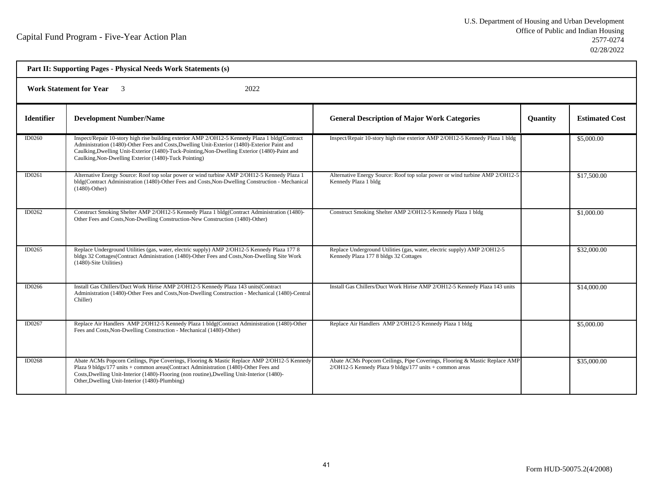| Part II: Supporting Pages - Physical Needs Work Statements (s) |                                                                                                                                                                                                                                                                                                                                                          |                                                                                                                                       |                 |                       |  |  |
|----------------------------------------------------------------|----------------------------------------------------------------------------------------------------------------------------------------------------------------------------------------------------------------------------------------------------------------------------------------------------------------------------------------------------------|---------------------------------------------------------------------------------------------------------------------------------------|-----------------|-----------------------|--|--|
|                                                                | <b>Work Statement for Year</b><br>2022                                                                                                                                                                                                                                                                                                                   |                                                                                                                                       |                 |                       |  |  |
| <b>Identifier</b>                                              | <b>Development Number/Name</b>                                                                                                                                                                                                                                                                                                                           | <b>General Description of Major Work Categories</b>                                                                                   | <b>Quantity</b> | <b>Estimated Cost</b> |  |  |
| ID0260                                                         | Inspect/Repair 10-story high rise building exterior AMP 2/OH12-5 Kennedy Plaza 1 bldg(Contract<br>Administration (1480)-Other Fees and Costs, Dwelling Unit-Exterior (1480)-Exterior Paint and<br>Caulking, Dwelling Unit-Exterior (1480)-Tuck-Pointing, Non-Dwelling Exterior (1480)-Paint and<br>Caulking, Non-Dwelling Exterior (1480)-Tuck Pointing) | Inspect/Repair 10-story high rise exterior AMP 2/OH12-5 Kennedy Plaza 1 bldg                                                          |                 | \$5,000.00            |  |  |
| ID0261                                                         | Alternative Energy Source: Roof top solar power or wind turbine AMP 2/OH12-5 Kennedy Plaza 1<br>bldg(Contract Administration (1480)-Other Fees and Costs, Non-Dwelling Construction - Mechanical<br>$(1480)$ -Other)                                                                                                                                     | Alternative Energy Source: Roof top solar power or wind turbine AMP 2/OH12-5<br>Kennedy Plaza 1 bldg                                  |                 | \$17,500.00           |  |  |
| ID0262                                                         | Construct Smoking Shelter AMP 2/OH12-5 Kennedy Plaza 1 bldg(Contract Administration (1480)-<br>Other Fees and Costs, Non-Dwelling Construction-New Construction (1480)-Other)                                                                                                                                                                            | Construct Smoking Shelter AMP 2/OH12-5 Kennedy Plaza 1 bldg                                                                           |                 | \$1,000.00            |  |  |
| ID0265                                                         | Replace Underground Utilities (gas, water, electric supply) AMP 2/OH12-5 Kennedy Plaza 177 8<br>bldgs 32 Cottages(Contract Administration (1480)-Other Fees and Costs, Non-Dwelling Site Work<br>(1480)-Site Utilities)                                                                                                                                  | Replace Underground Utilities (gas, water, electric supply) AMP 2/OH12-5<br>Kennedy Plaza 177 8 bldgs 32 Cottages                     |                 | \$32,000.00           |  |  |
| ID0266                                                         | Install Gas Chillers/Duct Work Hirise AMP 2/OH12-5 Kennedy Plaza 143 units(Contract<br>Administration (1480)-Other Fees and Costs, Non-Dwelling Construction - Mechanical (1480)-Central<br>Chiller)                                                                                                                                                     | Install Gas Chillers/Duct Work Hirise AMP 2/OH12-5 Kennedy Plaza 143 units                                                            |                 | \$14,000.00           |  |  |
| ID0267                                                         | Replace Air Handlers AMP 2/OH12-5 Kennedy Plaza 1 bldg(Contract Administration (1480)-Other<br>Fees and Costs, Non-Dwelling Construction - Mechanical (1480)-Other)                                                                                                                                                                                      | Replace Air Handlers AMP 2/OH12-5 Kennedy Plaza 1 bldg                                                                                |                 | \$5,000.00            |  |  |
| ID0268                                                         | Abate ACMs Popcorn Ceilings, Pipe Coverings, Flooring & Mastic Replace AMP 2/OH12-5 Kennedy<br>Plaza 9 bldgs/177 units + common areas(Contract Administration (1480)-Other Fees and<br>Costs, Dwelling Unit-Interior (1480)-Flooring (non routine), Dwelling Unit-Interior (1480)-<br>Other, Dwelling Unit-Interior (1480)-Plumbing)                     | Abate ACMs Popcorn Ceilings, Pipe Coverings, Flooring & Mastic Replace AMP<br>2/OH12-5 Kennedy Plaza 9 bldgs/177 units + common areas |                 | \$35,000.00           |  |  |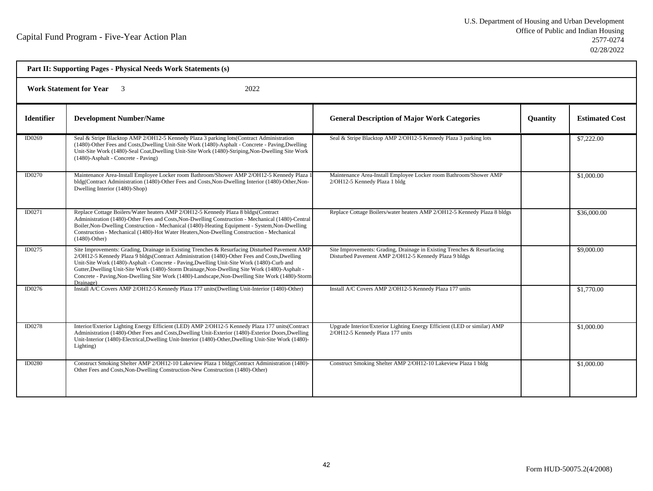| Part II: Supporting Pages - Physical Needs Work Statements (s)    |                                                                                                                                                                                                                                                                                                                                                                                                                                                                                                                |                                                                                                                                  |                 |                       |  |
|-------------------------------------------------------------------|----------------------------------------------------------------------------------------------------------------------------------------------------------------------------------------------------------------------------------------------------------------------------------------------------------------------------------------------------------------------------------------------------------------------------------------------------------------------------------------------------------------|----------------------------------------------------------------------------------------------------------------------------------|-----------------|-----------------------|--|
| <b>Work Statement for Year</b><br>2022<br>$\overline{\mathbf{3}}$ |                                                                                                                                                                                                                                                                                                                                                                                                                                                                                                                |                                                                                                                                  |                 |                       |  |
| <b>Identifier</b>                                                 | <b>Development Number/Name</b>                                                                                                                                                                                                                                                                                                                                                                                                                                                                                 | <b>General Description of Major Work Categories</b>                                                                              | <b>Quantity</b> | <b>Estimated Cost</b> |  |
| ID0269                                                            | Seal & Stripe Blacktop AMP 2/OH12-5 Kennedy Plaza 3 parking lots (Contract Administration<br>(1480)-Other Fees and Costs, Dwelling Unit-Site Work (1480)-Asphalt - Concrete - Paving, Dwelling<br>Unit-Site Work (1480)-Seal Coat, Dwelling Unit-Site Work (1480)-Striping, Non-Dwelling Site Work<br>(1480)-Asphalt - Concrete - Paving)                                                                                                                                                                      | Seal & Stripe Blacktop AMP 2/OH12-5 Kennedy Plaza 3 parking lots                                                                 |                 | \$7,222.00            |  |
| <b>ID0270</b>                                                     | Maintenance Area-Install Employee Locker room Bathroom/Shower AMP 2/OH12-5 Kennedy Plaza 1<br>bldg(Contract Administration (1480)-Other Fees and Costs, Non-Dwelling Interior (1480)-Other, Non-<br>Dwelling Interior (1480)-Shop)                                                                                                                                                                                                                                                                             | Maintenance Area-Install Employee Locker room Bathroom/Shower AMP<br>2/OH12-5 Kennedy Plaza 1 bldg                               |                 | \$1,000.00            |  |
| ID0271                                                            | Replace Cottage Boilers/Water heaters AMP 2/OH12-5 Kennedy Plaza 8 bldgs(Contract<br>Administration (1480)-Other Fees and Costs, Non-Dwelling Construction - Mechanical (1480)-Central<br>Boiler, Non-Dwelling Construction - Mechanical (1480)-Heating Equipment - System, Non-Dwelling<br>Construction - Mechanical (1480)-Hot Water Heaters, Non-Dwelling Construction - Mechanical<br>$(1480)$ -Other)                                                                                                     | Replace Cottage Boilers/water heaters AMP 2/OH12-5 Kennedy Plaza 8 bldgs                                                         |                 | \$36,000.00           |  |
| ID0275                                                            | Site Improvements: Grading, Drainage in Existing Trenches & Resurfacing Disturbed Pavement AMP<br>2/OH12-5 Kennedy Plaza 9 bldgs(Contract Administration (1480)-Other Fees and Costs, Dwelling<br>Unit-Site Work (1480)-Asphalt - Concrete - Paving, Dwelling Unit-Site Work (1480)-Curb and<br>Gutter, Dwelling Unit-Site Work (1480)-Storm Drainage, Non-Dwelling Site Work (1480)-Asphalt -<br>Concrete - Paving, Non-Dwelling Site Work (1480)-Landscape, Non-Dwelling Site Work (1480)-Storm<br>Drainage) | Site Improvements: Grading, Drainage in Existing Trenches & Resurfacing<br>Disturbed Pavement AMP 2/OH12-5 Kennedy Plaza 9 bldgs |                 | \$9,000.00            |  |
| ID0276                                                            | Install A/C Covers AMP 2/OH12-5 Kennedy Plaza 177 units(Dwelling Unit-Interior (1480)-Other)                                                                                                                                                                                                                                                                                                                                                                                                                   | Install A/C Covers AMP 2/OH12-5 Kennedy Plaza 177 units                                                                          |                 | \$1,770.00            |  |
| ID0278                                                            | Interior/Exterior Lighting Energy Efficient (LED) AMP 2/OH12-5 Kennedy Plaza 177 units (Contract<br>Administration (1480)-Other Fees and Costs, Dwelling Unit-Exterior (1480)-Exterior Doors, Dwelling<br>Unit-Interior (1480)-Electrical,Dwelling Unit-Interior (1480)-Other,Dwelling Unit-Site Work (1480)-<br>Lighting)                                                                                                                                                                                     | Upgrade Interior/Exterior Lighting Energy Efficient (LED or similar) AMP<br>2/OH12-5 Kennedy Plaza 177 units                     |                 | \$1,000.00            |  |
| <b>ID0280</b>                                                     | Construct Smoking Shelter AMP 2/OH12-10 Lakeview Plaza 1 bldg(Contract Administration (1480)-<br>Other Fees and Costs, Non-Dwelling Construction-New Construction (1480)-Other)                                                                                                                                                                                                                                                                                                                                | Construct Smoking Shelter AMP 2/OH12-10 Lakeview Plaza 1 bldg                                                                    |                 | \$1,000.00            |  |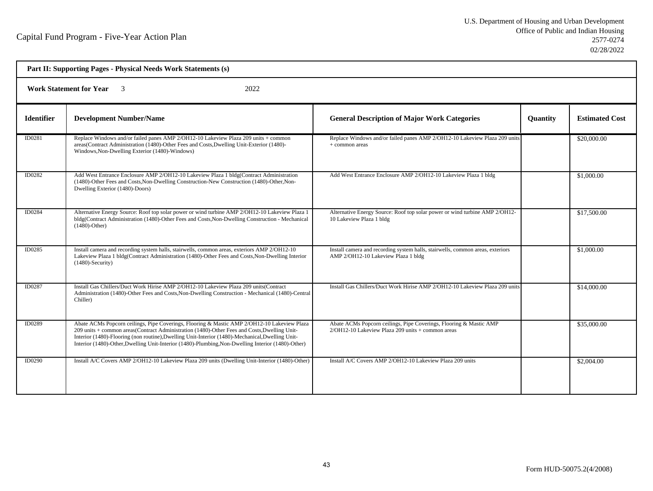| Part II: Supporting Pages - Physical Needs Work Statements (s) |                                                                                                                                                                                                                                                                                                                                                                                                       |                                                                                                                               |                 |                       |  |  |
|----------------------------------------------------------------|-------------------------------------------------------------------------------------------------------------------------------------------------------------------------------------------------------------------------------------------------------------------------------------------------------------------------------------------------------------------------------------------------------|-------------------------------------------------------------------------------------------------------------------------------|-----------------|-----------------------|--|--|
|                                                                | <b>Work Statement for Year</b> 3<br>2022                                                                                                                                                                                                                                                                                                                                                              |                                                                                                                               |                 |                       |  |  |
| <b>Identifier</b>                                              | <b>Development Number/Name</b>                                                                                                                                                                                                                                                                                                                                                                        | <b>General Description of Major Work Categories</b>                                                                           | <b>Quantity</b> | <b>Estimated Cost</b> |  |  |
| ID0281                                                         | Replace Windows and/or failed panes AMP 2/OH12-10 Lakeview Plaza 209 units + common<br>areas(Contract Administration (1480)-Other Fees and Costs, Dwelling Unit-Exterior (1480)-<br>Windows, Non-Dwelling Exterior (1480)-Windows)                                                                                                                                                                    | Replace Windows and/or failed panes AMP 2/OH12-10 Lakeview Plaza 209 units<br>$+$ common areas                                |                 | \$20,000.00           |  |  |
| ID0282                                                         | Add West Entrance Enclosure AMP 2/OH12-10 Lakeview Plaza 1 bldg(Contract Administration<br>(1480)-Other Fees and Costs, Non-Dwelling Construction-New Construction (1480)-Other, Non-<br>Dwelling Exterior (1480)-Doors)                                                                                                                                                                              | Add West Entrance Enclosure AMP 2/OH12-10 Lakeview Plaza 1 bldg                                                               |                 | \$1,000.00            |  |  |
| ID0284                                                         | Alternative Energy Source: Roof top solar power or wind turbine AMP 2/OH12-10 Lakeview Plaza 1<br>bldg(Contract Administration (1480)-Other Fees and Costs, Non-Dwelling Construction - Mechanical<br>$(1480)$ -Other)                                                                                                                                                                                | Alternative Energy Source: Roof top solar power or wind turbine AMP 2/OH12-<br>10 Lakeview Plaza 1 bldg                       |                 | \$17,500.00           |  |  |
| ID0285                                                         | Install camera and recording system halls, stairwells, common areas, exteriors AMP 2/OH12-10<br>Lakeview Plaza 1 bldg(Contract Administration (1480)-Other Fees and Costs, Non-Dwelling Interior<br>$(1480)$ -Security)                                                                                                                                                                               | Install camera and recording system halls, stairwells, common areas, exteriors<br>AMP 2/OH12-10 Lakeview Plaza 1 bldg         |                 | \$1,000.00            |  |  |
| ID0287                                                         | Install Gas Chillers/Duct Work Hirise AMP 2/OH12-10 Lakeview Plaza 209 units(Contract<br>Administration (1480)-Other Fees and Costs, Non-Dwelling Construction - Mechanical (1480)-Central<br>Chiller)                                                                                                                                                                                                | Install Gas Chillers/Duct Work Hirise AMP 2/OH12-10 Lakeview Plaza 209 units                                                  |                 | \$14,000.00           |  |  |
| ID0289                                                         | Abate ACMs Popcorn ceilings, Pipe Coverings, Flooring & Mastic AMP 2/OH12-10 Lakeview Plaza<br>209 units + common areas(Contract Administration (1480)-Other Fees and Costs, Dwelling Unit-<br>Interior (1480)-Flooring (non routine), Dwelling Unit-Interior (1480)-Mechanical, Dwelling Unit-<br>Interior (1480)-Other, Dwelling Unit-Interior (1480)-Plumbing, Non-Dwelling Interior (1480)-Other) | Abate ACMs Popcorn ceilings, Pipe Coverings, Flooring & Mastic AMP<br>$2/OH12-10$ Lakeview Plaza $209$ units $+$ common areas |                 | \$35,000.00           |  |  |
| ID0290                                                         | Install A/C Covers AMP 2/OH12-10 Lakeview Plaza 209 units (Dwelling Unit-Interior (1480)-Other)                                                                                                                                                                                                                                                                                                       | Install A/C Covers AMP 2/OH12-10 Lakeview Plaza 209 units                                                                     |                 | \$2,004.00            |  |  |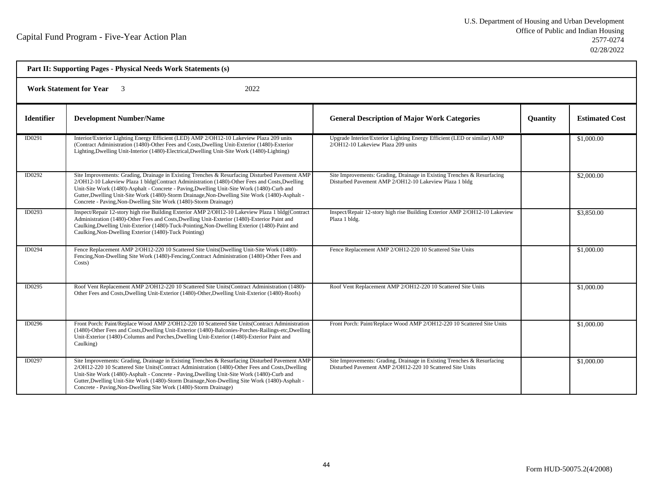| Part II: Supporting Pages - Physical Needs Work Statements (s) |                                                                                                                                                                                                                                                                                                                                                                                                                                                                        |                                                                                                                                      |          |                       |  |  |
|----------------------------------------------------------------|------------------------------------------------------------------------------------------------------------------------------------------------------------------------------------------------------------------------------------------------------------------------------------------------------------------------------------------------------------------------------------------------------------------------------------------------------------------------|--------------------------------------------------------------------------------------------------------------------------------------|----------|-----------------------|--|--|
|                                                                | <b>Work Statement for Year</b><br>2022<br>$\overline{\mathbf{3}}$                                                                                                                                                                                                                                                                                                                                                                                                      |                                                                                                                                      |          |                       |  |  |
| <b>Identifier</b>                                              | <b>Development Number/Name</b>                                                                                                                                                                                                                                                                                                                                                                                                                                         | <b>General Description of Major Work Categories</b>                                                                                  | Quantity | <b>Estimated Cost</b> |  |  |
| ID0291                                                         | Interior/Exterior Lighting Energy Efficient (LED) AMP 2/OH12-10 Lakeview Plaza 209 units<br>(Contract Administration (1480)-Other Fees and Costs, Dwelling Unit-Exterior (1480)-Exterior<br>Lighting, Dwelling Unit-Interior (1480)-Electrical, Dwelling Unit-Site Work (1480)-Lighting)                                                                                                                                                                               | Upgrade Interior/Exterior Lighting Energy Efficient (LED or similar) AMP<br>2/OH12-10 Lakeview Plaza 209 units                       |          | \$1,000.00            |  |  |
| ID0292                                                         | Site Improvements: Grading, Drainage in Existing Trenches & Resurfacing Disturbed Pavement AMP<br>2/OH12-10 Lakeview Plaza 1 bldg(Contract Administration (1480)-Other Fees and Costs, Dwelling<br>Unit-Site Work (1480)-Asphalt - Concrete - Paving, Dwelling Unit-Site Work (1480)-Curb and<br>Gutter, Dwelling Unit-Site Work (1480)-Storm Drainage, Non-Dwelling Site Work (1480)-Asphalt -<br>Concrete - Paving, Non-Dwelling Site Work (1480)-Storm Drainage)    | Site Improvements: Grading, Drainage in Existing Trenches & Resurfacing<br>Disturbed Pavement AMP 2/OH12-10 Lakeview Plaza 1 bldg    |          | \$2,000.00            |  |  |
| ID0293                                                         | Inspect/Repair 12-story high rise Building Exterior AMP 2/OH12-10 Lakeview Plaza 1 bldg(Contract<br>Administration (1480)-Other Fees and Costs, Dwelling Unit-Exterior (1480)-Exterior Paint and<br>Caulking, Dwelling Unit-Exterior (1480)-Tuck-Pointing, Non-Dwelling Exterior (1480)-Paint and<br>Caulking, Non-Dwelling Exterior (1480)-Tuck Pointing)                                                                                                             | Inspect/Repair 12-story high rise Building Exterior AMP 2/OH12-10 Lakeview<br>Plaza 1 bldg.                                          |          | \$3,850.00            |  |  |
| ID0294                                                         | Fence Replacement AMP 2/OH12-220 10 Scattered Site Units (Dwelling Unit-Site Work (1480)-<br>Fencing, Non-Dwelling Site Work (1480)-Fencing, Contract Administration (1480)-Other Fees and<br>Costs)                                                                                                                                                                                                                                                                   | Fence Replacement AMP 2/OH12-220 10 Scattered Site Units                                                                             |          | \$1,000.00            |  |  |
| ID0295                                                         | Roof Vent Replacement AMP 2/OH12-220 10 Scattered Site Units(Contract Administration (1480)-<br>Other Fees and Costs, Dwelling Unit-Exterior (1480)-Other, Dwelling Unit-Exterior (1480)-Roofs)                                                                                                                                                                                                                                                                        | Roof Vent Replacement AMP 2/OH12-220 10 Scattered Site Units                                                                         |          | \$1,000.00            |  |  |
| ID0296                                                         | Front Porch: Paint/Replace Wood AMP 2/OH12-220 10 Scattered Site Units(Contract Administration<br>(1480)-Other Fees and Costs, Dwelling Unit-Exterior (1480)-Balconies-Porches-Railings-etc, Dwelling<br>Unit-Exterior (1480)-Columns and Porches, Dwelling Unit-Exterior (1480)-Exterior Paint and<br>Caulking)                                                                                                                                                       | Front Porch: Paint/Replace Wood AMP 2/OH12-220 10 Scattered Site Units                                                               |          | \$1,000.00            |  |  |
| ID0297                                                         | Site Improvements: Grading, Drainage in Existing Trenches & Resurfacing Disturbed Pavement AMP<br>2/OH12-220 10 Scattered Site Units(Contract Administration (1480)-Other Fees and Costs, Dwelling<br>Unit-Site Work (1480)-Asphalt - Concrete - Paving, Dwelling Unit-Site Work (1480)-Curb and<br>Gutter, Dwelling Unit-Site Work (1480)-Storm Drainage, Non-Dwelling Site Work (1480)-Asphalt -<br>Concrete - Paving, Non-Dwelling Site Work (1480)-Storm Drainage) | Site Improvements: Grading, Drainage in Existing Trenches & Resurfacing<br>Disturbed Pavement AMP 2/OH12-220 10 Scattered Site Units |          | \$1,000.00            |  |  |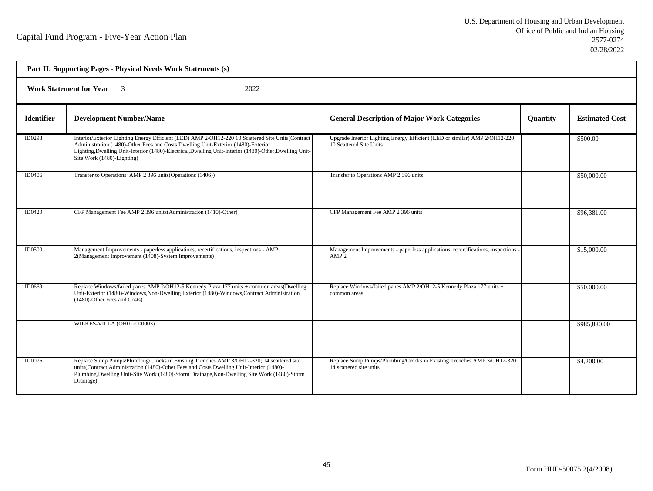| Part II: Supporting Pages - Physical Needs Work Statements (s) |                                                                                                                                                                                                                                                                                                                                  |                                                                                                       |                 |                       |  |
|----------------------------------------------------------------|----------------------------------------------------------------------------------------------------------------------------------------------------------------------------------------------------------------------------------------------------------------------------------------------------------------------------------|-------------------------------------------------------------------------------------------------------|-----------------|-----------------------|--|
| <b>Work Statement for Year</b> 3<br>2022                       |                                                                                                                                                                                                                                                                                                                                  |                                                                                                       |                 |                       |  |
| <b>Identifier</b>                                              | <b>Development Number/Name</b>                                                                                                                                                                                                                                                                                                   | <b>General Description of Major Work Categories</b>                                                   | <b>Quantity</b> | <b>Estimated Cost</b> |  |
| ID0298                                                         | Interior/Exterior Lighting Energy Efficient (LED) AMP 2/OH12-220 10 Scattered Site Units(Contract<br>Administration (1480)-Other Fees and Costs, Dwelling Unit-Exterior (1480)-Exterior<br>Lighting, Dwelling Unit-Interior (1480)-Electrical, Dwelling Unit-Interior (1480)-Other, Dwelling Unit-<br>Site Work (1480)-Lighting) | Upgrade Interior Lighting Energy Efficient (LED or similar) AMP 2/OH12-220<br>10 Scattered Site Units |                 | \$500.00              |  |
| <b>ID0406</b>                                                  | Transfer to Operations AMP 2 396 units (Operations (1406))                                                                                                                                                                                                                                                                       | Transfer to Operations AMP 2 396 units                                                                |                 | \$50,000.00           |  |
| <b>ID0420</b>                                                  | CFP Management Fee AMP 2 396 units (Administration (1410)-Other)                                                                                                                                                                                                                                                                 | CFP Management Fee AMP 2 396 units                                                                    |                 | \$96,381.00           |  |
| <b>ID0500</b>                                                  | Management Improvements - paperless applications, recertifications, inspections - AMP<br>2(Management Improvement (1408)-System Improvements)                                                                                                                                                                                    | Management Improvements - paperless applications, recertifications, inspections<br>AMP <sub>2</sub>   |                 | \$15,000.00           |  |
| ID0669                                                         | Replace Windows/failed panes AMP 2/OH12-5 Kennedy Plaza 177 units + common areas(Dwelling<br>Unit-Exterior (1480)-Windows, Non-Dwelling Exterior (1480)-Windows, Contract Administration<br>(1480)-Other Fees and Costs)                                                                                                         | Replace Windows/failed panes AMP 2/OH12-5 Kennedy Plaza 177 units +<br>common areas                   |                 | \$50,000.00           |  |
|                                                                | WILKES-VILLA (OH012000003)                                                                                                                                                                                                                                                                                                       |                                                                                                       |                 | \$985,880.00          |  |
| <b>ID0076</b>                                                  | Replace Sump Pumps/Plumbing/Crocks in Existing Trenches AMP 3/OH12-320; 14 scattered site<br>units(Contract Administration (1480)-Other Fees and Costs, Dwelling Unit-Interior (1480)-<br>Plumbing, Dwelling Unit-Site Work (1480)-Storm Drainage, Non-Dwelling Site Work (1480)-Storm<br>Drainage)                              | Replace Sump Pumps/Plumbing/Crocks in Existing Trenches AMP 3/OH12-320;<br>14 scattered site units    |                 | \$4,200.00            |  |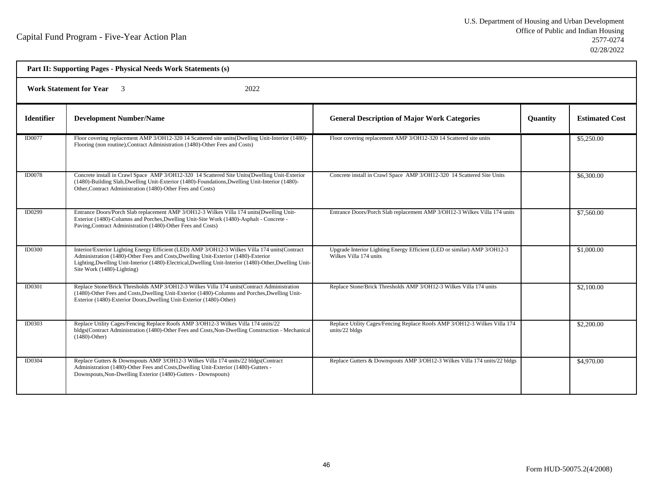| Part II: Supporting Pages - Physical Needs Work Statements (s) |                                                                                                                                                                                                                                                                                                                                |                                                                                                    |                 |                       |  |  |
|----------------------------------------------------------------|--------------------------------------------------------------------------------------------------------------------------------------------------------------------------------------------------------------------------------------------------------------------------------------------------------------------------------|----------------------------------------------------------------------------------------------------|-----------------|-----------------------|--|--|
|                                                                | <b>Work Statement for Year</b><br>2022                                                                                                                                                                                                                                                                                         |                                                                                                    |                 |                       |  |  |
| <b>Identifier</b>                                              | <b>Development Number/Name</b>                                                                                                                                                                                                                                                                                                 | <b>General Description of Major Work Categories</b>                                                | <b>Quantity</b> | <b>Estimated Cost</b> |  |  |
| ID0077                                                         | Floor covering replacement AMP 3/OH12-320 14 Scattered site units(Dwelling Unit-Interior (1480)-<br>Flooring (non routine), Contract Administration (1480)-Other Fees and Costs)                                                                                                                                               | Floor covering replacement AMP 3/OH12-320 14 Scattered site units                                  |                 | \$5,250.00            |  |  |
| <b>ID0078</b>                                                  | Concrete install in Crawl Space AMP 3/OH12-320 14 Scattered Site Units(Dwelling Unit-Exterior<br>(1480)-Building Slab, Dwelling Unit-Exterior (1480)-Foundations, Dwelling Unit-Interior (1480)-<br>Other, Contract Administration (1480)-Other Fees and Costs)                                                                | Concrete install in Crawl Space AMP 3/OH12-320 14 Scattered Site Units                             |                 | \$6,300.00            |  |  |
| ID0299                                                         | Entrance Doors/Porch Slab replacement AMP 3/OH12-3 Wilkes Villa 174 units (Dwelling Unit-<br>Exterior (1480)-Columns and Porches, Dwelling Unit-Site Work (1480)-Asphalt - Concrete -<br>Paving, Contract Administration (1480)-Other Fees and Costs)                                                                          | Entrance Doors/Porch Slab replacement AMP 3/OH12-3 Wilkes Villa 174 units                          |                 | \$7,560.00            |  |  |
| <b>ID0300</b>                                                  | Interior/Exterior Lighting Energy Efficient (LED) AMP 3/OH12-3 Wilkes Villa 174 units (Contract<br>Administration (1480)-Other Fees and Costs, Dwelling Unit-Exterior (1480)-Exterior<br>Lighting, Dwelling Unit-Interior (1480)-Electrical, Dwelling Unit-Interior (1480)-Other, Dwelling Unit-<br>Site Work (1480)-Lighting) | Upgrade Interior Lighting Energy Efficient (LED or similar) AMP 3/OH12-3<br>Wilkes Villa 174 units |                 | \$1,000.00            |  |  |
| ID0301                                                         | Replace Stone/Brick Thresholds AMP 3/OH12-3 Wilkes Villa 174 units (Contract Administration<br>(1480)-Other Fees and Costs, Dwelling Unit-Exterior (1480)-Columns and Porches, Dwelling Unit-<br>Exterior (1480)-Exterior Doors, Dwelling Unit-Exterior (1480)-Other)                                                          | Replace Stone/Brick Thresholds AMP 3/OH12-3 Wilkes Villa 174 units                                 |                 | \$2,100.00            |  |  |
| <b>ID0303</b>                                                  | Replace Utility Cages/Fencing Replace Roofs AMP 3/OH12-3 Wilkes Villa 174 units/22<br>bldgs(Contract Administration (1480)-Other Fees and Costs, Non-Dwelling Construction - Mechanical<br>$(1480)$ -Other)                                                                                                                    | Replace Utility Cages/Fencing Replace Roofs AMP 3/OH12-3 Wilkes Villa 174<br>units/22 bldgs        |                 | \$2,200.00            |  |  |
| ID0304                                                         | Replace Gutters & Downspouts AMP 3/OH12-3 Wilkes Villa 174 units/22 bldgs(Contract<br>Administration (1480)-Other Fees and Costs, Dwelling Unit-Exterior (1480)-Gutters -<br>Downspouts, Non-Dwelling Exterior (1480)-Gutters - Downspouts)                                                                                    | Replace Gutters & Downspouts AMP 3/OH12-3 Wilkes Villa 174 units/22 bldgs                          |                 | \$4,970.00            |  |  |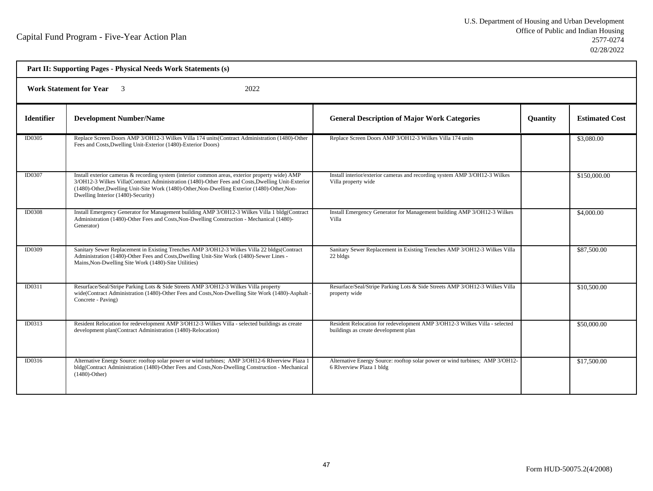| Part II: Supporting Pages - Physical Needs Work Statements (s) |                                                                                                                                                                                                                                                                                                                                            |                                                                                                                    |                 |                       |  |
|----------------------------------------------------------------|--------------------------------------------------------------------------------------------------------------------------------------------------------------------------------------------------------------------------------------------------------------------------------------------------------------------------------------------|--------------------------------------------------------------------------------------------------------------------|-----------------|-----------------------|--|
| <b>Work Statement for Year</b><br>2022                         |                                                                                                                                                                                                                                                                                                                                            |                                                                                                                    |                 |                       |  |
| <b>Identifier</b>                                              | <b>Development Number/Name</b>                                                                                                                                                                                                                                                                                                             | <b>General Description of Major Work Categories</b>                                                                | <b>Quantity</b> | <b>Estimated Cost</b> |  |
| ID0305                                                         | Replace Screen Doors AMP 3/OH12-3 Wilkes Villa 174 units(Contract Administration (1480)-Other<br>Fees and Costs, Dwelling Unit-Exterior (1480)-Exterior Doors)                                                                                                                                                                             | Replace Screen Doors AMP 3/OH12-3 Wilkes Villa 174 units                                                           |                 | \$3,080.00            |  |
| ID0307                                                         | Install exterior cameras & recording system (interior common areas, exterior property wide) AMP<br>3/OH12-3 Wilkes Villa(Contract Administration (1480)-Other Fees and Costs, Dwelling Unit-Exterior<br>(1480)-Other, Dwelling Unit-Site Work (1480)-Other, Non-Dwelling Exterior (1480)-Other, Non-<br>Dwelling Interior (1480)-Security) | Install interior/exterior cameras and recording system AMP 3/OH12-3 Wilkes<br>Villa property wide                  |                 | \$150,000.00          |  |
| <b>ID0308</b>                                                  | Install Emergency Generator for Management building AMP 3/OH12-3 Wilkes Villa 1 bldg(Contract<br>Administration (1480)-Other Fees and Costs, Non-Dwelling Construction - Mechanical (1480)-<br>Generator)                                                                                                                                  | Install Emergency Generator for Management building AMP 3/OH12-3 Wilkes<br>Villa                                   |                 | \$4,000.00            |  |
| ID0309                                                         | Sanitary Sewer Replacement in Existing Trenches AMP 3/OH12-3 Wilkes Villa 22 bldgs(Contract<br>Administration (1480)-Other Fees and Costs, Dwelling Unit-Site Work (1480)-Sewer Lines -<br>Mains, Non-Dwelling Site Work (1480)-Site Utilities)                                                                                            | Sanitary Sewer Replacement in Existing Trenches AMP 3/OH12-3 Wilkes Villa<br>22 bldgs                              |                 | \$87,500.00           |  |
| ID0311                                                         | Resurface/Seal/Stripe Parking Lots & Side Streets AMP 3/OH12-3 Wilkes Villa property<br>wide(Contract Administration (1480)-Other Fees and Costs, Non-Dwelling Site Work (1480)-Asphalt<br>Concrete - Paving)                                                                                                                              | Resurface/Seal/Stripe Parking Lots & Side Streets AMP 3/OH12-3 Wilkes Villa<br>property wide                       |                 | \$10,500.00           |  |
| ID0313                                                         | Resident Relocation for redevelopment AMP 3/OH12-3 Wilkes Villa - selected buildings as create<br>development plan(Contract Administration (1480)-Relocation)                                                                                                                                                                              | Resident Relocation for redevelopment AMP 3/OH12-3 Wilkes Villa - selected<br>buildings as create development plan |                 | \$50,000.00           |  |
| ID0316                                                         | Alternative Energy Source: rooftop solar power or wind turbines; AMP 3/OH12-6 RIverview Plaza 1<br>bldg(Contract Administration (1480)-Other Fees and Costs, Non-Dwelling Construction - Mechanical<br>$(1480)$ -Other)                                                                                                                    | Alternative Energy Source: rooftop solar power or wind turbines; AMP 3/OH12-<br>6 RIverview Plaza 1 bldg           |                 | \$17,500.00           |  |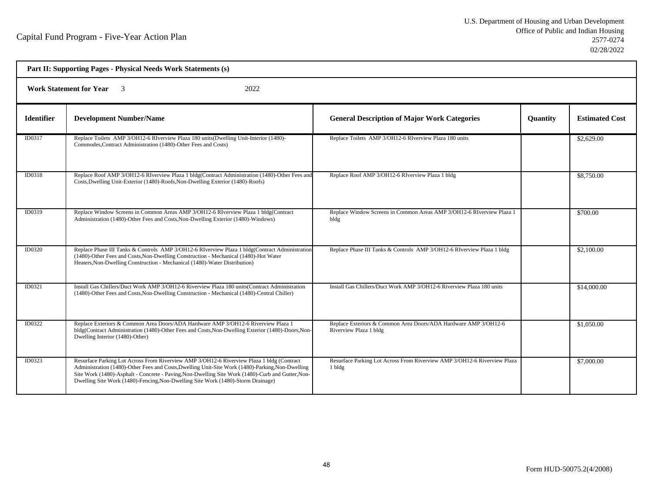| Part II: Supporting Pages - Physical Needs Work Statements (s) |                                                                                                                                                                                                                                                                                                                                                                                        |                                                                                           |                 |                       |  |  |
|----------------------------------------------------------------|----------------------------------------------------------------------------------------------------------------------------------------------------------------------------------------------------------------------------------------------------------------------------------------------------------------------------------------------------------------------------------------|-------------------------------------------------------------------------------------------|-----------------|-----------------------|--|--|
|                                                                | <b>Work Statement for Year</b><br>2022                                                                                                                                                                                                                                                                                                                                                 |                                                                                           |                 |                       |  |  |
| <b>Identifier</b>                                              | <b>Development Number/Name</b>                                                                                                                                                                                                                                                                                                                                                         | <b>General Description of Major Work Categories</b>                                       | <b>Quantity</b> | <b>Estimated Cost</b> |  |  |
| ID0317                                                         | Replace Toilets AMP 3/OH12-6 RIverview Plaza 180 units (Dwelling Unit-Interior (1480)-<br>Commodes, Contract Administration (1480)-Other Fees and Costs)                                                                                                                                                                                                                               | Replace Toilets AMP 3/OH12-6 RIverview Plaza 180 units                                    |                 | \$2,629.00            |  |  |
| ID0318                                                         | Replace Roof AMP 3/OH12-6 RIverview Plaza 1 bldg(Contract Administration (1480)-Other Fees and<br>Costs, Dwelling Unit-Exterior (1480)-Roofs, Non-Dwelling Exterior (1480)-Roofs)                                                                                                                                                                                                      | Replace Roof AMP 3/OH12-6 RIverview Plaza 1 bldg                                          |                 | \$8,750.00            |  |  |
| ID0319                                                         | Replace Window Screens in Common Areas AMP 3/OH12-6 RIverview Plaza 1 bldg(Contract<br>Administration (1480)-Other Fees and Costs, Non-Dwelling Exterior (1480)-Windows)                                                                                                                                                                                                               | Replace Window Screens in Common Areas AMP 3/OH12-6 RIverview Plaza 1<br>bldg             |                 | \$700.00              |  |  |
| <b>ID0320</b>                                                  | Replace Phase III Tanks & Controls AMP 3/OH12-6 RIverview Plaza 1 bldg(Contract Administration<br>(1480)-Other Fees and Costs, Non-Dwelling Construction - Mechanical (1480)-Hot Water<br>Heaters, Non-Dwelling Construction - Mechanical (1480)-Water Distribution)                                                                                                                   | Replace Phase III Tanks & Controls AMP 3/OH12-6 RIverview Plaza 1 bldg                    |                 | \$2,100.00            |  |  |
| ID0321                                                         | Install Gas Chillers/Duct Work AMP 3/OH12-6 Riverview Plaza 180 units(Contract Administration<br>(1480)-Other Fees and Costs, Non-Dwelling Construction - Mechanical (1480)-Central Chiller)                                                                                                                                                                                           | Install Gas Chillers/Duct Work AMP 3/OH12-6 Riverview Plaza 180 units                     |                 | \$14,000.00           |  |  |
| ID0322                                                         | Replace Exteriors & Common Area Doors/ADA Hardware AMP 3/OH12-6 Riverview Plaza 1<br>bldg(Contract Administration (1480)-Other Fees and Costs, Non-Dwelling Exterior (1480)-Doors, Non-<br>Dwelling Interior (1480)-Other)                                                                                                                                                             | Replace Exteriors & Common Area Doors/ADA Hardware AMP 3/OH12-6<br>Riverview Plaza 1 bldg |                 | \$1,050.00            |  |  |
| ID0323                                                         | Resurface Parking Lot Across From Riverview AMP 3/OH12-6 Riverview Plaza 1 bldg (Contract<br>Administration (1480)-Other Fees and Costs, Dwelling Unit-Site Work (1480)-Parking, Non-Dwelling<br>Site Work (1480)-Asphalt - Concrete - Paving, Non-Dwelling Site Work (1480)-Curb and Gutter, Non-<br>Dwelling Site Work (1480)-Fencing, Non-Dwelling Site Work (1480)-Storm Drainage) | Resurface Parking Lot Across From Riverview AMP 3/OH12-6 Riverview Plaza<br>1 bldg        |                 | \$7,000.00            |  |  |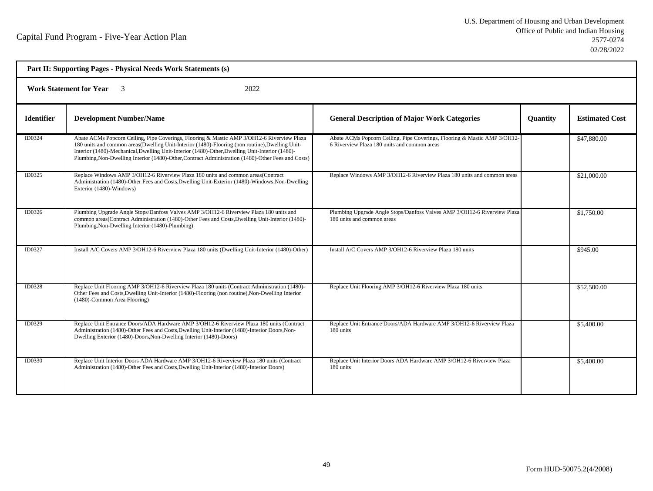| Part II: Supporting Pages - Physical Needs Work Statements (s) |                                                                                                                                                                                                                                                                                                                                                                                                        |                                                                                                                           |                 |                       |  |  |
|----------------------------------------------------------------|--------------------------------------------------------------------------------------------------------------------------------------------------------------------------------------------------------------------------------------------------------------------------------------------------------------------------------------------------------------------------------------------------------|---------------------------------------------------------------------------------------------------------------------------|-----------------|-----------------------|--|--|
| <b>Work Statement for Year</b><br>2022                         |                                                                                                                                                                                                                                                                                                                                                                                                        |                                                                                                                           |                 |                       |  |  |
| <b>Identifier</b>                                              | <b>Development Number/Name</b>                                                                                                                                                                                                                                                                                                                                                                         | <b>General Description of Major Work Categories</b>                                                                       | <b>Quantity</b> | <b>Estimated Cost</b> |  |  |
| ID0324                                                         | Abate ACMs Popcorn Ceiling, Pipe Coverings, Flooring & Mastic AMP 3/OH12-6 Riverview Plaza<br>180 units and common areas(Dwelling Unit-Interior (1480)-Flooring (non routine), Dwelling Unit-<br>Interior (1480)-Mechanical, Dwelling Unit-Interior (1480)-Other, Dwelling Unit-Interior (1480)-<br>Plumbing, Non-Dwelling Interior (1480)-Other, Contract Administration (1480)-Other Fees and Costs) | Abate ACMs Popcorn Ceiling, Pipe Coverings, Flooring & Mastic AMP 3/OH12-<br>6 Riverview Plaza 180 units and common areas |                 | \$47,880.00           |  |  |
| ID0325                                                         | Replace Windows AMP 3/OH12-6 Riverview Plaza 180 units and common areas(Contract<br>Administration (1480)-Other Fees and Costs, Dwelling Unit-Exterior (1480)-Windows, Non-Dwelling<br>Exterior (1480)-Windows)                                                                                                                                                                                        | Replace Windows AMP 3/OH12-6 Riverview Plaza 180 units and common areas                                                   |                 | \$21,000.00           |  |  |
| ID0326                                                         | Plumbing Upgrade Angle Stops/Danfoss Valves AMP 3/OH12-6 Riverview Plaza 180 units and<br>common areas(Contract Administration (1480)-Other Fees and Costs, Dwelling Unit-Interior (1480)-<br>Plumbing, Non-Dwelling Interior (1480)-Plumbing)                                                                                                                                                         | Plumbing Upgrade Angle Stops/Danfoss Valves AMP 3/OH12-6 Riverview Plaza<br>180 units and common areas                    |                 | \$1,750.00            |  |  |
| ID0327                                                         | Install A/C Covers AMP 3/OH12-6 Riverview Plaza 180 units (Dwelling Unit-Interior (1480)-Other)                                                                                                                                                                                                                                                                                                        | Install A/C Covers AMP 3/OH12-6 Riverview Plaza 180 units                                                                 |                 | \$945.00              |  |  |
| ID0328                                                         | Replace Unit Flooring AMP 3/OH12-6 Riverview Plaza 180 units (Contract Administration (1480)-<br>Other Fees and Costs, Dwelling Unit-Interior (1480)-Flooring (non routine), Non-Dwelling Interior<br>(1480)-Common Area Flooring)                                                                                                                                                                     | Replace Unit Flooring AMP 3/OH12-6 Riverview Plaza 180 units                                                              |                 | \$52,500.00           |  |  |
| ID0329                                                         | Replace Unit Entrance Doors/ADA Hardware AMP 3/OH12-6 Riverview Plaza 180 units (Contract<br>Administration (1480)-Other Fees and Costs, Dwelling Unit-Interior (1480)-Interior Doors, Non-<br>Dwelling Exterior (1480)-Doors, Non-Dwelling Interior (1480)-Doors)                                                                                                                                     | Replace Unit Entrance Doors/ADA Hardware AMP 3/OH12-6 Riverview Plaza<br>180 units                                        |                 | \$5,400.00            |  |  |
| ID0330                                                         | Replace Unit Interior Doors ADA Hardware AMP 3/OH12-6 Riverview Plaza 180 units (Contract<br>Administration (1480)-Other Fees and Costs, Dwelling Unit-Interior (1480)-Interior Doors)                                                                                                                                                                                                                 | Replace Unit Interior Doors ADA Hardware AMP 3/OH12-6 Riverview Plaza<br>180 units                                        |                 | \$5,400.00            |  |  |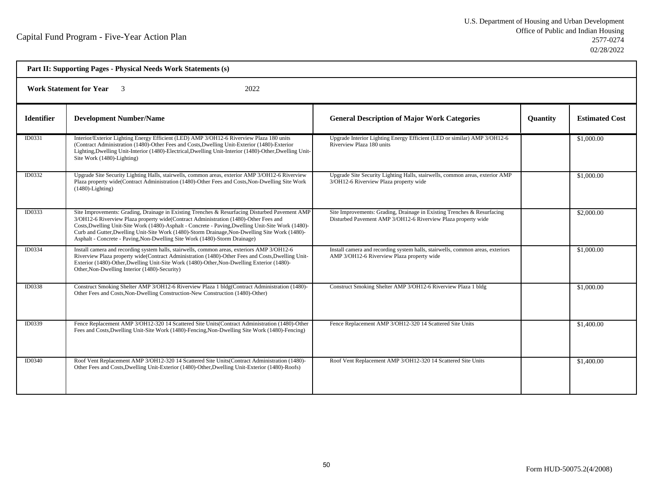| Part II: Supporting Pages - Physical Needs Work Statements (s) |                                                                                                                                                                                                                                                                                                                                                                                                                                                                              |                                                                                                                                          |                 |                       |  |  |
|----------------------------------------------------------------|------------------------------------------------------------------------------------------------------------------------------------------------------------------------------------------------------------------------------------------------------------------------------------------------------------------------------------------------------------------------------------------------------------------------------------------------------------------------------|------------------------------------------------------------------------------------------------------------------------------------------|-----------------|-----------------------|--|--|
|                                                                | <b>Work Statement for Year</b> 3<br>2022                                                                                                                                                                                                                                                                                                                                                                                                                                     |                                                                                                                                          |                 |                       |  |  |
| <b>Identifier</b>                                              | <b>Development Number/Name</b>                                                                                                                                                                                                                                                                                                                                                                                                                                               | <b>General Description of Major Work Categories</b>                                                                                      | <b>Quantity</b> | <b>Estimated Cost</b> |  |  |
| ID0331                                                         | Interior/Exterior Lighting Energy Efficient (LED) AMP 3/OH12-6 Riverview Plaza 180 units<br>(Contract Administration (1480)-Other Fees and Costs, Dwelling Unit-Exterior (1480)-Exterior<br>Lighting, Dwelling Unit-Interior (1480)-Electrical, Dwelling Unit-Interior (1480)-Other, Dwelling Unit-<br>Site Work (1480)-Lighting)                                                                                                                                            | Upgrade Interior Lighting Energy Efficient (LED or similar) AMP 3/OH12-6<br>Riverview Plaza 180 units                                    |                 | \$1,000.00            |  |  |
| ID0332                                                         | Upgrade Site Security Lighting Halls, stairwells, common areas, exterior AMP 3/OH12-6 Riverview<br>Plaza property wide(Contract Administration (1480)-Other Fees and Costs, Non-Dwelling Site Work<br>$(1480)$ -Lighting)                                                                                                                                                                                                                                                    | Upgrade Site Security Lighting Halls, stairwells, common areas, exterior AMP<br>3/OH12-6 Riverview Plaza property wide                   |                 | \$1,000.00            |  |  |
| <b>ID0333</b>                                                  | Site Improvements: Grading, Drainage in Existing Trenches & Resurfacing Disturbed Pavement AMP<br>3/OH12-6 Riverview Plaza property wide(Contract Administration (1480)-Other Fees and<br>Costs, Dwelling Unit-Site Work (1480)-Asphalt - Concrete - Paving, Dwelling Unit-Site Work (1480)-<br>Curb and Gutter, Dwelling Unit-Site Work (1480)-Storm Drainage, Non-Dwelling Site Work (1480)-<br>Asphalt - Concrete - Paving, Non-Dwelling Site Work (1480)-Storm Drainage) | Site Improvements: Grading, Drainage in Existing Trenches & Resurfacing<br>Disturbed Pavement AMP 3/OH12-6 Riverview Plaza property wide |                 | \$2,000.00            |  |  |
| ID0334                                                         | Install camera and recording system halls, stairwells, common areas, exteriors AMP 3/OH12-6<br>Riverview Plaza property wide(Contract Administration (1480)-Other Fees and Costs, Dwelling Unit-<br>Exterior (1480)-Other, Dwelling Unit-Site Work (1480)-Other, Non-Dwelling Exterior (1480)-<br>Other, Non-Dwelling Interior (1480)-Security)                                                                                                                              | Install camera and recording system halls, stairwells, common areas, exteriors<br>AMP 3/OH12-6 Riverview Plaza property wide             |                 | \$1,000.00            |  |  |
| ID0338                                                         | Construct Smoking Shelter AMP 3/OH12-6 Riverview Plaza 1 bldg(Contract Administration (1480)-<br>Other Fees and Costs, Non-Dwelling Construction-New Construction (1480)-Other)                                                                                                                                                                                                                                                                                              | Construct Smoking Shelter AMP 3/OH12-6 Riverview Plaza 1 bldg                                                                            |                 | \$1,000.00            |  |  |
| ID0339                                                         | Fence Replacement AMP 3/OH12-320 14 Scattered Site Units (Contract Administration (1480)-Other<br>Fees and Costs, Dwelling Unit-Site Work (1480)-Fencing, Non-Dwelling Site Work (1480)-Fencing)                                                                                                                                                                                                                                                                             | Fence Replacement AMP 3/OH12-320 14 Scattered Site Units                                                                                 |                 | \$1,400.00            |  |  |
| ID0340                                                         | Roof Vent Replacement AMP 3/OH12-320 14 Scattered Site Units(Contract Administration (1480)-<br>Other Fees and Costs, Dwelling Unit-Exterior (1480)-Other, Dwelling Unit-Exterior (1480)-Roofs)                                                                                                                                                                                                                                                                              | Roof Vent Replacement AMP 3/OH12-320 14 Scattered Site Units                                                                             |                 | \$1,400.00            |  |  |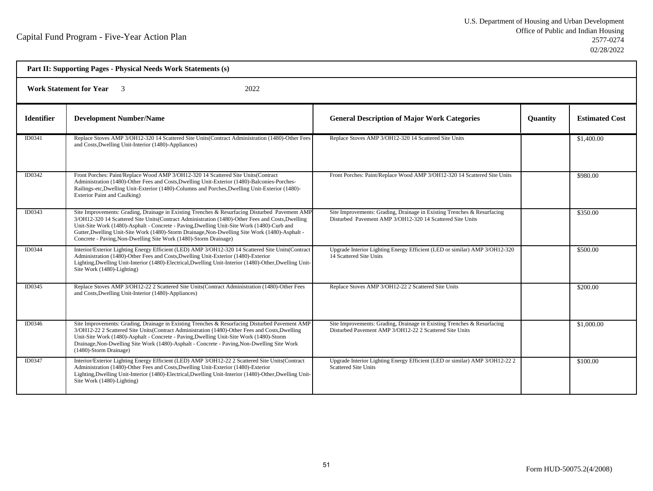|                   | Part II: Supporting Pages - Physical Needs Work Statements (s)                                                                                                                                                                                                                                                                                                                                                                                                         |                                                                                                                                      |                 |                       |  |  |
|-------------------|------------------------------------------------------------------------------------------------------------------------------------------------------------------------------------------------------------------------------------------------------------------------------------------------------------------------------------------------------------------------------------------------------------------------------------------------------------------------|--------------------------------------------------------------------------------------------------------------------------------------|-----------------|-----------------------|--|--|
|                   | 2022<br><b>Work Statement for Year</b> 3                                                                                                                                                                                                                                                                                                                                                                                                                               |                                                                                                                                      |                 |                       |  |  |
| <b>Identifier</b> | <b>Development Number/Name</b>                                                                                                                                                                                                                                                                                                                                                                                                                                         | <b>General Description of Major Work Categories</b>                                                                                  | <b>Quantity</b> | <b>Estimated Cost</b> |  |  |
| ID0341            | Replace Stoves AMP 3/OH12-320 14 Scattered Site Units(Contract Administration (1480)-Other Fees<br>and Costs, Dwelling Unit-Interior (1480)-Appliances)                                                                                                                                                                                                                                                                                                                | Replace Stoves AMP 3/OH12-320 14 Scattered Site Units                                                                                |                 | \$1,400.00            |  |  |
| ID0342            | Front Porches: Paint/Replace Wood AMP 3/OH12-320 14 Scattered Site Units(Contract<br>Administration (1480)-Other Fees and Costs, Dwelling Unit-Exterior (1480)-Balconies-Porches-<br>Railings-etc, Dwelling Unit-Exterior (1480)-Columns and Porches, Dwelling Unit-Exterior (1480)-<br><b>Exterior Paint and Caulking)</b>                                                                                                                                            | Front Porches: Paint/Replace Wood AMP 3/OH12-320 14 Scattered Site Units                                                             |                 | \$980.00              |  |  |
| ID0343            | Site Improvements: Grading, Drainage in Existing Trenches & Resurfacing Disturbed Pavement AMP<br>3/OH12-320 14 Scattered Site Units(Contract Administration (1480)-Other Fees and Costs, Dwelling<br>Unit-Site Work (1480)-Asphalt - Concrete - Paving, Dwelling Unit-Site Work (1480)-Curb and<br>Gutter, Dwelling Unit-Site Work (1480)-Storm Drainage, Non-Dwelling Site Work (1480)-Asphalt -<br>Concrete - Paving, Non-Dwelling Site Work (1480)-Storm Drainage) | Site Improvements: Grading, Drainage in Existing Trenches & Resurfacing<br>Disturbed Pavement AMP 3/OH12-320 14 Scattered Site Units |                 | \$350.00              |  |  |
| ID0344            | Interior/Exterior Lighting Energy Efficient (LED) AMP 3/OH12-320 14 Scattered Site Units (Contract<br>Administration (1480)-Other Fees and Costs, Dwelling Unit-Exterior (1480)-Exterior<br>Lighting, Dwelling Unit-Interior (1480)-Electrical, Dwelling Unit-Interior (1480)-Other, Dwelling Unit-<br>Site Work (1480)-Lighting)                                                                                                                                      | Upgrade Interior Lighting Energy Efficient (LED or similar) AMP 3/OH12-320<br>14 Scattered Site Units                                |                 | \$500.00              |  |  |
| ID0345            | Replace Stoves AMP 3/OH12-22 2 Scattered Site Units (Contract Administration (1480)-Other Fees<br>and Costs, Dwelling Unit-Interior (1480)-Appliances)                                                                                                                                                                                                                                                                                                                 | Replace Stoves AMP 3/OH12-22 2 Scattered Site Units                                                                                  |                 | \$200.00              |  |  |
| ID0346            | Site Improvements: Grading, Drainage in Existing Trenches & Resurfacing Disturbed Pavement AMP<br>3/OH12-22 2 Scattered Site Units(Contract Administration (1480)-Other Fees and Costs, Dwelling<br>Unit-Site Work (1480)-Asphalt - Concrete - Paving, Dwelling Unit-Site Work (1480)-Storm<br>Drainage, Non-Dwelling Site Work (1480)-Asphalt - Concrete - Paving, Non-Dwelling Site Work<br>(1480)-Storm Drainage)                                                   | Site Improvements: Grading, Drainage in Existing Trenches & Resurfacing<br>Disturbed Pavement AMP 3/OH12-22 2 Scattered Site Units   |                 | \$1,000.00            |  |  |
| ID0347            | Interior/Exterior Lighting Energy Efficient (LED) AMP 3/OH12-22 2 Scattered Site Units (Contract<br>Administration (1480)-Other Fees and Costs, Dwelling Unit-Exterior (1480)-Exterior<br>Lighting, Dwelling Unit-Interior (1480)-Electrical, Dwelling Unit-Interior (1480)-Other, Dwelling Unit-<br>Site Work (1480)-Lighting)                                                                                                                                        | Upgrade Interior Lighting Energy Efficient (LED or similar) AMP 3/OH12-22 2<br><b>Scattered Site Units</b>                           |                 | \$100.00              |  |  |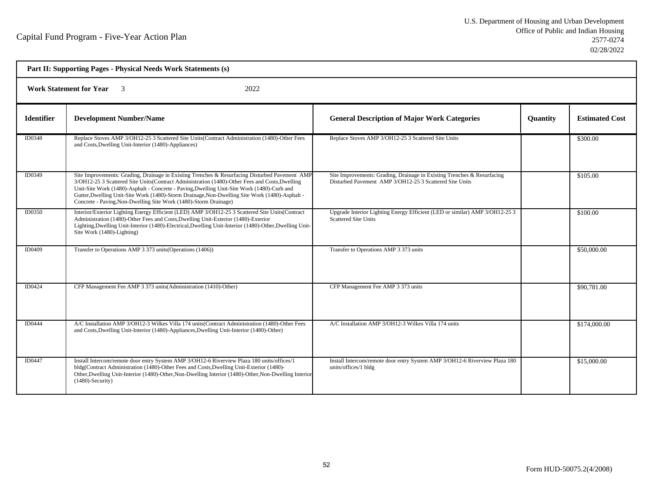| Part II: Supporting Pages - Physical Needs Work Statements (s) |                                                                                                                                                                                                                                                                                                                                                                                                                                                                      |                                                                                                                                    |                 |                       |  |  |
|----------------------------------------------------------------|----------------------------------------------------------------------------------------------------------------------------------------------------------------------------------------------------------------------------------------------------------------------------------------------------------------------------------------------------------------------------------------------------------------------------------------------------------------------|------------------------------------------------------------------------------------------------------------------------------------|-----------------|-----------------------|--|--|
|                                                                | <b>Work Statement for Year</b> 3<br>2022                                                                                                                                                                                                                                                                                                                                                                                                                             |                                                                                                                                    |                 |                       |  |  |
| <b>Identifier</b>                                              | <b>Development Number/Name</b>                                                                                                                                                                                                                                                                                                                                                                                                                                       | <b>General Description of Major Work Categories</b>                                                                                | <b>Quantity</b> | <b>Estimated Cost</b> |  |  |
| ID0348                                                         | Replace Stoves AMP 3/OH12-25 3 Scattered Site Units(Contract Administration (1480)-Other Fees<br>and Costs, Dwelling Unit-Interior (1480)-Appliances)                                                                                                                                                                                                                                                                                                                | Replace Stoves AMP 3/OH12-25 3 Scattered Site Units                                                                                |                 | \$300.00              |  |  |
| ID0349                                                         | Site Improvements: Grading, Drainage in Existing Trenches & Resurfacing Disturbed Pavement AMP<br>3/OH12-25 3 Scattered Site Units(Contract Administration (1480)-Other Fees and Costs, Dwelling<br>Unit-Site Work (1480)-Asphalt - Concrete - Paving, Dwelling Unit-Site Work (1480)-Curb and<br>Gutter, Dwelling Unit-Site Work (1480)-Storm Drainage, Non-Dwelling Site Work (1480)-Asphalt -<br>Concrete - Paving, Non-Dwelling Site Work (1480)-Storm Drainage) | Site Improvements: Grading, Drainage in Existing Trenches & Resurfacing<br>Disturbed Pavement AMP 3/OH12-25 3 Scattered Site Units |                 | \$105.00              |  |  |
| <b>ID0350</b>                                                  | Interior/Exterior Lighting Energy Efficient (LED) AMP 3/OH12-25 3 Scattered Site Units (Contract<br>Administration (1480)-Other Fees and Costs, Dwelling Unit-Exterior (1480)-Exterior<br>Lighting, Dwelling Unit-Interior (1480)-Electrical, Dwelling Unit-Interior (1480)-Other, Dwelling Unit-<br>Site Work (1480)-Lighting)                                                                                                                                      | Upgrade Interior Lighting Energy Efficient (LED or similar) AMP 3/OH12-25 3<br><b>Scattered Site Units</b>                         |                 | \$100.00              |  |  |
| ID0409                                                         | Transfer to Operations AMP 3 373 units (Operations (1406))                                                                                                                                                                                                                                                                                                                                                                                                           | Transfer to Operations AMP 3 373 units                                                                                             |                 | \$50,000.00           |  |  |
| <b>ID0424</b>                                                  | CFP Management Fee AMP 3 373 units (Administration (1410)-Other)                                                                                                                                                                                                                                                                                                                                                                                                     | CFP Management Fee AMP 3 373 units                                                                                                 |                 | \$90,781.00           |  |  |
| ID0444                                                         | A/C Installation AMP 3/OH12-3 Wilkes Villa 174 units (Contract Administration (1480)-Other Fees<br>and Costs, Dwelling Unit-Interior (1480)-Appliances, Dwelling Unit-Interior (1480)-Other)                                                                                                                                                                                                                                                                         | A/C Installation AMP 3/OH12-3 Wilkes Villa 174 units                                                                               |                 | \$174,000.00          |  |  |
| <b>ID0447</b>                                                  | Install Intercom/remote door entry System AMP 3/OH12-6 Riverview Plaza 180 units/offices/1<br>bldg(Contract Administration (1480)-Other Fees and Costs, Dwelling Unit-Exterior (1480)-<br>Other, Dwelling Unit-Interior (1480)-Other, Non-Dwelling Interior (1480)-Other, Non-Dwelling Interior<br>$(1480)$ -Security)                                                                                                                                               | Install Intercom/remote door entry System AMP 3/OH12-6 Riverview Plaza 180<br>units/offices/1 bldg                                 |                 | \$15,000.00           |  |  |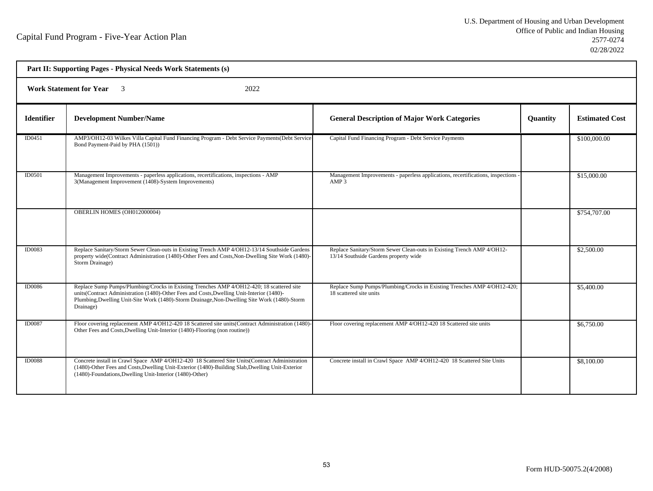| Part II: Supporting Pages - Physical Needs Work Statements (s) |                                                                                                                                                                                                                                                                                                     |                                                                                                                 |                 |                       |  |  |
|----------------------------------------------------------------|-----------------------------------------------------------------------------------------------------------------------------------------------------------------------------------------------------------------------------------------------------------------------------------------------------|-----------------------------------------------------------------------------------------------------------------|-----------------|-----------------------|--|--|
|                                                                | <b>Work Statement for Year</b> 3<br>2022                                                                                                                                                                                                                                                            |                                                                                                                 |                 |                       |  |  |
| <b>Identifier</b>                                              | <b>Development Number/Name</b>                                                                                                                                                                                                                                                                      | <b>General Description of Major Work Categories</b>                                                             | <b>Quantity</b> | <b>Estimated Cost</b> |  |  |
| ID0451                                                         | AMP3/OH12-03 Wilkes Villa Capital Fund Financing Program - Debt Service Payments (Debt Service<br>Bond Payment-Paid by PHA (1501))                                                                                                                                                                  | Capital Fund Financing Program - Debt Service Payments                                                          |                 | \$100,000.00          |  |  |
| ID0501                                                         | Management Improvements - paperless applications, recertifications, inspections - AMP<br>3(Management Improvement (1408)-System Improvements)                                                                                                                                                       | Management Improvements - paperless applications, recertifications, inspections<br>AMP 3                        |                 | \$15,000.00           |  |  |
|                                                                | OBERLIN HOMES (OH012000004)                                                                                                                                                                                                                                                                         |                                                                                                                 |                 | \$754,707.00          |  |  |
| ID0083                                                         | Replace Sanitary/Storm Sewer Clean-outs in Existing Trench AMP 4/OH12-13/14 Southside Gardens<br>property wide(Contract Administration (1480)-Other Fees and Costs, Non-Dwelling Site Work (1480)-<br>Storm Drainage)                                                                               | Replace Sanitary/Storm Sewer Clean-outs in Existing Trench AMP 4/OH12-<br>13/14 Southside Gardens property wide |                 | \$2,500.00            |  |  |
| ID0086                                                         | Replace Sump Pumps/Plumbing/Crocks in Existing Trenches AMP 4/OH12-420; 18 scattered site<br>units(Contract Administration (1480)-Other Fees and Costs, Dwelling Unit-Interior (1480)-<br>Plumbing, Dwelling Unit-Site Work (1480)-Storm Drainage, Non-Dwelling Site Work (1480)-Storm<br>Drainage) | Replace Sump Pumps/Plumbing/Crocks in Existing Trenches AMP 4/OH12-420;<br>18 scattered site units              |                 | \$5,400.00            |  |  |
| <b>ID0087</b>                                                  | Floor covering replacement AMP 4/OH12-420 18 Scattered site units(Contract Administration (1480)-<br>Other Fees and Costs, Dwelling Unit-Interior (1480)-Flooring (non routine))                                                                                                                    | Floor covering replacement AMP 4/OH12-420 18 Scattered site units                                               |                 | \$6,750.00            |  |  |
| <b>ID0088</b>                                                  | Concrete install in Crawl Space AMP 4/OH12-420 18 Scattered Site Units (Contract Administration<br>(1480)-Other Fees and Costs, Dwelling Unit-Exterior (1480)-Building Slab, Dwelling Unit-Exterior<br>(1480)-Foundations, Dwelling Unit-Interior (1480)-Other)                                     | Concrete install in Crawl Space AMP 4/OH12-420 18 Scattered Site Units                                          |                 | \$8,100.00            |  |  |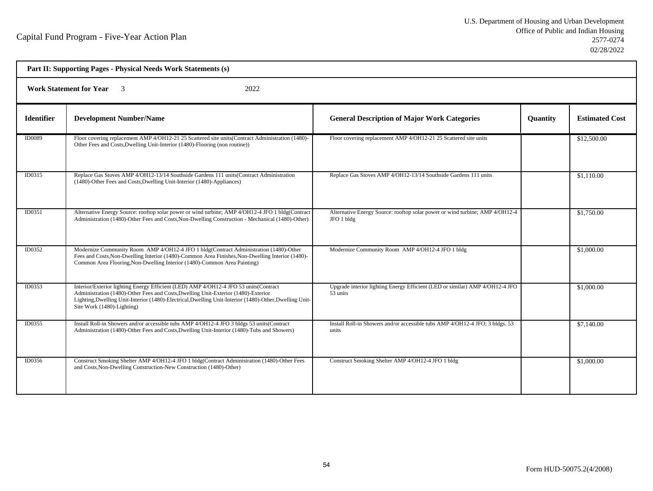| Part II: Supporting Pages - Physical Needs Work Statements (s) |                                                                                                                                                                                                                                                                                                                     |                                                                                            |          |                       |  |  |
|----------------------------------------------------------------|---------------------------------------------------------------------------------------------------------------------------------------------------------------------------------------------------------------------------------------------------------------------------------------------------------------------|--------------------------------------------------------------------------------------------|----------|-----------------------|--|--|
|                                                                | <b>Work Statement for Year</b> 3<br>2022                                                                                                                                                                                                                                                                            |                                                                                            |          |                       |  |  |
| <b>Identifier</b>                                              | <b>Development Number/Name</b>                                                                                                                                                                                                                                                                                      | <b>General Description of Major Work Categories</b>                                        | Quantity | <b>Estimated Cost</b> |  |  |
| ID0089                                                         | Floor covering replacement AMP 4/OH12-21 25 Scattered site units (Contract Administration (1480)-<br>Other Fees and Costs, Dwelling Unit-Interior (1480)-Flooring (non routine))                                                                                                                                    | Floor covering replacement AMP 4/OH12-21 25 Scattered site units                           |          | \$12,500.00           |  |  |
| ID0315                                                         | Replace Gas Stoves AMP 4/OH12-13/14 Southside Gardens 111 units (Contract Administration<br>(1480)-Other Fees and Costs, Dwelling Unit-Interior (1480)-Appliances)                                                                                                                                                  | Replace Gas Stoves AMP 4/OH12-13/14 Southside Gardens 111 units                            |          | \$1,110.00            |  |  |
| ID0351                                                         | Alternative Energy Source: rooftop solar power or wind turbine; AMP 4/OH12-4 JFO 1 bldg(Contract<br>Administration (1480)-Other Fees and Costs, Non-Dwelling Construction - Mechanical (1480)-Other)                                                                                                                | Alternative Energy Source: rooftop solar power or wind turbine; AMP 4/OH12-4<br>JFO 1 bldg |          | \$1,750.00            |  |  |
| ID0352                                                         | Modernize Community Room AMP 4/OH12-4 JFO 1 bldg(Contract Administration (1480)-Other<br>Fees and Costs, Non-Dwelling Interior (1480)-Common Area Finishes, Non-Dwelling Interior (1480)-<br>Common Area Flooring, Non-Dwelling Interior (1480)-Common Area Painting)                                               | Modernize Community Room AMP 4/OH12-4 JFO 1 bldg                                           |          | \$1,000.00            |  |  |
| <b>ID0353</b>                                                  | Interior/Exterior lighting Energy Efficient (LED) AMP 4/OH12-4 JFO 53 units(Contract<br>Administration (1480)-Other Fees and Costs, Dwelling Unit-Exterior (1480)-Exterior<br>Lighting, Dwelling Unit-Interior (1480)-Electrical, Dwelling Unit-Interior (1480)-Other, Dwelling Unit-<br>Site Work (1480)-Lighting) | Upgrade interior lighting Energy Efficient (LED or similar) AMP 4/OH12-4 JFO<br>53 units   |          | \$1,000.00            |  |  |
| ID0355                                                         | Install Roll-in Showers and/or accessible tubs AMP 4/OH12-4 JFO 3 bldgs 53 units (Contract<br>Administration (1480)-Other Fees and Costs, Dwelling Unit-Interior (1480)-Tubs and Showers)                                                                                                                           | Install Roll-in Showers and/or accessible tubs AMP 4/OH12-4 JFO; 3 bldgs. 53<br>units      |          | \$7,140.00            |  |  |
| ID0356                                                         | Construct Smoking Shelter AMP 4/OH12-4 JFO 1 bldg(Contract Administration (1480)-Other Fees<br>and Costs, Non-Dwelling Construction-New Construction (1480)-Other)                                                                                                                                                  | Construct Smoking Shelter AMP 4/OH12-4 JFO 1 bldg                                          |          | \$1,000.00            |  |  |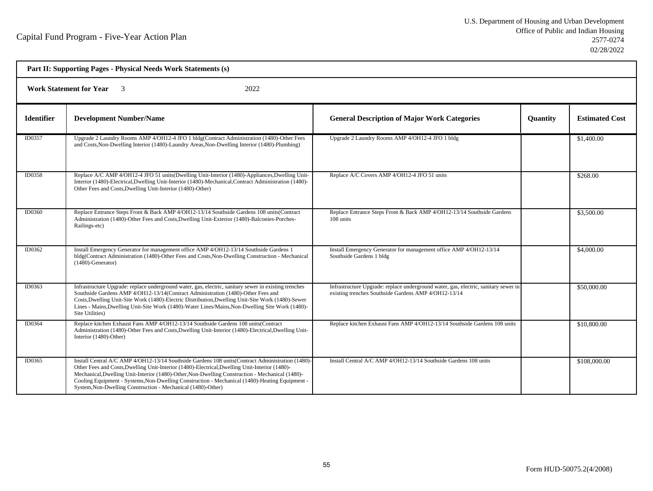| Part II: Supporting Pages - Physical Needs Work Statements (s) |                                                                                                                                                                                                                                                                                                                                                                                                                                                                          |                                                                                                                                             |                 |                       |  |  |
|----------------------------------------------------------------|--------------------------------------------------------------------------------------------------------------------------------------------------------------------------------------------------------------------------------------------------------------------------------------------------------------------------------------------------------------------------------------------------------------------------------------------------------------------------|---------------------------------------------------------------------------------------------------------------------------------------------|-----------------|-----------------------|--|--|
|                                                                | <b>Work Statement for Year</b><br>2022<br>$\overline{\mathbf{3}}$                                                                                                                                                                                                                                                                                                                                                                                                        |                                                                                                                                             |                 |                       |  |  |
| <b>Identifier</b>                                              | <b>Development Number/Name</b>                                                                                                                                                                                                                                                                                                                                                                                                                                           | <b>General Description of Major Work Categories</b>                                                                                         | <b>Quantity</b> | <b>Estimated Cost</b> |  |  |
| ID0357                                                         | Upgrade 2 Laundry Rooms AMP 4/OH12-4 JFO 1 bldg(Contract Administration (1480)-Other Fees<br>and Costs, Non-Dwelling Interior (1480)-Laundry Areas, Non-Dwelling Interior (1480)-Plumbing)                                                                                                                                                                                                                                                                               | Upgrade 2 Laundry Rooms AMP 4/OH12-4 JFO 1 bldg                                                                                             |                 | \$1,400.00            |  |  |
| ID0358                                                         | Replace A/C AMP 4/OH12-4 JFO 51 units(Dwelling Unit-Interior (1480)-Appliances, Dwelling Unit-<br>Interior (1480)-Electrical, Dwelling Unit-Interior (1480)-Mechanical, Contract Administration (1480)-<br>Other Fees and Costs, Dwelling Unit-Interior (1480)-Other)                                                                                                                                                                                                    | Replace A/C Covers AMP 4/OH12-4 JFO 51 units                                                                                                |                 | \$268.00              |  |  |
| ID0360                                                         | Replace Entrance Steps Front & Back AMP 4/OH12-13/14 Southside Gardens 108 units (Contract<br>Administration (1480)-Other Fees and Costs, Dwelling Unit-Exterior (1480)-Balconies-Porches-<br>Railings-etc)                                                                                                                                                                                                                                                              | Replace Entrance Steps Front & Back AMP 4/OH12-13/14 Southside Gardens<br>108 units                                                         |                 | \$3,500.00            |  |  |
| ID0362                                                         | Install Emergency Generator for management office AMP 4/OH12-13/14 Southside Gardens 1<br>bldg(Contract Administration (1480)-Other Fees and Costs, Non-Dwelling Construction - Mechanical<br>$(1480)$ -Generator)                                                                                                                                                                                                                                                       | Install Emergency Generator for management office AMP 4/OH12-13/14<br>Southside Gardens 1 bldg                                              |                 | \$4,000.00            |  |  |
| ID0363                                                         | Infrastructure Upgrade: replace underground water, gas, electric, sanitary sewer in existing trenches<br>Southside Gardens AMP 4/OH12-13/14(Contract Administration (1480)-Other Fees and<br>Costs, Dwelling Unit-Site Work (1480)-Electric Distribution, Dwelling Unit-Site Work (1480)-Sewer<br>Lines - Mains, Dwelling Unit-Site Work (1480)-Water Lines/Mains, Non-Dwelling Site Work (1480)-<br>Site Utilities)                                                     | Infrastructure Upgrade: replace underground water, gas, electric, sanitary sewer in<br>existing trenches Southside Gardens AMP 4/OH12-13/14 |                 | \$50,000.00           |  |  |
| ID0364                                                         | Replace kitchen Exhaust Fans AMP 4/OH12-13/14 Southside Gardens 108 units (Contract<br>Administration (1480)-Other Fees and Costs, Dwelling Unit-Interior (1480)-Electrical, Dwelling Unit-<br>Interior (1480)-Other)                                                                                                                                                                                                                                                    | Replace kitchen Exhaust Fans AMP 4/OH12-13/14 Southside Gardens 108 units                                                                   |                 | \$10,800.00           |  |  |
| ID0365                                                         | Install Central A/C AMP 4/OH12-13/14 Southside Gardens 108 units (Contract Administration (1480)-<br>Other Fees and Costs, Dwelling Unit-Interior (1480)-Electrical, Dwelling Unit-Interior (1480)-<br>Mechanical, Dwelling Unit-Interior (1480)-Other, Non-Dwelling Construction - Mechanical (1480)-<br>Cooling Equipment - Systems, Non-Dwelling Construction - Mechanical (1480)-Heating Equipment -<br>System, Non-Dwelling Construction - Mechanical (1480)-Other) | Install Central A/C AMP 4/OH12-13/14 Southside Gardens 108 units                                                                            |                 | \$108,000.00          |  |  |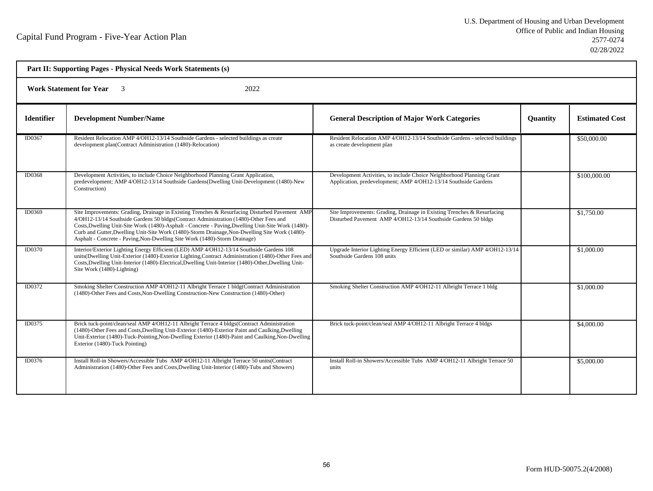| Part II: Supporting Pages - Physical Needs Work Statements (s) |                                                                                                                                                                                                                                                                                                                                                                                                                                                                               |                                                                                                                                           |                 |                       |  |  |
|----------------------------------------------------------------|-------------------------------------------------------------------------------------------------------------------------------------------------------------------------------------------------------------------------------------------------------------------------------------------------------------------------------------------------------------------------------------------------------------------------------------------------------------------------------|-------------------------------------------------------------------------------------------------------------------------------------------|-----------------|-----------------------|--|--|
|                                                                | <b>Work Statement for Year</b><br>2022                                                                                                                                                                                                                                                                                                                                                                                                                                        |                                                                                                                                           |                 |                       |  |  |
| <b>Identifier</b>                                              | <b>Development Number/Name</b>                                                                                                                                                                                                                                                                                                                                                                                                                                                | <b>General Description of Major Work Categories</b>                                                                                       | <b>Quantity</b> | <b>Estimated Cost</b> |  |  |
| ID0367                                                         | Resident Relocation AMP 4/OH12-13/14 Southside Gardens - selected buildings as create<br>development plan(Contract Administration (1480)-Relocation)                                                                                                                                                                                                                                                                                                                          | Resident Relocation AMP 4/OH12-13/14 Southside Gardens - selected buildings<br>as create development plan                                 |                 | \$50,000.00           |  |  |
| ID0368                                                         | Development Activities, to include Choice Neighborhood Planning Grant Application,<br>predevelopment; AMP 4/OH12-13/14 Southside Gardens(Dwelling Unit-Development (1480)-New<br>Construction)                                                                                                                                                                                                                                                                                | Development Activities, to include Choice Neighborhood Planning Grant<br>Application, predevelopment; AMP 4/OH12-13/14 Southside Gardens  |                 | \$100,000.00          |  |  |
| ID0369                                                         | Site Improvements: Grading, Drainage in Existing Trenches & Resurfacing Disturbed Pavement AMP<br>4/OH12-13/14 Southside Gardens 50 bldgs(Contract Administration (1480)-Other Fees and<br>Costs, Dwelling Unit-Site Work (1480)-Asphalt - Concrete - Paving, Dwelling Unit-Site Work (1480)-<br>Curb and Gutter, Dwelling Unit-Site Work (1480)-Storm Drainage, Non-Dwelling Site Work (1480)-<br>Asphalt - Concrete - Paving, Non-Dwelling Site Work (1480)-Storm Drainage) | Site Improvements: Grading, Drainage in Existing Trenches & Resurfacing<br>Disturbed Pavement AMP 4/OH12-13/14 Southside Gardens 50 bldgs |                 | \$1,750.00            |  |  |
| ID0370                                                         | Interior/Exterior Lighting Energy Efficient (LED) AMP 4/OH12-13/14 Southside Gardens 108<br>units(Dwelling Unit-Exterior (1480)-Exterior Lighting,Contract Administration (1480)-Other Fees and<br>Costs, Dwelling Unit-Interior (1480)-Electrical, Dwelling Unit-Interior (1480)-Other, Dwelling Unit-<br>Site Work (1480)-Lighting)                                                                                                                                         | Upgrade Interior Lighting Energy Efficient (LED or similar) AMP 4/OH12-13/14<br>Southside Gardens 108 units                               |                 | \$1,000.00            |  |  |
| ID0372                                                         | Smoking Shelter Construction AMP 4/OH12-11 Albright Terrace 1 bldg(Contract Administration<br>(1480)-Other Fees and Costs, Non-Dwelling Construction-New Construction (1480)-Other)                                                                                                                                                                                                                                                                                           | Smoking Shelter Construction AMP 4/OH12-11 Albright Terrace 1 bldg                                                                        |                 | \$1,000.00            |  |  |
| ID0375                                                         | Brick tuck-point/clean/seal AMP 4/OH12-11 Albright Terrace 4 bldgs(Contract Administration<br>(1480)-Other Fees and Costs, Dwelling Unit-Exterior (1480)-Exterior Paint and Caulking, Dwelling<br>Unit-Exterior (1480)-Tuck-Pointing, Non-Dwelling Exterior (1480)-Paint and Caulking, Non-Dwelling<br>Exterior (1480)-Tuck Pointing)                                                                                                                                         | Brick tuck-point/clean/seal AMP 4/OH12-11 Albright Terrace 4 bldgs                                                                        |                 | \$4,000.00            |  |  |
| ID0376                                                         | Install Roll-in Showers/Accessible Tubs AMP 4/OH12-11 Albright Terrace 50 units(Contract<br>Administration (1480)-Other Fees and Costs, Dwelling Unit-Interior (1480)-Tubs and Showers)                                                                                                                                                                                                                                                                                       | Install Roll-in Showers/Accessible Tubs AMP 4/OH12-11 Albright Terrace 50<br>units                                                        |                 | \$5,000.00            |  |  |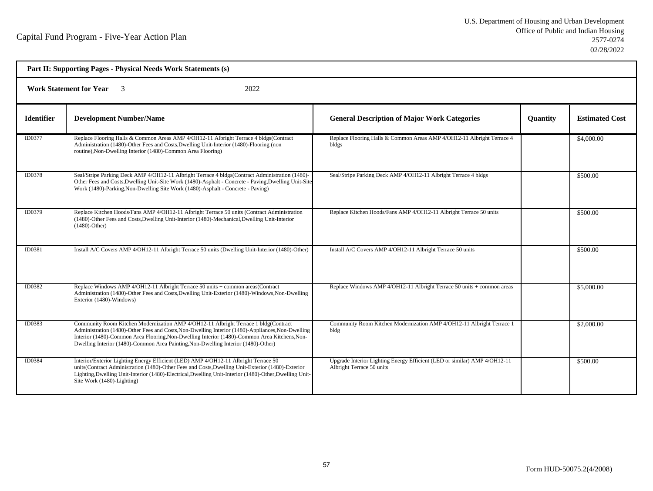| Part II: Supporting Pages - Physical Needs Work Statements (s) |                                                                                                                                                                                                                                                                                                                                                                                 |                                                                                                        |                 |                       |  |  |
|----------------------------------------------------------------|---------------------------------------------------------------------------------------------------------------------------------------------------------------------------------------------------------------------------------------------------------------------------------------------------------------------------------------------------------------------------------|--------------------------------------------------------------------------------------------------------|-----------------|-----------------------|--|--|
|                                                                | <b>Work Statement for Year</b><br>2022                                                                                                                                                                                                                                                                                                                                          |                                                                                                        |                 |                       |  |  |
| <b>Identifier</b>                                              | <b>Development Number/Name</b>                                                                                                                                                                                                                                                                                                                                                  | <b>General Description of Major Work Categories</b>                                                    | <b>Quantity</b> | <b>Estimated Cost</b> |  |  |
| ID0377                                                         | Replace Flooring Halls & Common Areas AMP 4/OH12-11 Albright Terrace 4 bldgs(Contract<br>Administration (1480)-Other Fees and Costs, Dwelling Unit-Interior (1480)-Flooring (non<br>routine), Non-Dwelling Interior (1480)-Common Area Flooring)                                                                                                                                | Replace Flooring Halls & Common Areas AMP 4/OH12-11 Albright Terrace 4<br>bldgs                        |                 | \$4,000.00            |  |  |
| ID0378                                                         | Seal/Stripe Parking Deck AMP 4/OH12-11 Albright Terrace 4 bldgs(Contract Administration (1480)-<br>Other Fees and Costs, Dwelling Unit-Site Work (1480)-Asphalt - Concrete - Paving, Dwelling Unit-Site<br>Work (1480)-Parking, Non-Dwelling Site Work (1480)-Asphalt - Concrete - Paving)                                                                                      | Seal/Stripe Parking Deck AMP 4/OH12-11 Albright Terrace 4 bldgs                                        |                 | \$500.00              |  |  |
| <b>ID0379</b>                                                  | Replace Kitchen Hoods/Fans AMP 4/OH12-11 Albright Terrace 50 units (Contract Administration<br>(1480)-Other Fees and Costs, Dwelling Unit-Interior (1480)-Mechanical, Dwelling Unit-Interior<br>$(1480)$ -Other)                                                                                                                                                                | Replace Kitchen Hoods/Fans AMP 4/OH12-11 Albright Terrace 50 units                                     |                 | \$500.00              |  |  |
| ID0381                                                         | Install A/C Covers AMP 4/OH12-11 Albright Terrace 50 units (Dwelling Unit-Interior (1480)-Other)                                                                                                                                                                                                                                                                                | Install A/C Covers AMP 4/OH12-11 Albright Terrace 50 units                                             |                 | \$500.00              |  |  |
| ID0382                                                         | Replace Windows AMP 4/OH12-11 Albright Terrace 50 units + common areas(Contract<br>Administration (1480)-Other Fees and Costs, Dwelling Unit-Exterior (1480)-Windows, Non-Dwelling<br>Exterior (1480)-Windows)                                                                                                                                                                  | Replace Windows AMP 4/OH12-11 Albright Terrace 50 units + common areas                                 |                 | \$5,000.00            |  |  |
| <b>ID0383</b>                                                  | Community Room Kitchen Modernization AMP 4/OH12-11 Albright Terrace 1 bldg(Contract<br>Administration (1480)-Other Fees and Costs, Non-Dwelling Interior (1480)-Appliances, Non-Dwelling<br>Interior (1480)-Common Area Flooring, Non-Dwelling Interior (1480)-Common Area Kitchens, Non-<br>Dwelling Interior (1480)-Common Area Painting, Non-Dwelling Interior (1480)-Other) | Community Room Kitchen Modernization AMP 4/OH12-11 Albright Terrace 1<br>bldg                          |                 | \$2,000.00            |  |  |
| ID0384                                                         | Interior/Exterior Lighting Energy Efficient (LED) AMP 4/OH12-11 Albright Terrace 50<br>units(Contract Administration (1480)-Other Fees and Costs, Dwelling Unit-Exterior (1480)-Exterior<br>Lighting, Dwelling Unit-Interior (1480)-Electrical, Dwelling Unit-Interior (1480)-Other, Dwelling Unit-<br>Site Work (1480)-Lighting)                                               | Upgrade Interior Lighting Energy Efficient (LED or similar) AMP 4/OH12-11<br>Albright Terrace 50 units |                 | \$500.00              |  |  |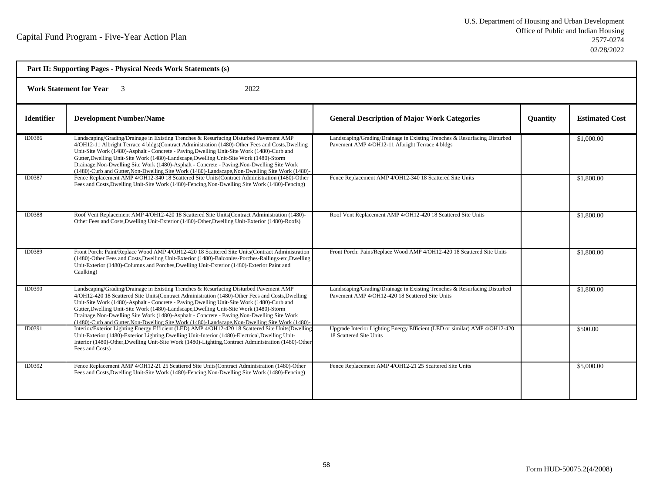| Part II: Supporting Pages - Physical Needs Work Statements (s) |                                                                                                                                                                                                                                                                                                                                                                                                                                                                                                                                                                                       |                                                                                                                              |          |                       |  |
|----------------------------------------------------------------|---------------------------------------------------------------------------------------------------------------------------------------------------------------------------------------------------------------------------------------------------------------------------------------------------------------------------------------------------------------------------------------------------------------------------------------------------------------------------------------------------------------------------------------------------------------------------------------|------------------------------------------------------------------------------------------------------------------------------|----------|-----------------------|--|
| <b>Work Statement for Year</b><br>2022                         |                                                                                                                                                                                                                                                                                                                                                                                                                                                                                                                                                                                       |                                                                                                                              |          |                       |  |
| <b>Identifier</b>                                              | <b>Development Number/Name</b>                                                                                                                                                                                                                                                                                                                                                                                                                                                                                                                                                        | <b>General Description of Major Work Categories</b>                                                                          | Quantity | <b>Estimated Cost</b> |  |
| ID0386                                                         | Landscaping/Grading/Drainage in Existing Trenches & Resurfacing Disturbed Pavement AMP<br>4/OH12-11 Albright Terrace 4 bldgs(Contract Administration (1480)-Other Fees and Costs, Dwelling<br>Unit-Site Work (1480)-Asphalt - Concrete - Paving, Dwelling Unit-Site Work (1480)-Curb and<br>Gutter, Dwelling Unit-Site Work (1480)-Landscape, Dwelling Unit-Site Work (1480)-Storm<br>Drainage, Non-Dwelling Site Work (1480)-Asphalt - Concrete - Paving, Non-Dwelling Site Work<br>(1480)-Curb and Gutter, Non-Dwelling Site Work (1480)-Landscape, Non-Dwelling Site Work (1480)-  | Landscaping/Grading/Drainage in Existing Trenches & Resurfacing Disturbed<br>Pavement AMP 4/OH12-11 Albright Terrace 4 bldgs |          | \$1,000.00            |  |
| ID0387                                                         | Fence Replacement AMP 4/OH12-340 18 Scattered Site Units(Contract Administration (1480)-Other<br>Fees and Costs, Dwelling Unit-Site Work (1480)-Fencing, Non-Dwelling Site Work (1480)-Fencing)                                                                                                                                                                                                                                                                                                                                                                                       | Fence Replacement AMP 4/OH12-340 18 Scattered Site Units                                                                     |          | \$1,800.00            |  |
| <b>ID0388</b>                                                  | Roof Vent Replacement AMP 4/OH12-420 18 Scattered Site Units(Contract Administration (1480)-<br>Other Fees and Costs, Dwelling Unit-Exterior (1480)-Other, Dwelling Unit-Exterior (1480)-Roofs)                                                                                                                                                                                                                                                                                                                                                                                       | Roof Vent Replacement AMP 4/OH12-420 18 Scattered Site Units                                                                 |          | \$1,800.00            |  |
| ID0389                                                         | Front Porch: Paint/Replace Wood AMP 4/OH12-420 18 Scattered Site Units(Contract Administration<br>(1480)-Other Fees and Costs, Dwelling Unit-Exterior (1480)-Balconies-Porches-Railings-etc, Dwelling<br>Unit-Exterior (1480)-Columns and Porches, Dwelling Unit-Exterior (1480)-Exterior Paint and<br>Caulking)                                                                                                                                                                                                                                                                      | Front Porch: Paint/Replace Wood AMP 4/OH12-420 18 Scattered Site Units                                                       |          | \$1,800.00            |  |
| ID0390                                                         | Landscaping/Grading/Drainage in Existing Trenches & Resurfacing Disturbed Pavement AMP<br>4/OH12-420 18 Scattered Site Units (Contract Administration (1480)-Other Fees and Costs, Dwelling<br>Unit-Site Work (1480)-Asphalt - Concrete - Paving, Dwelling Unit-Site Work (1480)-Curb and<br>Gutter, Dwelling Unit-Site Work (1480)-Landscape, Dwelling Unit-Site Work (1480)-Storm<br>Drainage, Non-Dwelling Site Work (1480)-Asphalt - Concrete - Paving, Non-Dwelling Site Work<br>(1480)-Curb and Gutter, Non-Dwelling Site Work (1480)-Landscape, Non-Dwelling Site Work (1480)- | Landscaping/Grading/Drainage in Existing Trenches & Resurfacing Disturbed<br>Payement AMP 4/OH12-420 18 Scattered Site Units |          | \$1,800.00            |  |
| ID0391                                                         | Interior/Exterior Lighting Energy Efficient (LED) AMP 4/OH12-420 18 Scattered Site Units (Dwelling<br>Unit-Exterior (1480)-Exterior Lighting, Dwelling Unit-Interior (1480)-Electrical, Dwelling Unit-<br>Interior (1480)-Other, Dwelling Unit-Site Work (1480)-Lighting, Contract Administration (1480)-Other<br>Fees and Costs)                                                                                                                                                                                                                                                     | Upgrade Interior Lighting Energy Efficient (LED or similar) AMP 4/OH12-420<br>18 Scattered Site Units                        |          | \$500.00              |  |
| ID0392                                                         | Fence Replacement AMP 4/OH12-21 25 Scattered Site Units (Contract Administration (1480)-Other<br>Fees and Costs, Dwelling Unit-Site Work (1480)-Fencing, Non-Dwelling Site Work (1480)-Fencing)                                                                                                                                                                                                                                                                                                                                                                                       | Fence Replacement AMP 4/OH12-21 25 Scattered Site Units                                                                      |          | \$5,000.00            |  |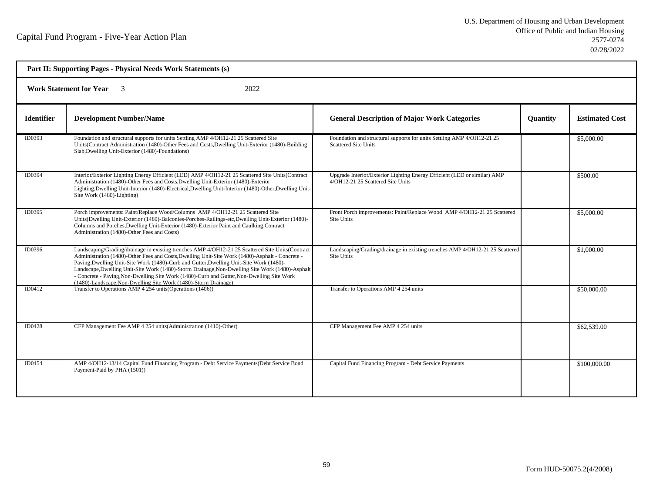| <b>Work Statement for Year</b><br>2022<br>$\overline{\mathbf{3}}$ |                                                                                                                                                                                                                                                                                                                                                                                                                                                                                                                                                                    |                                                                                                               |          |                       |  |
|-------------------------------------------------------------------|--------------------------------------------------------------------------------------------------------------------------------------------------------------------------------------------------------------------------------------------------------------------------------------------------------------------------------------------------------------------------------------------------------------------------------------------------------------------------------------------------------------------------------------------------------------------|---------------------------------------------------------------------------------------------------------------|----------|-----------------------|--|
| <b>Identifier</b>                                                 | <b>Development Number/Name</b>                                                                                                                                                                                                                                                                                                                                                                                                                                                                                                                                     | <b>General Description of Major Work Categories</b>                                                           | Quantity | <b>Estimated Cost</b> |  |
| ID0393                                                            | Foundation and structural supports for units Settling AMP 4/OH12-21 25 Scattered Site<br>Units (Contract Administration (1480)-Other Fees and Costs, Dwelling Unit-Exterior (1480)-Building<br>Slab, Dwelling Unit-Exterior (1480)-Foundations)                                                                                                                                                                                                                                                                                                                    | Foundation and structural supports for units Settling AMP 4/OH12-21 25<br><b>Scattered Site Units</b>         |          | \$5,000.00            |  |
| ID0394                                                            | Interior/Exterior Lighting Energy Efficient (LED) AMP 4/OH12-21 25 Scattered Site Units(Contract<br>Administration (1480)-Other Fees and Costs, Dwelling Unit-Exterior (1480)-Exterior<br>Lighting, Dwelling Unit-Interior (1480)-Electrical, Dwelling Unit-Interior (1480)-Other, Dwelling Unit-<br>Site Work (1480)-Lighting)                                                                                                                                                                                                                                    | Upgrade Interior/Exterior Lighting Energy Efficient (LED or similar) AMP<br>4/OH12-21 25 Scattered Site Units |          | \$500.00              |  |
| ID0395                                                            | Porch improvements: Paint/Replace Wood/Columns AMP 4/OH12-21 25 Scattered Site<br>Units(Dwelling Unit-Exterior (1480)-Balconies-Porches-Railings-etc,Dwelling Unit-Exterior (1480)-<br>Columns and Porches, Dwelling Unit-Exterior (1480)-Exterior Paint and Caulking, Contract<br>Administration (1480)-Other Fees and Costs)                                                                                                                                                                                                                                     | Front Porch improvements: Paint/Replace Wood AMP 4/OH12-21 25 Scattered<br>Site Units                         |          | \$5,000.00            |  |
| ID0396                                                            | Landscaping/Grading/drainage in existing trenches AMP 4/OH12-21 25 Scattered Site Units(Contract<br>Administration (1480)-Other Fees and Costs, Dwelling Unit-Site Work (1480)-Asphalt - Concrete -<br>Paving, Dwelling Unit-Site Work (1480)-Curb and Gutter, Dwelling Unit-Site Work (1480)-<br>Landscape, Dwelling Unit-Site Work (1480)-Storm Drainage, Non-Dwelling Site Work (1480)-Asphalt<br>- Concrete - Paving, Non-Dwelling Site Work (1480)-Curb and Gutter, Non-Dwelling Site Work<br>(1480)-Landscape, Non-Dwelling Site Work (1480)-Storm Drainage) | Landscaping/Grading/drainage in existing trenches AMP 4/OH12-21 25 Scattered<br>Site Units                    |          | \$1,000.00            |  |
| ID0412                                                            | Transfer to Operations AMP 4 254 units (Operations (1406))                                                                                                                                                                                                                                                                                                                                                                                                                                                                                                         | Transfer to Operations AMP 4 254 units                                                                        |          | \$50,000.00           |  |
| ID0428                                                            | CFP Management Fee AMP 4 254 units (Administration (1410)-Other)                                                                                                                                                                                                                                                                                                                                                                                                                                                                                                   | CFP Management Fee AMP 4 254 units                                                                            |          | \$62,539.00           |  |
| <b>ID0454</b>                                                     | AMP 4/OH12-13/14 Capital Fund Financing Program - Debt Service Payments(Debt Service Bond<br>Payment-Paid by PHA (1501))                                                                                                                                                                                                                                                                                                                                                                                                                                           | Capital Fund Financing Program - Debt Service Payments                                                        |          | \$100,000.00          |  |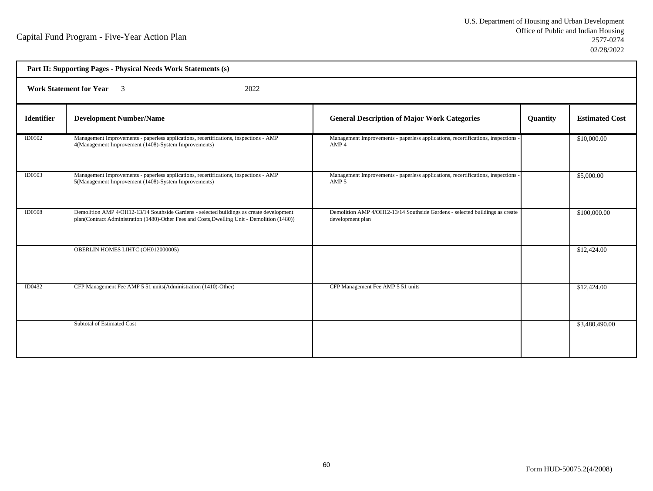| Part II: Supporting Pages - Physical Needs Work Statements (s) |                                                                                                                                                                                          |                                                                                                     |          |                       |  |  |
|----------------------------------------------------------------|------------------------------------------------------------------------------------------------------------------------------------------------------------------------------------------|-----------------------------------------------------------------------------------------------------|----------|-----------------------|--|--|
|                                                                | <b>Work Statement for Year</b><br>$\overline{\mathbf{3}}$<br>2022                                                                                                                        |                                                                                                     |          |                       |  |  |
| <b>Identifier</b>                                              | <b>Development Number/Name</b>                                                                                                                                                           | <b>General Description of Major Work Categories</b>                                                 | Quantity | <b>Estimated Cost</b> |  |  |
| <b>ID0502</b>                                                  | Management Improvements - paperless applications, recertifications, inspections - AMP<br>4(Management Improvement (1408)-System Improvements)                                            | Management Improvements - paperless applications, recertifications, inspections -<br>AMP 4          |          | \$10,000.00           |  |  |
| <b>ID0503</b>                                                  | Management Improvements - paperless applications, recertifications, inspections - AMP<br>5(Management Improvement (1408)-System Improvements)                                            | Management Improvements - paperless applications, recertifications, inspections<br>AMP <sub>5</sub> |          | \$5,000.00            |  |  |
| <b>ID0508</b>                                                  | Demolition AMP 4/OH12-13/14 Southside Gardens - selected buildings as create development<br>plan(Contract Administration (1480)-Other Fees and Costs, Dwelling Unit - Demolition (1480)) | Demolition AMP 4/OH12-13/14 Southside Gardens - selected buildings as create<br>development plan    |          | \$100,000.00          |  |  |
|                                                                | OBERLIN HOMES LIHTC (OH012000005)                                                                                                                                                        |                                                                                                     |          | \$12,424.00           |  |  |
| ID0432                                                         | CFP Management Fee AMP 5 51 units (Administration (1410)-Other)                                                                                                                          | CFP Management Fee AMP 5 51 units                                                                   |          | \$12,424.00           |  |  |
|                                                                | Subtotal of Estimated Cost                                                                                                                                                               |                                                                                                     |          | \$3,480,490.00        |  |  |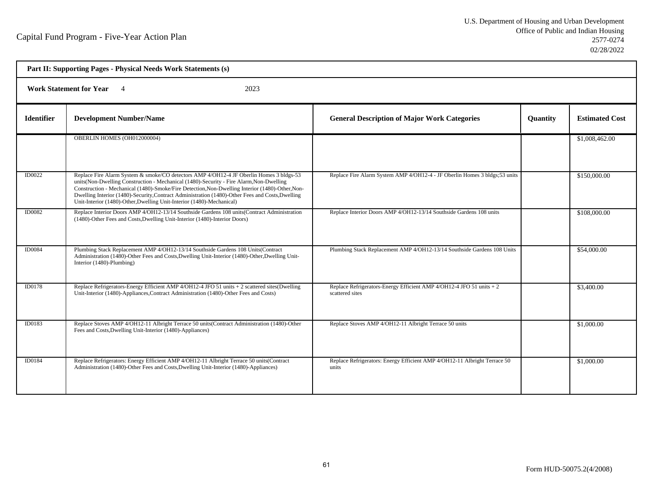| Part II: Supporting Pages - Physical Needs Work Statements (s) |                                                                                                                                                                                                                                                                                                                                                                                                                                                                    |                                                                                         |                 |                       |  |  |
|----------------------------------------------------------------|--------------------------------------------------------------------------------------------------------------------------------------------------------------------------------------------------------------------------------------------------------------------------------------------------------------------------------------------------------------------------------------------------------------------------------------------------------------------|-----------------------------------------------------------------------------------------|-----------------|-----------------------|--|--|
|                                                                | <b>Work Statement for Year</b><br>2023                                                                                                                                                                                                                                                                                                                                                                                                                             |                                                                                         |                 |                       |  |  |
| <b>Identifier</b>                                              | <b>Development Number/Name</b>                                                                                                                                                                                                                                                                                                                                                                                                                                     | <b>General Description of Major Work Categories</b>                                     | <b>Quantity</b> | <b>Estimated Cost</b> |  |  |
|                                                                | OBERLIN HOMES (OH012000004)                                                                                                                                                                                                                                                                                                                                                                                                                                        |                                                                                         |                 | \$1,008,462.00        |  |  |
| ID0022                                                         | Replace Fire Alarm System & smoke/CO detectors AMP 4/OH12-4 JF Oberlin Homes 3 bldgs-53<br>units(Non-Dwelling Construction - Mechanical (1480)-Security - Fire Alarm, Non-Dwelling<br>Construction - Mechanical (1480)-Smoke/Fire Detection, Non-Dwelling Interior (1480)-Other, Non-<br>Dwelling Interior (1480)-Security, Contract Administration (1480)-Other Fees and Costs, Dwelling<br>Unit-Interior (1480)-Other, Dwelling Unit-Interior (1480)-Mechanical) | Replace Fire Alarm System AMP 4/OH12-4 - JF Oberlin Homes 3 bldgs: 53 units             |                 | \$150,000.00          |  |  |
| <b>ID0082</b>                                                  | Replace Interior Doors AMP 4/OH12-13/14 Southside Gardens 108 units(Contract Administration<br>(1480)-Other Fees and Costs, Dwelling Unit-Interior (1480)-Interior Doors)                                                                                                                                                                                                                                                                                          | Replace Interior Doors AMP 4/OH12-13/14 Southside Gardens 108 units                     |                 | \$108,000.00          |  |  |
| <b>ID0084</b>                                                  | Plumbing Stack Replacement AMP 4/OH12-13/14 Southside Gardens 108 Units(Contract<br>Administration (1480)-Other Fees and Costs, Dwelling Unit-Interior (1480)-Other, Dwelling Unit-<br>Interior (1480)-Plumbing)                                                                                                                                                                                                                                                   | Plumbing Stack Replacement AMP 4/OH12-13/14 Southside Gardens 108 Units                 |                 | \$54,000.00           |  |  |
| ID0178                                                         | Replace Refrigerators-Energy Efficient AMP 4/OH12-4 JFO 51 units + 2 scattered sites(Dwelling<br>Unit-Interior (1480)-Appliances, Contract Administration (1480)-Other Fees and Costs)                                                                                                                                                                                                                                                                             | Replace Refrigerators-Energy Efficient AMP 4/OH12-4 JFO 51 units + 2<br>scattered sites |                 | \$3,400.00            |  |  |
| ID0183                                                         | Replace Stoves AMP 4/OH12-11 Albright Terrace 50 units(Contract Administration (1480)-Other<br>Fees and Costs, Dwelling Unit-Interior (1480)-Appliances)                                                                                                                                                                                                                                                                                                           | Replace Stoves AMP 4/OH12-11 Albright Terrace 50 units                                  |                 | \$1,000.00            |  |  |
| ID0184                                                         | Replace Refrigerators: Energy Efficient AMP 4/OH12-11 Albright Terrace 50 units (Contract<br>Administration (1480)-Other Fees and Costs, Dwelling Unit-Interior (1480)-Appliances)                                                                                                                                                                                                                                                                                 | Replace Refrigerators: Energy Efficient AMP 4/OH12-11 Albright Terrace 50<br>units      |                 | \$1,000.00            |  |  |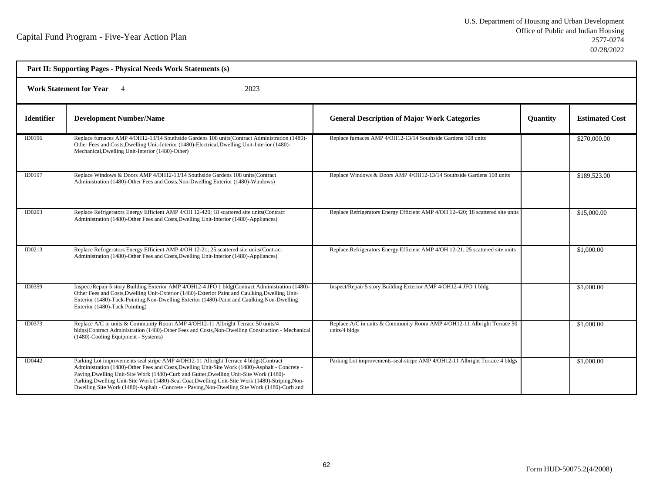| Part II: Supporting Pages - Physical Needs Work Statements (s) |                                                                                                                                                                                                                                                                                                                                                                                                                                                                                        |                                                                                          |                 |                       |  |
|----------------------------------------------------------------|----------------------------------------------------------------------------------------------------------------------------------------------------------------------------------------------------------------------------------------------------------------------------------------------------------------------------------------------------------------------------------------------------------------------------------------------------------------------------------------|------------------------------------------------------------------------------------------|-----------------|-----------------------|--|
|                                                                | <b>Work Statement for Year</b><br>2023                                                                                                                                                                                                                                                                                                                                                                                                                                                 |                                                                                          |                 |                       |  |
| <b>Identifier</b>                                              | <b>Development Number/Name</b>                                                                                                                                                                                                                                                                                                                                                                                                                                                         | <b>General Description of Major Work Categories</b>                                      | <b>Quantity</b> | <b>Estimated Cost</b> |  |
| ID0196                                                         | Replace furnaces AMP 4/OH12-13/14 Southside Gardens 108 units(Contract Administration (1480)-<br>Other Fees and Costs, Dwelling Unit-Interior (1480)-Electrical, Dwelling Unit-Interior (1480)-<br>Mechanical, Dwelling Unit-Interior (1480)-Other)                                                                                                                                                                                                                                    | Replace furnaces AMP 4/OH12-13/14 Southside Gardens 108 units                            |                 | \$270,000.00          |  |
| ID0197                                                         | Replace Windows & Doors AMP 4/OH12-13/14 Southside Gardens 108 units (Contract<br>Administration (1480)-Other Fees and Costs, Non-Dwelling Exterior (1480)-Windows)                                                                                                                                                                                                                                                                                                                    | Replace Windows & Doors AMP 4/OH12-13/14 Southside Gardens 108 units                     |                 | \$189,523.00          |  |
| ID0203                                                         | Replace Refrigerators Energy Efficient AMP 4/OH 12-420; 18 scattered site units(Contract<br>Administration (1480)-Other Fees and Costs, Dwelling Unit-Interior (1480)-Appliances)                                                                                                                                                                                                                                                                                                      | Replace Refrigerators Energy Efficient AMP 4/OH 12-420; 18 scattered site units          |                 | \$15,000.00           |  |
| ID0213                                                         | Replace Refrigerators Energy Efficient AMP 4/OH 12-21; 25 scattered site units (Contract<br>Administration (1480)-Other Fees and Costs, Dwelling Unit-Interior (1480)-Appliances)                                                                                                                                                                                                                                                                                                      | Replace Refrigerators Energy Efficient AMP 4/OH 12-21; 25 scattered site units           |                 | \$1,000.00            |  |
| ID0359                                                         | Inspect/Repair 5 story Building Exterior AMP 4/OH12-4 JFO 1 bldg(Contract Administration (1480)-<br>Other Fees and Costs, Dwelling Unit-Exterior (1480)-Exterior Paint and Caulking, Dwelling Unit-<br>Exterior (1480)-Tuck-Pointing, Non-Dwelling Exterior (1480)-Paint and Caulking, Non-Dwelling<br>Exterior (1480)-Tuck Pointing)                                                                                                                                                  | Inspect/Repair 5 story Building Exterior AMP 4/OH12-4 JFO 1 bldg                         |                 | \$1,000.00            |  |
| ID0373                                                         | Replace A/C in units & Community Room AMP 4/OH12-11 Albright Terrace 50 units/4<br>bldgs(Contract Administration (1480)-Other Fees and Costs, Non-Dwelling Construction - Mechanical<br>(1480)-Cooling Equipment - Systems)                                                                                                                                                                                                                                                            | Replace A/C in units & Community Room AMP 4/OH12-11 Albright Terrace 50<br>units/4 bldgs |                 | \$1,000.00            |  |
| ID0442                                                         | Parking Lot improvements seal stripe AMP 4/OH12-11 Albright Terrace 4 bldgs(Contract<br>Administration (1480)-Other Fees and Costs, Dwelling Unit-Site Work (1480)-Asphalt - Concrete -<br>Paving, Dwelling Unit-Site Work (1480)-Curb and Gutter, Dwelling Unit-Site Work (1480)-<br>Parking, Dwelling Unit-Site Work (1480)-Seal Coat, Dwelling Unit-Site Work (1480)-Striping, Non-<br>Dwelling Site Work (1480)-Asphalt - Concrete - Paving Non-Dwelling Site Work (1480)-Curb and | Parking Lot improvements-seal-stripe AMP 4/OH12-11 Albright Terrace 4 bldgs              |                 | \$1,000.00            |  |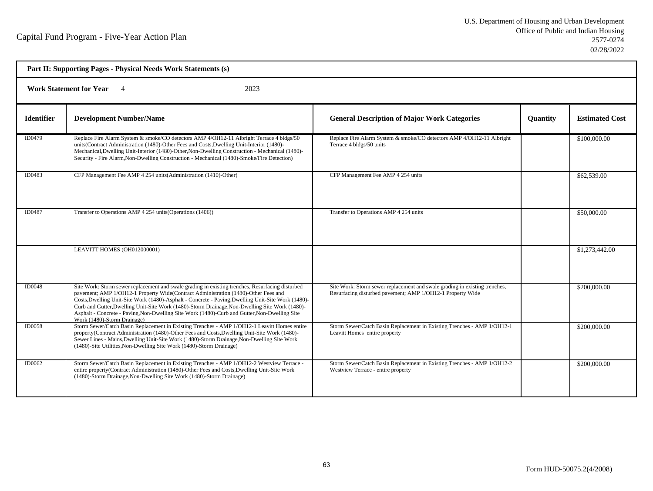| Part II: Supporting Pages - Physical Needs Work Statements (s) |                                                                                                                                                                                                                                                                                                                                                                                                                                                                                                                                |                                                                                                                                          |                 |                       |  |
|----------------------------------------------------------------|--------------------------------------------------------------------------------------------------------------------------------------------------------------------------------------------------------------------------------------------------------------------------------------------------------------------------------------------------------------------------------------------------------------------------------------------------------------------------------------------------------------------------------|------------------------------------------------------------------------------------------------------------------------------------------|-----------------|-----------------------|--|
| <b>Work Statement for Year</b><br>2023                         |                                                                                                                                                                                                                                                                                                                                                                                                                                                                                                                                |                                                                                                                                          |                 |                       |  |
| <b>Identifier</b>                                              | <b>Development Number/Name</b>                                                                                                                                                                                                                                                                                                                                                                                                                                                                                                 | <b>General Description of Major Work Categories</b>                                                                                      | <b>Quantity</b> | <b>Estimated Cost</b> |  |
| ID0479                                                         | Replace Fire Alarm System & smoke/CO detectors AMP 4/OH12-11 Albright Terrace 4 bldgs/50<br>units(Contract Administration (1480)-Other Fees and Costs, Dwelling Unit-Interior (1480)-<br>Mechanical, Dwelling Unit-Interior (1480)-Other, Non-Dwelling Construction - Mechanical (1480)-<br>Security - Fire Alarm, Non-Dwelling Construction - Mechanical (1480)-Smoke/Fire Detection)                                                                                                                                         | Replace Fire Alarm System & smoke/CO detectors AMP 4/OH12-11 Albright<br>Terrace 4 bldgs/50 units                                        |                 | \$100,000.00          |  |
| ID0483                                                         | CFP Management Fee AMP 4 254 units (Administration (1410)-Other)                                                                                                                                                                                                                                                                                                                                                                                                                                                               | CFP Management Fee AMP 4 254 units                                                                                                       |                 | \$62,539.00           |  |
| ID0487                                                         | Transfer to Operations AMP 4 254 units (Operations (1406))                                                                                                                                                                                                                                                                                                                                                                                                                                                                     | Transfer to Operations AMP 4 254 units                                                                                                   |                 | \$50,000.00           |  |
|                                                                | LEAVITT HOMES (OH012000001)                                                                                                                                                                                                                                                                                                                                                                                                                                                                                                    |                                                                                                                                          |                 | \$1,273,442.00        |  |
| <b>ID0048</b>                                                  | Site Work: Storm sewer replacement and swale grading in existing trenches, Resurfacing disturbed<br>pavement; AMP 1/OH12-1 Property Wide(Contract Administration (1480)-Other Fees and<br>Costs, Dwelling Unit-Site Work (1480)-Asphalt - Concrete - Paving, Dwelling Unit-Site Work (1480)-<br>Curb and Gutter, Dwelling Unit-Site Work (1480)-Storm Drainage, Non-Dwelling Site Work (1480)-<br>Asphalt - Concrete - Paving, Non-Dwelling Site Work (1480)-Curb and Gutter, Non-Dwelling Site<br>Work (1480)-Storm Drainage) | Site Work: Storm sewer replacement and swale grading in existing trenches,<br>Resurfacing disturbed pavement; AMP 1/OH12-1 Property Wide |                 | \$200,000.00          |  |
| <b>ID0058</b>                                                  | Storm Sewer/Catch Basin Replacement in Existing Trenches - AMP 1/OH12-1 Leavitt Homes entire<br>property(Contract Administration (1480)-Other Fees and Costs, Dwelling Unit-Site Work (1480)-<br>Sewer Lines - Mains, Dwelling Unit-Site Work (1480)-Storm Drainage, Non-Dwelling Site Work<br>(1480)-Site Utilities, Non-Dwelling Site Work (1480)-Storm Drainage)                                                                                                                                                            | Storm Sewer/Catch Basin Replacement in Existing Trenches - AMP 1/OH12-1<br>Leavitt Homes entire property                                 |                 | \$200,000.00          |  |
| ID0062                                                         | Storm Sewer/Catch Basin Replacement in Existing Trenches - AMP 1/OH12-2 Westview Terrace -<br>entire property(Contract Administration (1480)-Other Fees and Costs, Dwelling Unit-Site Work<br>(1480)-Storm Drainage, Non-Dwelling Site Work (1480)-Storm Drainage)                                                                                                                                                                                                                                                             | Storm Sewer/Catch Basin Replacement in Existing Trenches - AMP 1/OH12-2<br>Westview Terrace - entire property                            |                 | \$200,000.00          |  |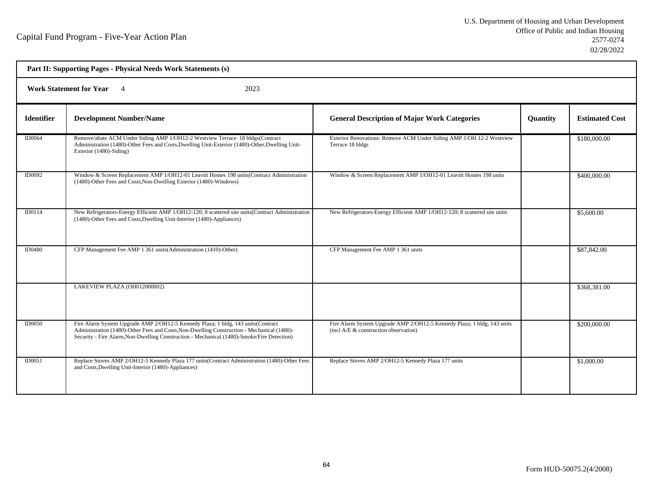| Part II: Supporting Pages - Physical Needs Work Statements (s) |                                                                                                                                                                                                                                                                              |                                                                                                                    |          |                       |  |  |
|----------------------------------------------------------------|------------------------------------------------------------------------------------------------------------------------------------------------------------------------------------------------------------------------------------------------------------------------------|--------------------------------------------------------------------------------------------------------------------|----------|-----------------------|--|--|
|                                                                | <b>Work Statement for Year</b> 4<br>2023                                                                                                                                                                                                                                     |                                                                                                                    |          |                       |  |  |
| <b>Identifier</b>                                              | <b>Development Number/Name</b>                                                                                                                                                                                                                                               | <b>General Description of Major Work Categories</b>                                                                | Quantity | <b>Estimated Cost</b> |  |  |
| ID0064                                                         | Remove/abate ACM Under Siding AMP 1/OH12-2 Westview Terrace 18 bldgs(Contract<br>Administration (1480)-Other Fees and Costs, Dwelling Unit-Exterior (1480)-Other, Dwelling Unit-<br>Exterior (1480)-Siding)                                                                  | Exterior Renovations: Remove ACM Under Siding AMP 1/OH 12-2 Westview<br>Terrace 18 bldgs                           |          | \$180,000.00          |  |  |
| <b>ID0092</b>                                                  | Window & Screen Replacement AMP 1/OH12-01 Leavitt Homes 198 units(Contract Administration<br>(1480)-Other Fees and Costs, Non-Dwelling Exterior (1480)-Windows)                                                                                                              | Window & Screen Replacement AMP 1/OH12-01 Leavitt Homes 198 units                                                  |          | \$400,000.00          |  |  |
| ID0114                                                         | New Refrigerators-Energy Efficient AMP 1/OH12-120; 8 scattered site units(Contract Administration<br>(1480)-Other Fees and Costs, Dwelling Unit-Interior (1480)-Appliances)                                                                                                  | New Refrigerators-Energy Efficient AMP 1/OH12-120; 8 scattered site units                                          |          | \$5,600.00            |  |  |
| ID0480                                                         | CFP Management Fee AMP 1 361 units (Administration (1410)-Other)                                                                                                                                                                                                             | CFP Management Fee AMP 1 361 units                                                                                 |          | \$87,842.00           |  |  |
|                                                                | LAKEVIEW PLAZA (OH012000002)                                                                                                                                                                                                                                                 |                                                                                                                    |          | \$368,381.00          |  |  |
| ID0050                                                         | Fire Alarm System Upgrade AMP 2/OH12-5 Kennedy Plaza; 1 bldg, 143 units(Contract<br>Administration (1480)-Other Fees and Costs, Non-Dwelling Construction - Mechanical (1480)-<br>Security - Fire Alarm, Non-Dwelling Construction - Mechanical (1480)-Smoke/Fire Detection) | Fire Alarm System Upgrade AMP 2/OH12-5 Kennedy Plaza; 1 bldg, 143 units<br>(incl $A/E$ & construction observation) |          | \$200,000.00          |  |  |
| ID0051                                                         | Replace Stoves AMP 2/OH12-5 Kennedy Plaza 177 units (Contract Administration (1480)-Other Fees<br>and Costs, Dwelling Unit-Interior (1480)-Appliances)                                                                                                                       | Replace Stoves AMP 2/OH12-5 Kennedy Plaza 177 units                                                                |          | \$1,000.00            |  |  |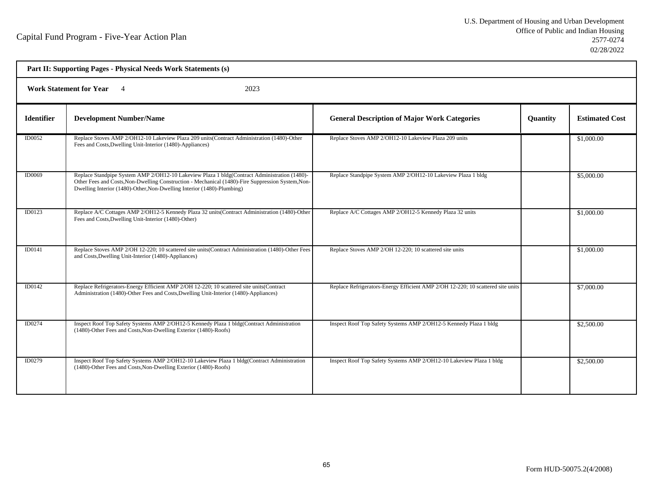| Part II: Supporting Pages - Physical Needs Work Statements (s) |                                                                                                                                                                                                                                                                             |                                                                                 |                 |                       |  |  |
|----------------------------------------------------------------|-----------------------------------------------------------------------------------------------------------------------------------------------------------------------------------------------------------------------------------------------------------------------------|---------------------------------------------------------------------------------|-----------------|-----------------------|--|--|
|                                                                | Work Statement for Year 4<br>2023                                                                                                                                                                                                                                           |                                                                                 |                 |                       |  |  |
| <b>Identifier</b>                                              | <b>Development Number/Name</b>                                                                                                                                                                                                                                              | <b>General Description of Major Work Categories</b>                             | <b>Quantity</b> | <b>Estimated Cost</b> |  |  |
| ID0052                                                         | Replace Stoves AMP 2/OH12-10 Lakeview Plaza 209 units(Contract Administration (1480)-Other<br>Fees and Costs, Dwelling Unit-Interior (1480)-Appliances)                                                                                                                     | Replace Stoves AMP 2/OH12-10 Lakeview Plaza 209 units                           |                 | \$1,000.00            |  |  |
| <b>ID0069</b>                                                  | Replace Standpipe System AMP 2/OH12-10 Lakeview Plaza 1 bldg(Contract Administration (1480)-<br>Other Fees and Costs, Non-Dwelling Construction - Mechanical (1480)-Fire Suppression System, Non-<br>Dwelling Interior (1480)-Other, Non-Dwelling Interior (1480)-Plumbing) | Replace Standpipe System AMP 2/OH12-10 Lakeview Plaza 1 bldg                    |                 | \$5,000.00            |  |  |
| <b>ID0123</b>                                                  | Replace A/C Cottages AMP 2/OH12-5 Kennedy Plaza 32 units(Contract Administration (1480)-Other<br>Fees and Costs, Dwelling Unit-Interior (1480)-Other)                                                                                                                       | Replace A/C Cottages AMP 2/OH12-5 Kennedy Plaza 32 units                        |                 | \$1,000.00            |  |  |
| ID0141                                                         | Replace Stoves AMP 2/OH 12-220; 10 scattered site units(Contract Administration (1480)-Other Fees<br>and Costs, Dwelling Unit-Interior (1480)-Appliances)                                                                                                                   | Replace Stoves AMP 2/OH 12-220; 10 scattered site units                         |                 | \$1,000.00            |  |  |
| ID0142                                                         | Replace Refrigerators-Energy Efficient AMP 2/OH 12-220; 10 scattered site units(Contract<br>Administration (1480)-Other Fees and Costs, Dwelling Unit-Interior (1480)-Appliances)                                                                                           | Replace Refrigerators-Energy Efficient AMP 2/OH 12-220; 10 scattered site units |                 | \$7,000.00            |  |  |
| ID0274                                                         | Inspect Roof Top Safety Systems AMP 2/OH12-5 Kennedy Plaza 1 bldg(Contract Administration<br>(1480)-Other Fees and Costs, Non-Dwelling Exterior (1480)-Roofs)                                                                                                               | Inspect Roof Top Safety Systems AMP 2/OH12-5 Kennedy Plaza 1 bldg               |                 | \$2,500.00            |  |  |
| ID0279                                                         | Inspect Roof Top Safety Systems AMP 2/OH12-10 Lakeview Plaza 1 bldg(Contract Administration<br>(1480)-Other Fees and Costs, Non-Dwelling Exterior (1480)-Roofs)                                                                                                             | Inspect Roof Top Safety Systems AMP 2/OH12-10 Lakeview Plaza 1 bldg             |                 | \$2,500.00            |  |  |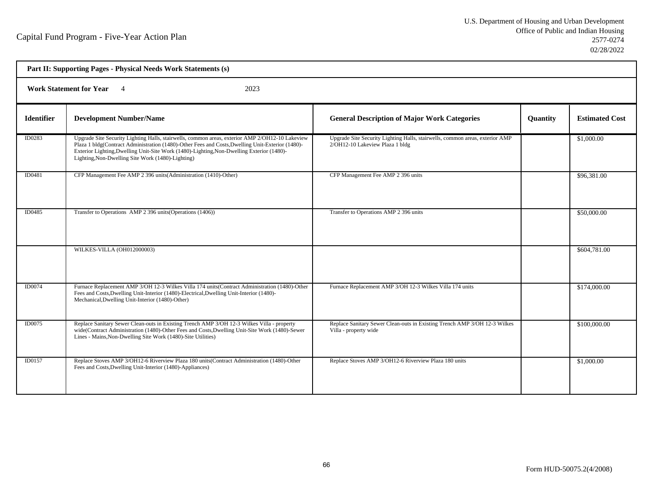| Part II: Supporting Pages - Physical Needs Work Statements (s) |                                                                                                                                                                                                                                                                                                                                                       |                                                                                                                 |                 |                       |  |  |
|----------------------------------------------------------------|-------------------------------------------------------------------------------------------------------------------------------------------------------------------------------------------------------------------------------------------------------------------------------------------------------------------------------------------------------|-----------------------------------------------------------------------------------------------------------------|-----------------|-----------------------|--|--|
|                                                                | <b>Work Statement for Year</b> 4<br>2023                                                                                                                                                                                                                                                                                                              |                                                                                                                 |                 |                       |  |  |
| <b>Identifier</b>                                              | <b>Development Number/Name</b>                                                                                                                                                                                                                                                                                                                        | <b>General Description of Major Work Categories</b>                                                             | <b>Quantity</b> | <b>Estimated Cost</b> |  |  |
| ID0283                                                         | Upgrade Site Security Lighting Halls, stairwells, common areas, exterior AMP 2/OH12-10 Lakeview<br>Plaza 1 bldg(Contract Administration (1480)-Other Fees and Costs, Dwelling Unit-Exterior (1480)-<br>Exterior Lighting, Dwelling Unit-Site Work (1480)-Lighting, Non-Dwelling Exterior (1480)-<br>Lighting, Non-Dwelling Site Work (1480)-Lighting) | Upgrade Site Security Lighting Halls, stairwells, common areas, exterior AMP<br>2/OH12-10 Lakeview Plaza 1 bldg |                 | \$1,000.00            |  |  |
| ID0481                                                         | CFP Management Fee AMP 2 396 units (Administration (1410)-Other)                                                                                                                                                                                                                                                                                      | CFP Management Fee AMP 2 396 units                                                                              |                 | \$96,381.00           |  |  |
| ID0485                                                         | Transfer to Operations AMP 2 396 units (Operations (1406))                                                                                                                                                                                                                                                                                            | Transfer to Operations AMP 2 396 units                                                                          |                 | \$50,000.00           |  |  |
|                                                                | WILKES-VILLA (OH012000003)                                                                                                                                                                                                                                                                                                                            |                                                                                                                 |                 | \$604,781.00          |  |  |
| ID0074                                                         | Furnace Replacement AMP 3/OH 12-3 Wilkes Villa 174 units(Contract Administration (1480)-Other<br>Fees and Costs, Dwelling Unit-Interior (1480)-Electrical, Dwelling Unit-Interior (1480)-<br>Mechanical, Dwelling Unit-Interior (1480)-Other)                                                                                                         | Furnace Replacement AMP 3/OH 12-3 Wilkes Villa 174 units                                                        |                 | \$174,000.00          |  |  |
| ID0075                                                         | Replace Sanitary Sewer Clean-outs in Existing Trench AMP 3/OH 12-3 Wilkes Villa - property<br>wide(Contract Administration (1480)-Other Fees and Costs, Dwelling Unit-Site Work (1480)-Sewer<br>Lines - Mains, Non-Dwelling Site Work (1480)-Site Utilities)                                                                                          | Replace Sanitary Sewer Clean-outs in Existing Trench AMP 3/OH 12-3 Wilkes<br>Villa - property wide              |                 | \$100,000.00          |  |  |
| <b>ID0157</b>                                                  | Replace Stoves AMP 3/OH12-6 Riverview Plaza 180 units(Contract Administration (1480)-Other<br>Fees and Costs, Dwelling Unit-Interior (1480)-Appliances)                                                                                                                                                                                               | Replace Stoves AMP 3/OH12-6 Riverview Plaza 180 units                                                           |                 | \$1,000.00            |  |  |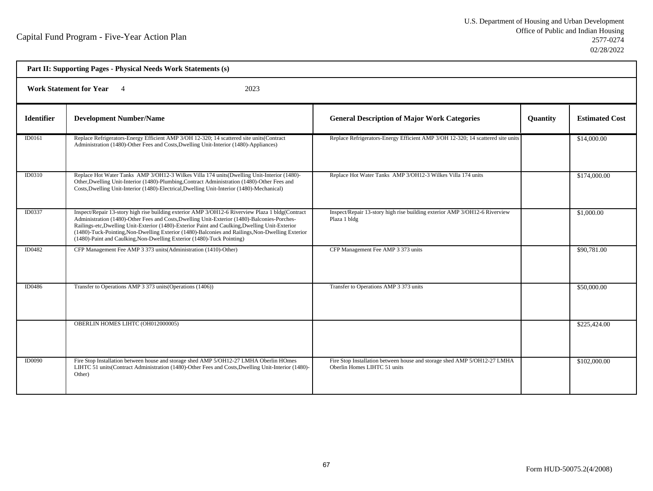| Part II: Supporting Pages - Physical Needs Work Statements (s) |                                                                                                                                                                                                                                                                                                                                                                                                                                                                                   |                                                                                                          |                 |                       |  |  |
|----------------------------------------------------------------|-----------------------------------------------------------------------------------------------------------------------------------------------------------------------------------------------------------------------------------------------------------------------------------------------------------------------------------------------------------------------------------------------------------------------------------------------------------------------------------|----------------------------------------------------------------------------------------------------------|-----------------|-----------------------|--|--|
|                                                                | 2023<br>Work Statement for Year 4                                                                                                                                                                                                                                                                                                                                                                                                                                                 |                                                                                                          |                 |                       |  |  |
| <b>Identifier</b>                                              | <b>Development Number/Name</b>                                                                                                                                                                                                                                                                                                                                                                                                                                                    | <b>General Description of Major Work Categories</b>                                                      | <b>Quantity</b> | <b>Estimated Cost</b> |  |  |
| ID0161                                                         | Replace Refrigerators-Energy Efficient AMP 3/OH 12-320; 14 scattered site units(Contract<br>Administration (1480)-Other Fees and Costs, Dwelling Unit-Interior (1480)-Appliances)                                                                                                                                                                                                                                                                                                 | Replace Refrigerators-Energy Efficient AMP 3/OH 12-320; 14 scattered site units                          |                 | \$14,000.00           |  |  |
| ID0310                                                         | Replace Hot Water Tanks AMP 3/OH12-3 Wilkes Villa 174 units (Dwelling Unit-Interior (1480)-<br>Other, Dwelling Unit-Interior (1480)-Plumbing, Contract Administration (1480)-Other Fees and<br>Costs, Dwelling Unit-Interior (1480)-Electrical, Dwelling Unit-Interior (1480)-Mechanical)                                                                                                                                                                                         | Replace Hot Water Tanks AMP 3/OH12-3 Wilkes Villa 174 units                                              |                 | \$174,000.00          |  |  |
| ID0337                                                         | Inspect/Repair 13-story high rise building exterior AMP 3/OH12-6 Riverview Plaza 1 bldg(Contract<br>Administration (1480)-Other Fees and Costs, Dwelling Unit-Exterior (1480)-Balconies-Porches-<br>Railings-etc, Dwelling Unit-Exterior (1480)-Exterior Paint and Caulking, Dwelling Unit-Exterior<br>(1480)-Tuck-Pointing, Non-Dwelling Exterior (1480)-Balconies and Railings, Non-Dwelling Exterior<br>(1480)-Paint and Caulking, Non-Dwelling Exterior (1480)-Tuck Pointing) | Inspect/Repair 13-story high rise building exterior AMP 3/OH12-6 Riverview<br>Plaza 1 bldg               |                 | \$1,000.00            |  |  |
| ID0482                                                         | CFP Management Fee AMP 3 373 units (Administration (1410)-Other)                                                                                                                                                                                                                                                                                                                                                                                                                  | CFP Management Fee AMP 3 373 units                                                                       |                 | \$90,781.00           |  |  |
| ID0486                                                         | Transfer to Operations AMP 3 373 units (Operations (1406))                                                                                                                                                                                                                                                                                                                                                                                                                        | Transfer to Operations AMP 3 373 units                                                                   |                 | \$50,000.00           |  |  |
|                                                                | OBERLIN HOMES LIHTC (OH012000005)                                                                                                                                                                                                                                                                                                                                                                                                                                                 |                                                                                                          |                 | \$225,424.00          |  |  |
| <b>ID0090</b>                                                  | Fire Stop Installation between house and storage shed AMP 5/OH12-27 LMHA Oberlin HOmes<br>LIHTC 51 units(Contract Administration (1480)-Other Fees and Costs, Dwelling Unit-Interior (1480)-<br>Other)                                                                                                                                                                                                                                                                            | Fire Stop Installation between house and storage shed AMP 5/OH12-27 LMHA<br>Oberlin Homes LIHTC 51 units |                 | \$102,000.00          |  |  |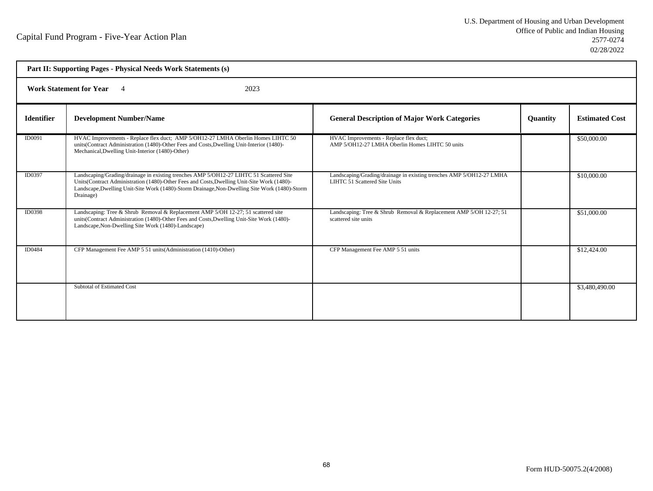| Part II: Supporting Pages - Physical Needs Work Statements (s) |                                                                                                                                                                                                                                                                                                     |                                                                                                       |                 |                       |  |  |
|----------------------------------------------------------------|-----------------------------------------------------------------------------------------------------------------------------------------------------------------------------------------------------------------------------------------------------------------------------------------------------|-------------------------------------------------------------------------------------------------------|-----------------|-----------------------|--|--|
|                                                                | <b>Work Statement for Year</b><br>2023<br>$\overline{4}$                                                                                                                                                                                                                                            |                                                                                                       |                 |                       |  |  |
| <b>Identifier</b>                                              | <b>Development Number/Name</b>                                                                                                                                                                                                                                                                      | <b>General Description of Major Work Categories</b>                                                   | <b>Quantity</b> | <b>Estimated Cost</b> |  |  |
| ID0091                                                         | HVAC Improvements - Replace flex duct; AMP 5/OH12-27 LMHA Oberlin Homes LIHTC 50<br>units(Contract Administration (1480)-Other Fees and Costs, Dwelling Unit-Interior (1480)-<br>Mechanical, Dwelling Unit-Interior (1480)-Other)                                                                   | HVAC Improvements - Replace flex duct;<br>AMP 5/OH12-27 LMHA Oberlin Homes LIHTC 50 units             |                 | \$50,000.00           |  |  |
| ID0397                                                         | Landscaping/Grading/drainage in existing trenches AMP 5/OH12-27 LIHTC 51 Scattered Site<br>Units(Contract Administration (1480)-Other Fees and Costs, Dwelling Unit-Site Work (1480)-<br>Landscape, Dwelling Unit-Site Work (1480)-Storm Drainage, Non-Dwelling Site Work (1480)-Storm<br>Drainage) | Landscaping/Grading/drainage in existing trenches AMP 5/OH12-27 LMHA<br>LIHTC 51 Scattered Site Units |                 | \$10,000.00           |  |  |
| ID0398                                                         | Landscaping: Tree & Shrub Removal & Replacement AMP 5/OH 12-27; 51 scattered site<br>units(Contract Administration (1480)-Other Fees and Costs, Dwelling Unit-Site Work (1480)-<br>Landscape, Non-Dwelling Site Work (1480)-Landscape)                                                              | Landscaping: Tree & Shrub Removal & Replacement AMP 5/OH 12-27; 51<br>scattered site units            |                 | \$51,000.00           |  |  |
| ID0484                                                         | CFP Management Fee AMP 5 51 units (Administration (1410)-Other)                                                                                                                                                                                                                                     | CFP Management Fee AMP 5 51 units                                                                     |                 | \$12,424.00           |  |  |
|                                                                | Subtotal of Estimated Cost                                                                                                                                                                                                                                                                          |                                                                                                       |                 | \$3,480,490.00        |  |  |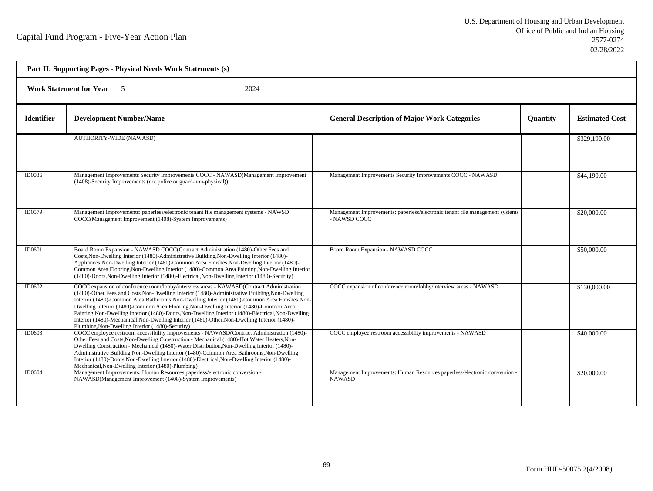| Part II: Supporting Pages - Physical Needs Work Statements (s) |                                                                                                                                                                                                                                                                                                                                                                                                                                                                                                                                                                                                                                                      |                                                                                              |                 |                       |  |  |
|----------------------------------------------------------------|------------------------------------------------------------------------------------------------------------------------------------------------------------------------------------------------------------------------------------------------------------------------------------------------------------------------------------------------------------------------------------------------------------------------------------------------------------------------------------------------------------------------------------------------------------------------------------------------------------------------------------------------------|----------------------------------------------------------------------------------------------|-----------------|-----------------------|--|--|
|                                                                | <b>Work Statement for Year</b><br>2024<br>- 5                                                                                                                                                                                                                                                                                                                                                                                                                                                                                                                                                                                                        |                                                                                              |                 |                       |  |  |
| <b>Identifier</b>                                              | <b>Development Number/Name</b>                                                                                                                                                                                                                                                                                                                                                                                                                                                                                                                                                                                                                       | <b>General Description of Major Work Categories</b>                                          | <b>Quantity</b> | <b>Estimated Cost</b> |  |  |
|                                                                | <b>AUTHORITY-WIDE (NAWASD)</b>                                                                                                                                                                                                                                                                                                                                                                                                                                                                                                                                                                                                                       |                                                                                              |                 | \$329,190.00          |  |  |
| ID0036                                                         | Management Improvements Security Improvements COCC - NAWASD(Management Improvement<br>(1408)-Security Improvements (not police or guard-non-physical))                                                                                                                                                                                                                                                                                                                                                                                                                                                                                               | Management Improvements Security Improvements COCC - NAWASD                                  |                 | \$44,190.00           |  |  |
| ID0579                                                         | Management Improvements: paperless/electronic tenant file management systems - NAWSD<br>COCC(Management Improvement (1408)-System Improvements)                                                                                                                                                                                                                                                                                                                                                                                                                                                                                                      | Management Improvements: paperless/electronic tenant file management systems<br>- NAWSD COCC |                 | \$20,000.00           |  |  |
| <b>ID0601</b>                                                  | Board Room Expansion - NAWASD COCC(Contract Administration (1480)-Other Fees and<br>Costs, Non-Dwelling Interior (1480)-Administrative Building, Non-Dwelling Interior (1480)-<br>Appliances, Non-Dwelling Interior (1480)-Common Area Finishes, Non-Dwelling Interior (1480)-<br>Common Area Flooring, Non-Dwelling Interior (1480)-Common Area Painting, Non-Dwelling Interior<br>(1480)-Doors, Non-Dwelling Interior (1480)-Electrical, Non-Dwelling Interior (1480)-Security)                                                                                                                                                                    | Board Room Expansion - NAWASD COCC                                                           |                 | \$50,000.00           |  |  |
| ID0602                                                         | COCC expansion of conference room/lobby/interview areas - NAWASD(Contract Administration<br>(1480)-Other Fees and Costs, Non-Dwelling Interior (1480)-Administrative Building, Non-Dwelling<br>Interior (1480)-Common Area Bathrooms, Non-Dwelling Interior (1480)-Common Area Finishes, Non-<br>Dwelling Interior (1480)-Common Area Flooring, Non-Dwelling Interior (1480)-Common Area<br>Painting, Non-Dwelling Interior (1480)-Doors, Non-Dwelling Interior (1480)-Electrical, Non-Dwelling<br>Interior (1480)-Mechanical, Non-Dwelling Interior (1480)-Other, Non-Dwelling Interior (1480)-<br>Plumbing, Non-Dwelling Interior (1480)-Security) | COCC expansion of conference room/lobby/interview areas - NAWASD                             |                 | \$130,000.00          |  |  |
| ID0603                                                         | COCC employee restroom accessibility improvements - NAWASD(Contract Administration (1480)-<br>Other Fees and Costs, Non-Dwelling Construction - Mechanical (1480)-Hot Water Heaters, Non-<br>Dwelling Construction - Mechanical (1480)-Water Distribution, Non-Dwelling Interior (1480)-<br>Administrative Building, Non-Dwelling Interior (1480)-Common Area Bathrooms, Non-Dwelling<br>Interior (1480)-Doors, Non-Dwelling Interior (1480)-Electrical, Non-Dwelling Interior (1480)-<br>Mechanical, Non-Dwelling Interior (1480)-Plumbing)                                                                                                         | COCC employee restroom accessibility improvements - NAWASD                                   |                 | \$40,000.00           |  |  |
| <b>ID0604</b>                                                  | Management Improvements: Human Resources paperless/electronic conversion -<br>NAWASD(Management Improvement (1408)-System Improvements)                                                                                                                                                                                                                                                                                                                                                                                                                                                                                                              | Management Improvements: Human Resources paperless/electronic conversion -<br><b>NAWASD</b>  |                 | \$20,000.00           |  |  |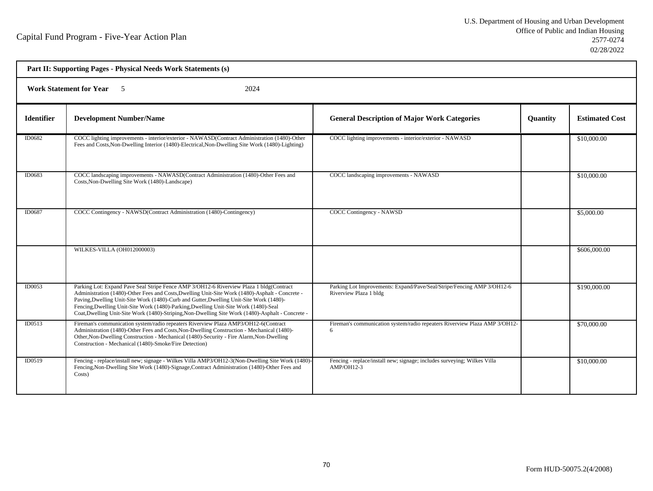| Part II: Supporting Pages - Physical Needs Work Statements (s) |                                                                                                                                                                                                                                                                                                                                                                                                                                                                                    |                                                                                                  |          |                       |  |  |
|----------------------------------------------------------------|------------------------------------------------------------------------------------------------------------------------------------------------------------------------------------------------------------------------------------------------------------------------------------------------------------------------------------------------------------------------------------------------------------------------------------------------------------------------------------|--------------------------------------------------------------------------------------------------|----------|-----------------------|--|--|
|                                                                | <b>Work Statement for Year</b> 5<br>2024                                                                                                                                                                                                                                                                                                                                                                                                                                           |                                                                                                  |          |                       |  |  |
| <b>Identifier</b>                                              | <b>Development Number/Name</b>                                                                                                                                                                                                                                                                                                                                                                                                                                                     | <b>General Description of Major Work Categories</b>                                              | Quantity | <b>Estimated Cost</b> |  |  |
| ID0682                                                         | COCC lighting improvements - interior/exterior - NAWASD(Contract Administration (1480)-Other<br>Fees and Costs, Non-Dwelling Interior (1480)-Electrical, Non-Dwelling Site Work (1480)-Lighting)                                                                                                                                                                                                                                                                                   | COCC lighting improvements - interior/exterior - NAWASD                                          |          | \$10,000.00           |  |  |
| ID0683                                                         | COCC landscaping improvements - NAWASD(Contract Administration (1480)-Other Fees and<br>Costs, Non-Dwelling Site Work (1480)-Landscape)                                                                                                                                                                                                                                                                                                                                            | COCC landscaping improvements - NAWASD                                                           |          | \$10,000.00           |  |  |
| ID0687                                                         | COCC Contingency - NAWSD(Contract Administration (1480)-Contingency)                                                                                                                                                                                                                                                                                                                                                                                                               | COCC Contingency - NAWSD                                                                         |          | \$5,000.00            |  |  |
|                                                                | WILKES-VILLA (OH012000003)                                                                                                                                                                                                                                                                                                                                                                                                                                                         |                                                                                                  |          | \$606,000.00          |  |  |
| ID0053                                                         | Parking Lot: Expand Pave Seal Stripe Fence AMP 3/OH12-6 Riverview Plaza 1 bldg(Contract<br>Administration (1480)-Other Fees and Costs, Dwelling Unit-Site Work (1480)-Asphalt - Concrete -<br>Paving, Dwelling Unit-Site Work (1480)-Curb and Gutter, Dwelling Unit-Site Work (1480)-<br>Fencing, Dwelling Unit-Site Work (1480)-Parking, Dwelling Unit-Site Work (1480)-Seal<br>Coat, Dwelling Unit-Site Work (1480)-Striping, Non-Dwelling Site Work (1480)-Asphalt - Concrete - | Parking Lot Improvements: Expand/Pave/Seal/Stripe/Fencing AMP 3/OH12-6<br>Riverview Plaza 1 bldg |          | \$190,000.00          |  |  |
| ID0513                                                         | Fireman's communication system/radio repeaters Riverview Plaza AMP3/OH12-6(Contract<br>Administration (1480)-Other Fees and Costs, Non-Dwelling Construction - Mechanical (1480)-<br>Other, Non-Dwelling Construction - Mechanical (1480)-Security - Fire Alarm, Non-Dwelling<br>Construction - Mechanical (1480)-Smoke/Fire Detection)                                                                                                                                            | Fireman's communication system/radio repeaters Riverview Plaza AMP 3/OH12-<br>6                  |          | \$70,000.00           |  |  |
| <b>ID0519</b>                                                  | Fencing - replace/install new; signage - Wilkes Villa AMP3/OH12-3(Non-Dwelling Site Work (1480)-<br>Fencing, Non-Dwelling Site Work (1480)-Signage, Contract Administration (1480)-Other Fees and<br>Costs)                                                                                                                                                                                                                                                                        | Fencing - replace/install new; signage; includes surveying; Wilkes Villa<br>$AMP/OH12-3$         |          | \$10,000.00           |  |  |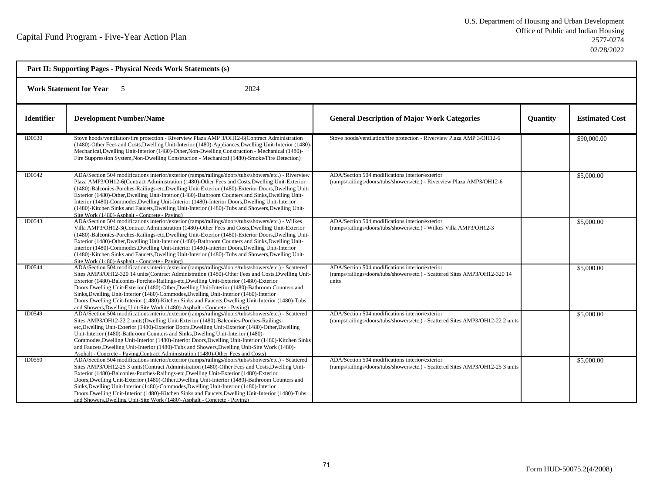|                   | Part II: Supporting Pages - Physical Needs Work Statements (s)                                                                                                                                                                                                                                                                                                                                                                                                                                                                                                                                                                                                                   |                                                                                                                                         |                 |                       |  |
|-------------------|----------------------------------------------------------------------------------------------------------------------------------------------------------------------------------------------------------------------------------------------------------------------------------------------------------------------------------------------------------------------------------------------------------------------------------------------------------------------------------------------------------------------------------------------------------------------------------------------------------------------------------------------------------------------------------|-----------------------------------------------------------------------------------------------------------------------------------------|-----------------|-----------------------|--|
|                   | <b>Work Statement for Year</b><br>2024<br>$\sim$ 5                                                                                                                                                                                                                                                                                                                                                                                                                                                                                                                                                                                                                               |                                                                                                                                         |                 |                       |  |
| <b>Identifier</b> | <b>Development Number/Name</b>                                                                                                                                                                                                                                                                                                                                                                                                                                                                                                                                                                                                                                                   | <b>General Description of Major Work Categories</b>                                                                                     | <b>Quantity</b> | <b>Estimated Cost</b> |  |
| <b>ID0530</b>     | Stove hoods/ventilation/fire protection - Riverview Plaza AMP 3/OH12-6(Contract Administration<br>(1480)-Other Fees and Costs, Dwelling Unit-Interior (1480)-Appliances, Dwelling Unit-Interior (1480)-<br>Mechanical, Dwelling Unit-Interior (1480)-Other, Non-Dwelling Construction - Mechanical (1480)-<br>Fire Suppression System, Non-Dwelling Construction - Mechanical (1480)-Smoke/Fire Detection)                                                                                                                                                                                                                                                                       | Stove hoods/ventilation/fire protection - Riverview Plaza AMP 3/OH12-6                                                                  |                 | \$90,000.00           |  |
| ID0542            | ADA/Section 504 modifications interior/exterior (ramps/railings/doors/tubs/showers/etc.) - Riverview<br>Plaza AMP3/OH12-6(Contract Administration (1480)-Other Fees and Costs, Dwelling Unit-Exterior<br>(1480)-Balconies-Porches-Railings-etc, Dwelling Unit-Exterior (1480)-Exterior Doors, Dwelling Unit-<br>Exterior (1480)-Other, Dwelling Unit-Interior (1480)-Bathroom Counters and Sinks, Dwelling Unit-<br>Interior (1480)-Commodes, Dwelling Unit-Interior (1480)-Interior Doors, Dwelling Unit-Interior<br>(1480)-Kitchen Sinks and Faucets, Dwelling Unit-Interior (1480)-Tubs and Showers, Dwelling Unit-<br>Site Work (1480)-Asphalt - Concrete - Paving)          | ADA/Section 504 modifications interior/exterior<br>(ramps/railings/doors/tubs/showers/etc.) - Riverview Plaza AMP3/OH12-6               |                 | \$5,000.00            |  |
| ID0543            | ADA/Section 504 modifications interior/exterior (ramps/railings/doors/tubs/showers/etc.) - Wilkes<br>Villa AMP3/OH12-3(Contract Administration (1480)-Other Fees and Costs, Dwelling Unit-Exterior<br>(1480)-Balconies-Porches-Railings-etc, Dwelling Unit-Exterior (1480)-Exterior Doors, Dwelling Unit-<br>Exterior (1480)-Other, Dwelling Unit-Interior (1480)-Bathroom Counters and Sinks, Dwelling Unit-<br>Interior (1480)-Commodes, Dwelling Unit-Interior (1480)-Interior Doors, Dwelling Unit-Interior<br>(1480)-Kitchen Sinks and Faucets, Dwelling Unit-Interior (1480)-Tubs and Showers, Dwelling Unit-<br>Site Work (1480)-Asphalt - Concrete - Paving)             | ADA/Section 504 modifications interior/exterior<br>(ramps/railings/doors/tubs/showers/etc.) - Wilkes Villa AMP3/OH12-3                  |                 | \$5,000.00            |  |
| ID0544            | ADA/Section 504 modifications interior/exterior (ramps/railings/doors/tubs/showers/etc.) - Scattered<br>Sites AMP3/OH12-320 14 units(Contract Administration (1480)-Other Fees and Costs, Dwelling Unit-<br>Exterior (1480)-Balconies-Porches-Railings-etc, Dwelling Unit-Exterior (1480)-Exterior<br>Doors, Dwelling Unit-Exterior (1480)-Other, Dwelling Unit-Interior (1480)-Bathroom Counters and<br>Sinks, Dwelling Unit-Interior (1480)-Commodes, Dwelling Unit-Interior (1480)-Interior<br>Doors, Dwelling Unit-Interior (1480)-Kitchen Sinks and Faucets, Dwelling Unit-Interior (1480)-Tubs<br>and Showers, Dwelling Unit-Site Work (1480)-Asphalt - Concrete - Paving) | ADA/Section 504 modifications interior/exterior<br>(ramps/railings/doors/tubs/showers/etc.) - Scattered Sites AMP3/OH12-320 14<br>units |                 | \$5,000.00            |  |
| ID0549            | ADA/Section 504 modifications interior/exterior (ramps/railings/doors/tubs/showers/etc.) - Scattered<br>Sites AMP3/OH12-22 2 units (Dwelling Unit-Exterior (1480)-Balconies-Porches-Railings-<br>etc, Dwelling Unit-Exterior (1480)-Exterior Doors, Dwelling Unit-Exterior (1480)-Other, Dwelling<br>Unit-Interior (1480)-Bathroom Counters and Sinks, Dwelling Unit-Interior (1480)-<br>Commodes, Dwelling Unit-Interior (1480)-Interior Doors, Dwelling Unit-Interior (1480)-Kitchen Sinks<br>and Faucets, Dwelling Unit-Interior (1480)-Tubs and Showers, Dwelling Unit-Site Work (1480)-<br>Asphalt - Concrete - Paving Contract Administration (1480)-Other Fees and Costs) | ADA/Section 504 modifications interior/exterior<br>(ramps/railings/doors/tubs/showers/etc.) - Scattered Sites AMP3/OH12-22 2 units      |                 | \$5,000.00            |  |
| ID0550            | ADA/Section 504 modifications interior/exterior (ramps/railings/doors/tubs/showers/etc.) - Scattered<br>Sites AMP3/OH12-25 3 units(Contract Administration (1480)-Other Fees and Costs, Dwelling Unit-<br>Exterior (1480)-Balconies-Porches-Railings-etc, Dwelling Unit-Exterior (1480)-Exterior<br>Doors, Dwelling Unit-Exterior (1480)-Other, Dwelling Unit-Interior (1480)-Bathroom Counters and<br>Sinks, Dwelling Unit-Interior (1480)-Commodes, Dwelling Unit-Interior (1480)-Interior<br>Doors, Dwelling Unit-Interior (1480)-Kitchen Sinks and Faucets, Dwelling Unit-Interior (1480)-Tubs<br>and Showers, Dwelling Unit-Site Work (1480)-Asphalt - Concrete - Paving)   | ADA/Section 504 modifications interior/exterior<br>(ramps/railings/doors/tubs/showers/etc.) - Scattered Sites AMP3/OH12-25 3 units      |                 | \$5,000.00            |  |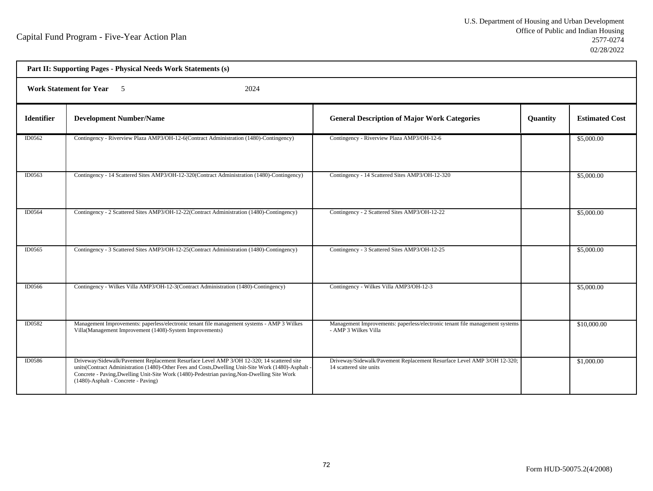| Part II: Supporting Pages - Physical Needs Work Statements (s) |                                                                                                                                                                                                                                                                                                                                        |                                                                                                      |          |                       |  |  |
|----------------------------------------------------------------|----------------------------------------------------------------------------------------------------------------------------------------------------------------------------------------------------------------------------------------------------------------------------------------------------------------------------------------|------------------------------------------------------------------------------------------------------|----------|-----------------------|--|--|
|                                                                | <b>Work Statement for Year</b> 5<br>2024                                                                                                                                                                                                                                                                                               |                                                                                                      |          |                       |  |  |
| <b>Identifier</b>                                              | <b>Development Number/Name</b>                                                                                                                                                                                                                                                                                                         | <b>General Description of Major Work Categories</b>                                                  | Quantity | <b>Estimated Cost</b> |  |  |
| ID0562                                                         | Contingency - Riverview Plaza AMP3/OH-12-6(Contract Administration (1480)-Contingency)                                                                                                                                                                                                                                                 | Contingency - Riverview Plaza AMP3/OH-12-6                                                           |          | \$5,000.00            |  |  |
| ID0563                                                         | Contingency - 14 Scattered Sites AMP3/OH-12-320(Contract Administration (1480)-Contingency)                                                                                                                                                                                                                                            | Contingency - 14 Scattered Sites AMP3/OH-12-320                                                      |          | \$5,000.00            |  |  |
| ID0564                                                         | Contingency - 2 Scattered Sites AMP3/OH-12-22(Contract Administration (1480)-Contingency)                                                                                                                                                                                                                                              | Contingency - 2 Scattered Sites AMP3/OH-12-22                                                        |          | \$5,000.00            |  |  |
| ID0565                                                         | Contingency - 3 Scattered Sites AMP3/OH-12-25(Contract Administration (1480)-Contingency)                                                                                                                                                                                                                                              | Contingency - 3 Scattered Sites AMP3/OH-12-25                                                        |          | \$5,000.00            |  |  |
| ID0566                                                         | Contingency - Wilkes Villa AMP3/OH-12-3(Contract Administration (1480)-Contingency)                                                                                                                                                                                                                                                    | Contingency - Wilkes Villa AMP3/OH-12-3                                                              |          | \$5,000.00            |  |  |
| ID0582                                                         | Management Improvements: paperless/electronic tenant file management systems - AMP 3 Wilkes<br>Villa(Management Improvement (1408)-System Improvements)                                                                                                                                                                                | Management Improvements: paperless/electronic tenant file management systems<br>- AMP 3 Wilkes Villa |          | \$10,000.00           |  |  |
| <b>ID0586</b>                                                  | Driveway/Sidewalk/Pavement Replacement Resurface Level AMP 3/OH 12-320; 14 scattered site<br>units(Contract Administration (1480)-Other Fees and Costs, Dwelling Unit-Site Work (1480)-Asphalt -<br>Concrete - Paving, Dwelling Unit-Site Work (1480)-Pedestrian paving, Non-Dwelling Site Work<br>(1480)-Asphalt - Concrete - Paving) | Driveway/Sidewalk/Pavement Replacement Resurface Level AMP 3/OH 12-320;<br>14 scattered site units   |          | \$1,000.00            |  |  |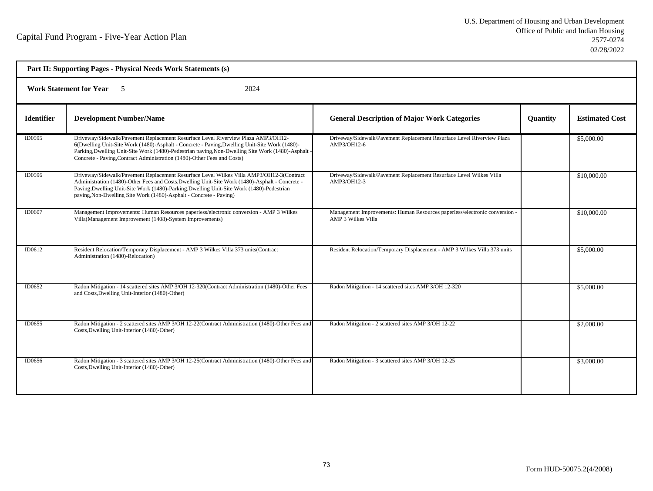| Part II: Supporting Pages - Physical Needs Work Statements (s) |                                                                                                                                                                                                                                                                                                                                                                     |                                                                                                         |                 |                       |  |  |
|----------------------------------------------------------------|---------------------------------------------------------------------------------------------------------------------------------------------------------------------------------------------------------------------------------------------------------------------------------------------------------------------------------------------------------------------|---------------------------------------------------------------------------------------------------------|-----------------|-----------------------|--|--|
|                                                                | 2024<br><b>Work Statement for Year</b> 5                                                                                                                                                                                                                                                                                                                            |                                                                                                         |                 |                       |  |  |
| <b>Identifier</b>                                              | <b>Development Number/Name</b>                                                                                                                                                                                                                                                                                                                                      | <b>General Description of Major Work Categories</b>                                                     | <b>Quantity</b> | <b>Estimated Cost</b> |  |  |
| ID0595                                                         | Driveway/Sidewalk/Pavement Replacement Resurface Level Riverview Plaza AMP3/OH12-<br>6(Dwelling Unit-Site Work (1480)-Asphalt - Concrete - Paving, Dwelling Unit-Site Work (1480)-<br>Parking, Dwelling Unit-Site Work (1480)-Pedestrian paving, Non-Dwelling Site Work (1480)-Asphalt -<br>Concrete - Paving, Contract Administration (1480)-Other Fees and Costs) | Driveway/Sidewalk/Pavement Replacement Resurface Level Riverview Plaza<br>AMP3/OH12-6                   |                 | \$5,000.00            |  |  |
| ID0596                                                         | Driveway/Sidewalk/Pavement Replacement Resurface Level Wilkes Villa AMP3/OH12-3(Contract<br>Administration (1480)-Other Fees and Costs, Dwelling Unit-Site Work (1480)-Asphalt - Concrete -<br>Paving, Dwelling Unit-Site Work (1480)-Parking, Dwelling Unit-Site Work (1480)-Pedestrian<br>paving, Non-Dwelling Site Work (1480)-Asphalt - Concrete - Paving)      | Driveway/Sidewalk/Pavement Replacement Resurface Level Wilkes Villa<br>AMP3/OH12-3                      |                 | \$10,000.00           |  |  |
| ID0607                                                         | Management Improvements: Human Resources paperless/electronic conversion - AMP 3 Wilkes<br>Villa(Management Improvement (1408)-System Improvements)                                                                                                                                                                                                                 | Management Improvements: Human Resources paperless/electronic conversion -<br><b>AMP 3 Wilkes Villa</b> |                 | \$10,000.00           |  |  |
| ID0612                                                         | Resident Relocation/Temporary Displacement - AMP 3 Wilkes Villa 373 units(Contract<br>Administration (1480)-Relocation)                                                                                                                                                                                                                                             | Resident Relocation/Temporary Displacement - AMP 3 Wilkes Villa 373 units                               |                 | \$5,000.00            |  |  |
| ID0652                                                         | Radon Mitigation - 14 scattered sites AMP 3/OH 12-320(Contract Administration (1480)-Other Fees<br>and Costs, Dwelling Unit-Interior (1480)-Other)                                                                                                                                                                                                                  | Radon Mitigation - 14 scattered sites AMP 3/OH 12-320                                                   |                 | \$5,000.00            |  |  |
| ID0655                                                         | Radon Mitigation - 2 scattered sites AMP 3/OH 12-22(Contract Administration (1480)-Other Fees and<br>Costs, Dwelling Unit-Interior (1480)-Other)                                                                                                                                                                                                                    | Radon Mitigation - 2 scattered sites AMP 3/OH 12-22                                                     |                 | \$2,000.00            |  |  |
| ID0656                                                         | Radon Mitigation - 3 scattered sites AMP 3/OH 12-25(Contract Administration (1480)-Other Fees and<br>Costs, Dwelling Unit-Interior (1480)-Other)                                                                                                                                                                                                                    | Radon Mitigation - 3 scattered sites AMP 3/OH 12-25                                                     |                 | \$3,000.00            |  |  |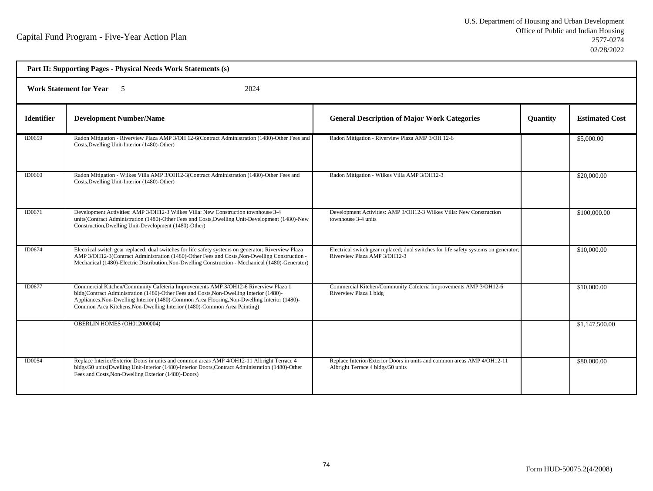| Part II: Supporting Pages - Physical Needs Work Statements (s) |                                                                                                                                                                                                                                                                                                                                                           |                                                                                                                      |          |                       |  |  |
|----------------------------------------------------------------|-----------------------------------------------------------------------------------------------------------------------------------------------------------------------------------------------------------------------------------------------------------------------------------------------------------------------------------------------------------|----------------------------------------------------------------------------------------------------------------------|----------|-----------------------|--|--|
|                                                                | <b>Work Statement for Year</b> 5<br>2024                                                                                                                                                                                                                                                                                                                  |                                                                                                                      |          |                       |  |  |
| <b>Identifier</b>                                              | <b>Development Number/Name</b>                                                                                                                                                                                                                                                                                                                            | <b>General Description of Major Work Categories</b>                                                                  | Quantity | <b>Estimated Cost</b> |  |  |
| ID0659                                                         | Radon Mitigation - Riverview Plaza AMP 3/OH 12-6(Contract Administration (1480)-Other Fees and<br>Costs, Dwelling Unit-Interior (1480)-Other)                                                                                                                                                                                                             | Radon Mitigation - Riverview Plaza AMP 3/OH 12-6                                                                     |          | \$5,000.00            |  |  |
| ID0660                                                         | Radon Mitigation - Wilkes Villa AMP 3/OH12-3(Contract Administration (1480)-Other Fees and<br>Costs, Dwelling Unit-Interior (1480)-Other)                                                                                                                                                                                                                 | Radon Mitigation - Wilkes Villa AMP 3/OH12-3                                                                         |          | \$20,000.00           |  |  |
| ID0671                                                         | Development Activities: AMP 3/OH12-3 Wilkes Villa: New Construction townhouse 3-4<br>units(Contract Administration (1480)-Other Fees and Costs, Dwelling Unit-Development (1480)-New<br>Construction, Dwelling Unit-Development (1480)-Other)                                                                                                             | Development Activities: AMP 3/OH12-3 Wilkes Villa: New Construction<br>townhouse 3-4 units                           |          | \$100,000.00          |  |  |
| ID0674                                                         | Electrical switch gear replaced; dual switches for life safety systems on generator; Riverview Plaza<br>AMP 3/OH12-3(Contract Administration (1480)-Other Fees and Costs, Non-Dwelling Construction -<br>Mechanical (1480)-Electric Distribution, Non-Dwelling Construction - Mechanical (1480)-Generator)                                                | Electrical switch gear replaced; dual switches for life safety systems on generator;<br>Riverview Plaza AMP 3/OH12-3 |          | \$10,000.00           |  |  |
| ID0677                                                         | Commercial Kitchen/Community Cafeteria Improvements AMP 3/OH12-6 Riverview Plaza 1<br>bldg(Contract Administration (1480)-Other Fees and Costs, Non-Dwelling Interior (1480)-<br>Appliances, Non-Dwelling Interior (1480)-Common Area Flooring, Non-Dwelling Interior (1480)-<br>Common Area Kitchens, Non-Dwelling Interior (1480)-Common Area Painting) | Commercial Kitchen/Community Cafeteria Improvements AMP 3/OH12-6<br>Riverview Plaza 1 bldg                           |          | \$10,000.00           |  |  |
|                                                                | OBERLIN HOMES (OH012000004)                                                                                                                                                                                                                                                                                                                               |                                                                                                                      |          | \$1,147,500.00        |  |  |
| ID0054                                                         | Replace Interior/Exterior Doors in units and common areas AMP 4/OH12-11 Albright Terrace 4<br>bldgs/50 units(Dwelling Unit-Interior (1480)-Interior Doors, Contract Administration (1480)-Other<br>Fees and Costs, Non-Dwelling Exterior (1480)-Doors)                                                                                                    | Replace Interior/Exterior Doors in units and common areas AMP 4/OH12-11<br>Albright Terrace 4 bldgs/50 units         |          | \$80,000.00           |  |  |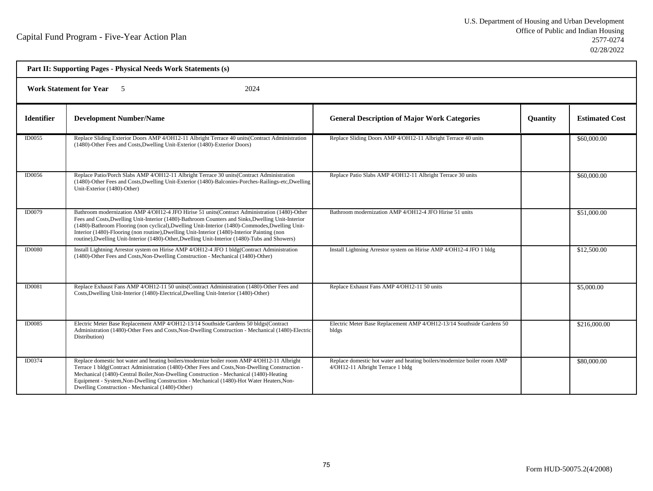| Part II: Supporting Pages - Physical Needs Work Statements (s) |                                                                                                                                                                                                                                                                                                                                                                                                                                                                                                        |                                                                                                               |                 |                       |  |  |
|----------------------------------------------------------------|--------------------------------------------------------------------------------------------------------------------------------------------------------------------------------------------------------------------------------------------------------------------------------------------------------------------------------------------------------------------------------------------------------------------------------------------------------------------------------------------------------|---------------------------------------------------------------------------------------------------------------|-----------------|-----------------------|--|--|
|                                                                | <b>Work Statement for Year</b> 5<br>2024                                                                                                                                                                                                                                                                                                                                                                                                                                                               |                                                                                                               |                 |                       |  |  |
| <b>Identifier</b>                                              | <b>Development Number/Name</b>                                                                                                                                                                                                                                                                                                                                                                                                                                                                         | <b>General Description of Major Work Categories</b>                                                           | <b>Quantity</b> | <b>Estimated Cost</b> |  |  |
| ID0055                                                         | Replace Sliding Exterior Doors AMP 4/OH12-11 Albright Terrace 40 units (Contract Administration<br>(1480)-Other Fees and Costs, Dwelling Unit-Exterior (1480)-Exterior Doors)                                                                                                                                                                                                                                                                                                                          | Replace Sliding Doors AMP 4/OH12-11 Albright Terrace 40 units                                                 |                 | \$60,000.00           |  |  |
| ID0056                                                         | Replace Patio/Porch Slabs AMP 4/OH12-11 Albright Terrace 30 units (Contract Administration<br>(1480)-Other Fees and Costs, Dwelling Unit-Exterior (1480)-Balconies-Porches-Railings-etc, Dwelling<br>Unit-Exterior (1480)-Other)                                                                                                                                                                                                                                                                       | Replace Patio Slabs AMP 4/OH12-11 Albright Terrace 30 units                                                   |                 | \$60,000.00           |  |  |
| ID0079                                                         | Bathroom modernization AMP 4/OH12-4 JFO Hirise 51 units(Contract Administration (1480)-Other<br>Fees and Costs, Dwelling Unit-Interior (1480)-Bathroom Counters and Sinks, Dwelling Unit-Interior<br>(1480)-Bathroom Flooring (non cyclical), Dwelling Unit-Interior (1480)-Commodes, Dwelling Unit-<br>Interior (1480)-Flooring (non routine), Dwelling Unit-Interior (1480)-Interior Painting (non<br>routine), Dwelling Unit-Interior (1480)-Other, Dwelling Unit-Interior (1480)-Tubs and Showers) | Bathroom modernization AMP 4/OH12-4 JFO Hirise 51 units                                                       |                 | \$51,000.00           |  |  |
| <b>ID0080</b>                                                  | Install Lightning Arrestor system on Hirise AMP 4/OH12-4 JFO 1 bldg(Contract Administration<br>(1480)-Other Fees and Costs, Non-Dwelling Construction - Mechanical (1480)-Other)                                                                                                                                                                                                                                                                                                                       | Install Lightning Arrestor system on Hirise AMP 4/OH12-4 JFO 1 bldg                                           |                 | \$12,500.00           |  |  |
| ID0081                                                         | Replace Exhaust Fans AMP 4/OH12-11 50 units (Contract Administration (1480)-Other Fees and<br>Costs, Dwelling Unit-Interior (1480)-Electrical, Dwelling Unit-Interior (1480)-Other)                                                                                                                                                                                                                                                                                                                    | Replace Exhaust Fans AMP 4/OH12-11 50 units                                                                   |                 | \$5,000.00            |  |  |
| ID0085                                                         | Electric Meter Base Replacement AMP 4/OH12-13/14 Southside Gardens 50 bldgs(Contract<br>Administration (1480)-Other Fees and Costs, Non-Dwelling Construction - Mechanical (1480)-Electric<br>Distribution)                                                                                                                                                                                                                                                                                            | Electric Meter Base Replacement AMP 4/OH12-13/14 Southside Gardens 50<br>bldgs                                |                 | \$216,000.00          |  |  |
| ID0374                                                         | Replace domestic hot water and heating boilers/modernize boiler room AMP 4/OH12-11 Albright<br>Terrace 1 bldg(Contract Administration (1480)-Other Fees and Costs, Non-Dwelling Construction -<br>Mechanical (1480)-Central Boiler, Non-Dwelling Construction - Mechanical (1480)-Heating<br>Equipment - System, Non-Dwelling Construction - Mechanical (1480)-Hot Water Heaters, Non-<br>Dwelling Construction - Mechanical (1480)-Other)                                                             | Replace domestic hot water and heating boilers/modernize boiler room AMP<br>4/OH12-11 Albright Terrace 1 bldg |                 | \$80,000.00           |  |  |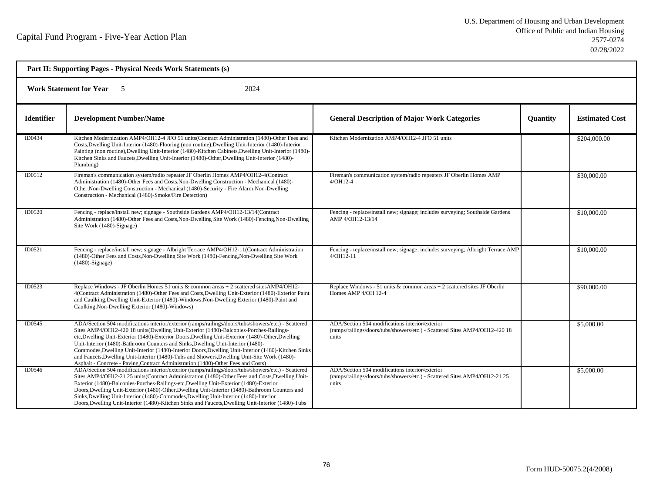| Part II: Supporting Pages - Physical Needs Work Statements (s) |                                                                                                                                                                                                                                                                                                                                                                                                                                                                                                                                                                                                                                                                                    |                                                                                                                                         |                 |                       |  |
|----------------------------------------------------------------|------------------------------------------------------------------------------------------------------------------------------------------------------------------------------------------------------------------------------------------------------------------------------------------------------------------------------------------------------------------------------------------------------------------------------------------------------------------------------------------------------------------------------------------------------------------------------------------------------------------------------------------------------------------------------------|-----------------------------------------------------------------------------------------------------------------------------------------|-----------------|-----------------------|--|
| <b>Work Statement for Year</b><br>2024<br>$\sim$ 5             |                                                                                                                                                                                                                                                                                                                                                                                                                                                                                                                                                                                                                                                                                    |                                                                                                                                         |                 |                       |  |
| <b>Identifier</b>                                              | <b>Development Number/Name</b>                                                                                                                                                                                                                                                                                                                                                                                                                                                                                                                                                                                                                                                     | <b>General Description of Major Work Categories</b>                                                                                     | <b>Quantity</b> | <b>Estimated Cost</b> |  |
| ID0434                                                         | Kitchen Modernization AMP4/OH12-4 JFO 51 units(Contract Administration (1480)-Other Fees and<br>Costs, Dwelling Unit-Interior (1480)-Flooring (non routine), Dwelling Unit-Interior (1480)-Interior<br>Painting (non routine), Dwelling Unit-Interior (1480)-Kitchen Cabinets, Dwelling Unit-Interior (1480)-<br>Kitchen Sinks and Faucets, Dwelling Unit-Interior (1480)-Other, Dwelling Unit-Interior (1480)-<br>Plumbing)                                                                                                                                                                                                                                                       | Kitchen Modernization AMP4/OH12-4 JFO 51 units                                                                                          |                 | \$204,000.00          |  |
| ID0512                                                         | Fireman's communication system/radio repeater JF Oberlin Homes AMP4/OH12-4(Contract<br>Administration (1480)-Other Fees and Costs, Non-Dwelling Construction - Mechanical (1480)-<br>Other, Non-Dwelling Construction - Mechanical (1480)-Security - Fire Alarm, Non-Dwelling<br>Construction - Mechanical (1480)-Smoke/Fire Detection)                                                                                                                                                                                                                                                                                                                                            | Fireman's communication system/radio repeaters JF Oberlin Homes AMP<br>$4/OH12-4$                                                       |                 | \$30,000.00           |  |
| ID0520                                                         | Fencing - replace/install new; signage - Southside Gardens AMP4/OH12-13/14(Contract<br>Administration (1480)-Other Fees and Costs, Non-Dwelling Site Work (1480)-Fencing, Non-Dwelling<br>Site Work (1480)-Signage)                                                                                                                                                                                                                                                                                                                                                                                                                                                                | Fencing - replace/install new; signage; includes surveying; Southside Gardens<br>AMP 4/OH12-13/14                                       |                 | \$10,000.00           |  |
| ID0521                                                         | Fencing - replace/install new; signage - Albright Terrace AMP4/OH12-11(Contract Administration<br>(1480)-Other Fees and Costs, Non-Dwelling Site Work (1480)-Fencing, Non-Dwelling Site Work<br>$(1480)$ -Signage)                                                                                                                                                                                                                                                                                                                                                                                                                                                                 | Fencing - replace/install new; signage; includes surveying; Albright Terrace AMP<br>$4/OH12-11$                                         |                 | \$10,000.00           |  |
| ID0523                                                         | Replace Windows - JF Oberlin Homes 51 units & common areas + 2 scattered sites AMP4/OH12-<br>4(Contract Administration (1480)-Other Fees and Costs, Dwelling Unit-Exterior (1480)-Exterior Paint<br>and Caulking, Dwelling Unit-Exterior (1480)-Windows, Non-Dwelling Exterior (1480)-Paint and<br>Caulking, Non-Dwelling Exterior (1480)-Windows)                                                                                                                                                                                                                                                                                                                                 | Replace Windows - 51 units & common areas $+2$ scattered sites JF Oberlin<br>Homes AMP 4/OH 12-4                                        |                 | \$90,000.00           |  |
| ID0545                                                         | ADA/Section 504 modifications interior/exterior (ramps/railings/doors/tubs/showers/etc.) - Scattered<br>Sites AMP4/OH12-420 18 units(Dwelling Unit-Exterior (1480)-Balconies-Porches-Railings-<br>etc, Dwelling Unit-Exterior (1480)-Exterior Doors, Dwelling Unit-Exterior (1480)-Other, Dwelling<br>Unit-Interior (1480)-Bathroom Counters and Sinks, Dwelling Unit-Interior (1480)-<br>Commodes, Dwelling Unit-Interior (1480)-Interior Doors, Dwelling Unit-Interior (1480)-Kitchen Sinks<br>and Faucets, Dwelling Unit-Interior (1480)-Tubs and Showers, Dwelling Unit-Site Work (1480)-<br>Asphalt - Concrete - Paving, Contract Administration (1480)-Other Fees and Costs) | ADA/Section 504 modifications interior/exterior<br>(ramps/railings/doors/tubs/showers/etc.) - Scattered Sites AMP4/OH12-420 18<br>units |                 | \$5,000.00            |  |
| ID0546                                                         | ADA/Section 504 modifications interior/exterior (ramps/railings/doors/tubs/showers/etc.) - Scattered<br>Sites AMP4/OH12-21 25 units (Contract Administration (1480)-Other Fees and Costs, Dwelling Unit-<br>Exterior (1480)-Balconies-Porches-Railings-etc, Dwelling Unit-Exterior (1480)-Exterior<br>Doors, Dwelling Unit-Exterior (1480)-Other, Dwelling Unit-Interior (1480)-Bathroom Counters and<br>Sinks, Dwelling Unit-Interior (1480)-Commodes, Dwelling Unit-Interior (1480)-Interior<br>Doors, Dwelling Unit-Interior (1480)-Kitchen Sinks and Faucets, Dwelling Unit-Interior (1480)-Tubs                                                                               | ADA/Section 504 modifications interior/exterior<br>(ramps/railings/doors/tubs/showers/etc.) - Scattered Sites AMP4/OH12-21 25<br>units  |                 | \$5,000.00            |  |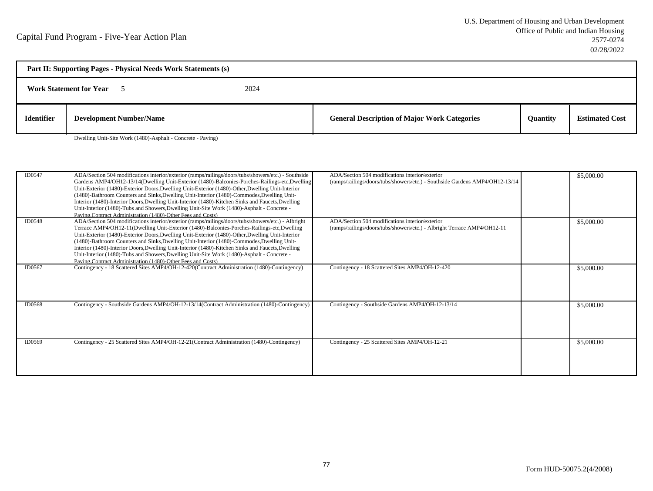| Part II: Supporting Pages - Physical Needs Work Statements (s) |                                                             |      |                                                     |                 |                       |
|----------------------------------------------------------------|-------------------------------------------------------------|------|-----------------------------------------------------|-----------------|-----------------------|
|                                                                | <b>Work Statement for Year</b>                              | 2024 |                                                     |                 |                       |
| <b>Identifier</b>                                              | <b>Development Number/Name</b>                              |      | <b>General Description of Major Work Categories</b> | <b>Ouantity</b> | <b>Estimated Cost</b> |
|                                                                | Dwelling Unit-Site Work (1480)-Asphalt - Concrete - Paving) |      |                                                     |                 |                       |

ADA/Section 504 modifications interior/exterior (ramps/railings/doors/tubs/showers/etc.) - Southside ADA/Section 504 modifications interior/exterior \$5,000.000 \$5,000.00 Gardens AMP4/OH12-13/14(Dwelling Unit-Exterior (1480)-Balconies-Porches-Railings-etc,DwellingUnit-Exterior (1480)-Exterior Doors,Dwelling Unit-Exterior (1480)-Other,Dwelling Unit-Interior (1480)-Bathroom Counters and Sinks,Dwelling Unit-Interior (1480)-Commodes,Dwelling Unit-Interior (1480)-Interior Doors,Dwelling Unit-Interior (1480)-Kitchen Sinks and Faucets,DwellingUnit-Interior (1480)-Tubs and Showers,Dwelling Unit-Site Work (1480)-Asphalt - Concrete -Paving,Contract Administration (1480)-Other Fees and Costs) ADA/Section 504 modifications interior/exterior (ramps/railings/doors/tubs/showers/etc.) - Albright ADA/Section 504 modifications interior/exterior \$5,000.00ID0547(ramps/railings/doors/tubs/showers/etc.) - Southside Gardens AMP4/OH12-13/14Terrace AMP4/OH12-11(Dwelling Unit-Exterior (1480)-Balconies-Porches-Railings-etc,Dwelling Unit-Exterior (1480)-Exterior Doors,Dwelling Unit-Exterior (1480)-Other,Dwelling Unit-Interior (1480)-Bathroom Counters and Sinks,Dwelling Unit-Interior (1480)-Commodes,Dwelling Unit-Interior (1480)-Interior Doors,Dwelling Unit-Interior (1480)-Kitchen Sinks and Faucets,DwellingUnit-Interior (1480)-Tubs and Showers,Dwelling Unit-Site Work (1480)-Asphalt - Concrete -Paving,Contract Administration (1480)-Other Fees and Costs)Contingency - 18 Scattered Sites AMP4/OH-12-420(Contract Administration (1480)-Contingency) Contingency - 18 Scattered Sites AMP4/OH-12-420 \$5,000.00 ID0548(ramps/railings/doors/tubs/showers/etc.) - Albright Terrace AMP4/OH12-11ID0567ID0568 Contingency - Southside Gardens AMP4/OH-12-13/14(Contract Administration (1480)-Contingency) Contingency - Southside Gardens AMP4/OH-12-13/14 \$5,000.00ID0569Contingency - 25 Scattered Sites AMP4/OH-12-21(Contract Administration (1480)-Contingency) Contingency - 25 Scattered Sites AMP4/OH-12-21 \$5,000.00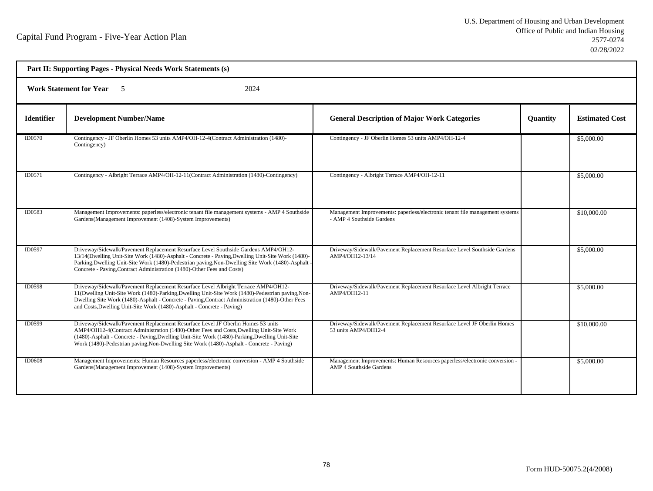| Part II: Supporting Pages - Physical Needs Work Statements (s) |                                                                                                                                                                                                                                                                                                                                                                             |                                                                                                              |          |                       |  |
|----------------------------------------------------------------|-----------------------------------------------------------------------------------------------------------------------------------------------------------------------------------------------------------------------------------------------------------------------------------------------------------------------------------------------------------------------------|--------------------------------------------------------------------------------------------------------------|----------|-----------------------|--|
| <b>Work Statement for Year</b><br>2024                         |                                                                                                                                                                                                                                                                                                                                                                             |                                                                                                              |          |                       |  |
| <b>Identifier</b>                                              | <b>Development Number/Name</b>                                                                                                                                                                                                                                                                                                                                              | <b>General Description of Major Work Categories</b>                                                          | Quantity | <b>Estimated Cost</b> |  |
| <b>ID0570</b>                                                  | Contingency - JF Oberlin Homes 53 units AMP4/OH-12-4(Contract Administration (1480)-<br>Contingency)                                                                                                                                                                                                                                                                        | Contingency - JF Oberlin Homes 53 units AMP4/OH-12-4                                                         |          | \$5,000.00            |  |
| ID0571                                                         | Contingency - Albright Terrace AMP4/OH-12-11(Contract Administration (1480)-Contingency)                                                                                                                                                                                                                                                                                    | Contingency - Albright Terrace AMP4/OH-12-11                                                                 |          | \$5,000.00            |  |
| ID0583                                                         | Management Improvements: paperless/electronic tenant file management systems - AMP 4 Southside<br>Gardens (Management Improvement (1408)-System Improvements)                                                                                                                                                                                                               | Management Improvements: paperless/electronic tenant file management systems<br>- AMP 4 Southside Gardens    |          | \$10,000.00           |  |
| ID0597                                                         | Driveway/Sidewalk/Pavement Replacement Resurface Level Southside Gardens AMP4/OH12-<br>13/14(Dwelling Unit-Site Work (1480)-Asphalt - Concrete - Paving, Dwelling Unit-Site Work (1480)-<br>Parking, Dwelling Unit-Site Work (1480)-Pedestrian paving, Non-Dwelling Site Work (1480)-Asphalt<br>Concrete - Paving, Contract Administration (1480)-Other Fees and Costs)     | Driveway/Sidewalk/Pavement Replacement Resurface Level Southside Gardens<br>AMP4/OH12-13/14                  |          | \$5,000.00            |  |
| ID0598                                                         | Driveway/Sidewalk/Pavement Replacement Resurface Level Albright Terrace AMP4/OH12-<br>11 (Dwelling Unit-Site Work (1480)-Parking, Dwelling Unit-Site Work (1480)-Pedestrian paving, Non-<br>Dwelling Site Work (1480)-Asphalt - Concrete - Paving Contract Administration (1480)-Other Fees<br>and Costs, Dwelling Unit-Site Work (1480)-Asphalt - Concrete - Paving)       | Driveway/Sidewalk/Pavement Replacement Resurface Level Albright Terrace<br>AMP4/OH12-11                      |          | \$5,000.00            |  |
| ID0599                                                         | Driveway/Sidewalk/Pavement Replacement Resurface Level JF Oberlin Homes 53 units<br>AMP4/OH12-4(Contract Administration (1480)-Other Fees and Costs, Dwelling Unit-Site Work<br>(1480)-Asphalt - Concrete - Paving, Dwelling Unit-Site Work (1480)-Parking, Dwelling Unit-Site<br>Work (1480)-Pedestrian paving, Non-Dwelling Site Work (1480)-Asphalt - Concrete - Paving) | Driveway/Sidewalk/Pavement Replacement Resurface Level JF Oberlin Homes<br>53 units AMP4/OH12-4              |          | \$10,000.00           |  |
| <b>ID0608</b>                                                  | Management Improvements: Human Resources paperless/electronic conversion - AMP 4 Southside<br>Gardens(Management Improvement (1408)-System Improvements)                                                                                                                                                                                                                    | Management Improvements: Human Resources paperless/electronic conversion -<br><b>AMP 4 Southside Gardens</b> |          | \$5,000.00            |  |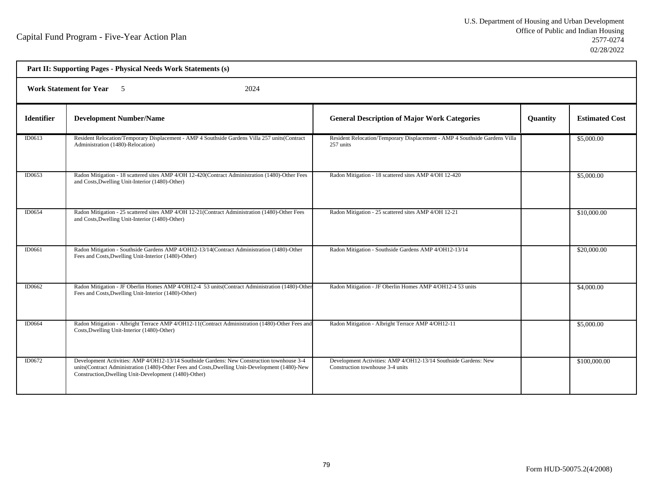| Part II: Supporting Pages - Physical Needs Work Statements (s) |                                                                                                                                                                                                                                                        |                                                                                                     |                 |                       |  |  |
|----------------------------------------------------------------|--------------------------------------------------------------------------------------------------------------------------------------------------------------------------------------------------------------------------------------------------------|-----------------------------------------------------------------------------------------------------|-----------------|-----------------------|--|--|
|                                                                | <b>Work Statement for Year</b> 5<br>2024                                                                                                                                                                                                               |                                                                                                     |                 |                       |  |  |
| <b>Identifier</b>                                              | <b>Development Number/Name</b>                                                                                                                                                                                                                         | <b>General Description of Major Work Categories</b>                                                 | <b>Quantity</b> | <b>Estimated Cost</b> |  |  |
| ID0613                                                         | Resident Relocation/Temporary Displacement - AMP 4 Southside Gardens Villa 257 units(Contract<br>Administration (1480)-Relocation)                                                                                                                     | Resident Relocation/Temporary Displacement - AMP 4 Southside Gardens Villa<br>257 units             |                 | \$5,000.00            |  |  |
| ID0653                                                         | Radon Mitigation - 18 scattered sites AMP 4/OH 12-420(Contract Administration (1480)-Other Fees<br>and Costs, Dwelling Unit-Interior (1480)-Other)                                                                                                     | Radon Mitigation - 18 scattered sites AMP 4/OH 12-420                                               |                 | \$5,000.00            |  |  |
| ID0654                                                         | Radon Mitigation - 25 scattered sites AMP 4/OH 12-21(Contract Administration (1480)-Other Fees<br>and Costs, Dwelling Unit-Interior (1480)-Other)                                                                                                      | Radon Mitigation - 25 scattered sites AMP 4/OH 12-21                                                |                 | \$10,000.00           |  |  |
| ID0661                                                         | Radon Mitigation - Southside Gardens AMP 4/OH12-13/14(Contract Administration (1480)-Other<br>Fees and Costs, Dwelling Unit-Interior (1480)-Other)                                                                                                     | Radon Mitigation - Southside Gardens AMP 4/OH12-13/14                                               |                 | \$20,000.00           |  |  |
| ID0662                                                         | Radon Mitigation - JF Oberlin Homes AMP 4/OH12-4 53 units (Contract Administration (1480)-Other<br>Fees and Costs, Dwelling Unit-Interior (1480)-Other)                                                                                                | Radon Mitigation - JF Oberlin Homes AMP 4/OH12-4 53 units                                           |                 | \$4,000.00            |  |  |
| ID0664                                                         | Radon Mitigation - Albright Terrace AMP 4/OH12-11(Contract Administration (1480)-Other Fees and<br>Costs, Dwelling Unit-Interior (1480)-Other)                                                                                                         | Radon Mitigation - Albright Terrace AMP 4/OH12-11                                                   |                 | \$5,000.00            |  |  |
| ID0672                                                         | Development Activities: AMP 4/OH12-13/14 Southside Gardens: New Construction townhouse 3-4<br>units(Contract Administration (1480)-Other Fees and Costs, Dwelling Unit-Development (1480)-New<br>Construction, Dwelling Unit-Development (1480)-Other) | Development Activities: AMP 4/OH12-13/14 Southside Gardens: New<br>Construction townhouse 3-4 units |                 | \$100,000.00          |  |  |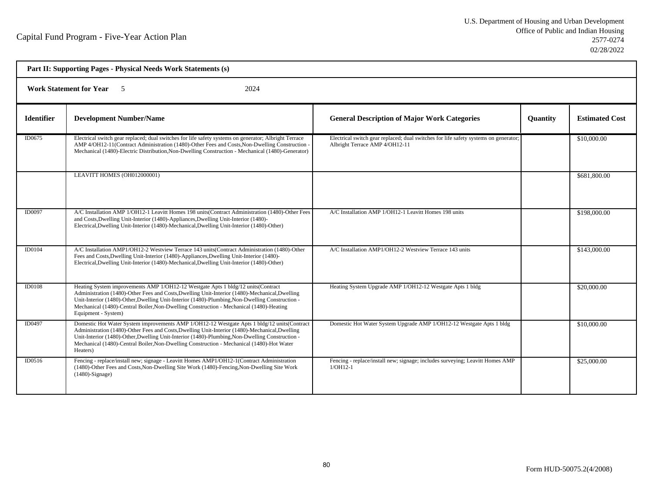| Part II: Supporting Pages - Physical Needs Work Statements (s) |                                                                                                                                                                                                                                                                                                                                                                                                            |                                                                                                                        |                 |                       |  |  |
|----------------------------------------------------------------|------------------------------------------------------------------------------------------------------------------------------------------------------------------------------------------------------------------------------------------------------------------------------------------------------------------------------------------------------------------------------------------------------------|------------------------------------------------------------------------------------------------------------------------|-----------------|-----------------------|--|--|
|                                                                | <b>Work Statement for Year</b> 5<br>2024                                                                                                                                                                                                                                                                                                                                                                   |                                                                                                                        |                 |                       |  |  |
| <b>Identifier</b>                                              | <b>Development Number/Name</b>                                                                                                                                                                                                                                                                                                                                                                             | <b>General Description of Major Work Categories</b>                                                                    | <b>Quantity</b> | <b>Estimated Cost</b> |  |  |
| ID0675                                                         | Electrical switch gear replaced; dual switches for life safety systems on generator; Albright Terrace<br>AMP 4/OH12-11(Contract Administration (1480)-Other Fees and Costs, Non-Dwelling Construction -<br>Mechanical (1480)-Electric Distribution, Non-Dwelling Construction - Mechanical (1480)-Generator)                                                                                               | Electrical switch gear replaced; dual switches for life safety systems on generator;<br>Albright Terrace AMP 4/OH12-11 |                 | \$10,000.00           |  |  |
|                                                                | LEAVITT HOMES (OH012000001)                                                                                                                                                                                                                                                                                                                                                                                |                                                                                                                        |                 | \$681,800.00          |  |  |
| ID0097                                                         | A/C Installation AMP 1/OH12-1 Leavitt Homes 198 units (Contract Administration (1480)-Other Fees<br>and Costs, Dwelling Unit-Interior (1480)-Appliances, Dwelling Unit-Interior (1480)-<br>Electrical, Dwelling Unit-Interior (1480)-Mechanical, Dwelling Unit-Interior (1480)-Other)                                                                                                                      | A/C Installation AMP 1/OH12-1 Leavitt Homes 198 units                                                                  |                 | \$198,000.00          |  |  |
| ID0104                                                         | A/C Installation AMP1/OH12-2 Westview Terrace 143 units (Contract Administration (1480)-Other<br>Fees and Costs, Dwelling Unit-Interior (1480)-Appliances, Dwelling Unit-Interior (1480)-<br>Electrical, Dwelling Unit-Interior (1480)-Mechanical, Dwelling Unit-Interior (1480)-Other)                                                                                                                    | A/C Installation AMP1/OH12-2 Westview Terrace 143 units                                                                |                 | \$143,000.00          |  |  |
| <b>ID0108</b>                                                  | Heating System improvements AMP 1/OH12-12 Westgate Apts 1 bldg/12 units(Contract<br>Administration (1480)-Other Fees and Costs, Dwelling Unit-Interior (1480)-Mechanical, Dwelling<br>Unit-Interior (1480)-Other, Dwelling Unit-Interior (1480)-Plumbing, Non-Dwelling Construction -<br>Mechanical (1480)-Central Boiler, Non-Dwelling Construction - Mechanical (1480)-Heating<br>Equipment - System)    | Heating System Upgrade AMP 1/OH12-12 Westgate Apts 1 bldg                                                              |                 | \$20,000.00           |  |  |
| ID0497                                                         | Domestic Hot Water System improvements AMP 1/OH12-12 Westgate Apts 1 bldg/12 units (Contract<br>Administration (1480)-Other Fees and Costs, Dwelling Unit-Interior (1480)-Mechanical, Dwelling<br>Unit-Interior (1480)-Other, Dwelling Unit-Interior (1480)-Plumbing, Non-Dwelling Construction -<br>Mechanical (1480)-Central Boiler, Non-Dwelling Construction - Mechanical (1480)-Hot Water<br>Heaters) | Domestic Hot Water System Upgrade AMP 1/OH12-12 Westgate Apts 1 bldg                                                   |                 | \$10,000.00           |  |  |
| ID0516                                                         | Fencing - replace/install new; signage - Leavitt Homes AMP1/OH12-1(Contract Administration<br>(1480)-Other Fees and Costs, Non-Dwelling Site Work (1480)-Fencing, Non-Dwelling Site Work<br>$(1480)$ -Signage)                                                                                                                                                                                             | Fencing - replace/install new; signage; includes surveying; Leavitt Homes AMP<br>$1/OH12-1$                            |                 | \$25,000.00           |  |  |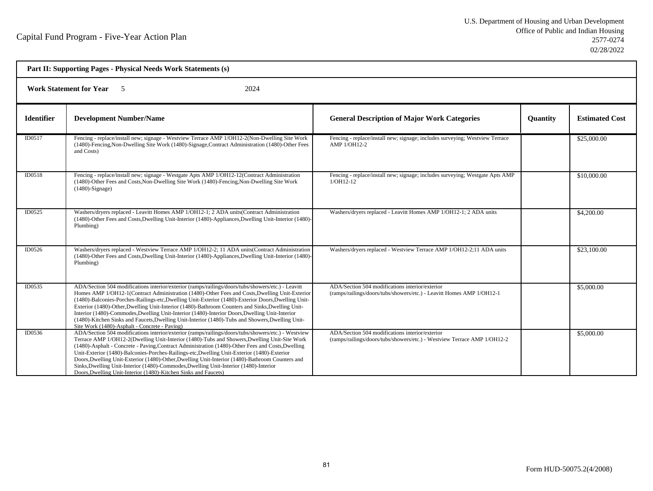| Part II: Supporting Pages - Physical Needs Work Statements (s) |                                                                                                                                                                                                                                                                                                                                                                                                                                                                                                                                                                                                                                                                        |                                                                                                                             |                 |                       |
|----------------------------------------------------------------|------------------------------------------------------------------------------------------------------------------------------------------------------------------------------------------------------------------------------------------------------------------------------------------------------------------------------------------------------------------------------------------------------------------------------------------------------------------------------------------------------------------------------------------------------------------------------------------------------------------------------------------------------------------------|-----------------------------------------------------------------------------------------------------------------------------|-----------------|-----------------------|
| <b>Work Statement for Year</b><br>2024<br>5                    |                                                                                                                                                                                                                                                                                                                                                                                                                                                                                                                                                                                                                                                                        |                                                                                                                             |                 |                       |
| <b>Identifier</b>                                              | <b>Development Number/Name</b>                                                                                                                                                                                                                                                                                                                                                                                                                                                                                                                                                                                                                                         | <b>General Description of Major Work Categories</b>                                                                         | <b>Quantity</b> | <b>Estimated Cost</b> |
| ID0517                                                         | Fencing - replace/install new; signage - Westview Terrace AMP 1/OH12-2(Non-Dwelling Site Work<br>(1480)-Fencing, Non-Dwelling Site Work (1480)-Signage, Contract Administration (1480)-Other Fees<br>and Costs)                                                                                                                                                                                                                                                                                                                                                                                                                                                        | Fencing - replace/install new; signage; includes surveying; Westview Terrace<br>AMP 1/OH12-2                                |                 | \$25,000.00           |
| ID0518                                                         | Fencing - replace/install new; signage - Westgate Apts AMP 1/OH12-12(Contract Administration<br>(1480)-Other Fees and Costs, Non-Dwelling Site Work (1480)-Fencing, Non-Dwelling Site Work<br>$(1480)$ -Signage)                                                                                                                                                                                                                                                                                                                                                                                                                                                       | Fencing - replace/install new; signage; includes surveying; Westgate Apts AMP<br>$1/OH12-12$                                |                 | \$10,000.00           |
| ID0525                                                         | Washers/dryers replaced - Leavitt Homes AMP 1/OH12-1; 2 ADA units(Contract Administration<br>(1480)-Other Fees and Costs, Dwelling Unit-Interior (1480)-Appliances, Dwelling Unit-Interior (1480)-<br>Plumbing)                                                                                                                                                                                                                                                                                                                                                                                                                                                        | Washers/dryers replaced - Leavitt Homes AMP 1/OH12-1; 2 ADA units                                                           |                 | \$4,200.00            |
| ID0526                                                         | Washers/dryers replaced - Westview Terrace AMP 1/OH12-2; 11 ADA units(Contract Administration<br>(1480)-Other Fees and Costs, Dwelling Unit-Interior (1480)-Appliances, Dwelling Unit-Interior (1480)-<br>Plumbing)                                                                                                                                                                                                                                                                                                                                                                                                                                                    | Washers/dryers replaced - Westview Terrace AMP 1/OH12-2;11 ADA units                                                        |                 | \$23,100.00           |
| ID0535                                                         | ADA/Section 504 modifications interior/exterior (ramps/railings/doors/tubs/showers/etc.) - Leavitt<br>Homes AMP 1/OH12-1(Contract Administration (1480)-Other Fees and Costs, Dwelling Unit-Exterior<br>(1480)-Balconies-Porches-Railings-etc, Dwelling Unit-Exterior (1480)-Exterior Doors, Dwelling Unit-<br>Exterior (1480)-Other, Dwelling Unit-Interior (1480)-Bathroom Counters and Sinks, Dwelling Unit-<br>Interior (1480)-Commodes, Dwelling Unit-Interior (1480)-Interior Doors, Dwelling Unit-Interior<br>(1480)-Kitchen Sinks and Faucets, Dwelling Unit-Interior (1480)-Tubs and Showers, Dwelling Unit-<br>Site Work (1480)-Asphalt - Concrete - Paving) | ADA/Section 504 modifications interior/exterior<br>(ramps/railings/doors/tubs/showers/etc.) - Leavitt Homes AMP 1/OH12-1    |                 | \$5,000.00            |
| ID0536                                                         | ADA/Section 504 modifications interior/exterior (ramps/railings/doors/tubs/showers/etc.) - Westview<br>Terrace AMP 1/OH12-2(Dwelling Unit-Interior (1480)-Tubs and Showers, Dwelling Unit-Site Work<br>(1480)-Asphalt - Concrete - Paving, Contract Administration (1480)-Other Fees and Costs, Dwelling<br>Unit-Exterior (1480)-Balconies-Porches-Railings-etc, Dwelling Unit-Exterior (1480)-Exterior<br>Doors, Dwelling Unit-Exterior (1480)-Other, Dwelling Unit-Interior (1480)-Bathroom Counters and<br>Sinks, Dwelling Unit-Interior (1480)-Commodes, Dwelling Unit-Interior (1480)-Interior<br>Doors, Dwelling Unit-Interior (1480)-Kitchen Sinks and Faucets) | ADA/Section 504 modifications interior/exterior<br>(ramps/railings/doors/tubs/showers/etc.) - Westview Terrace AMP 1/OH12-2 |                 | \$5,000.00            |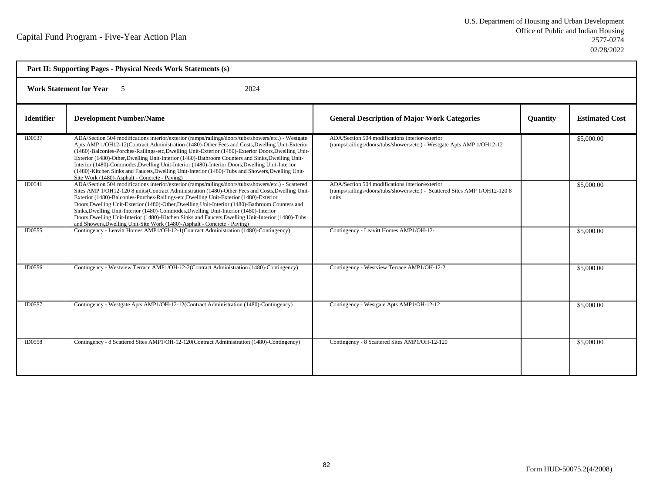| Part II: Supporting Pages - Physical Needs Work Statements (s) |                                                                                                                                                                                                                                                                                                                                                                                                                                                                                                                                                                                                                                                                                  |                                                                                                                                         |                 |                       |  |
|----------------------------------------------------------------|----------------------------------------------------------------------------------------------------------------------------------------------------------------------------------------------------------------------------------------------------------------------------------------------------------------------------------------------------------------------------------------------------------------------------------------------------------------------------------------------------------------------------------------------------------------------------------------------------------------------------------------------------------------------------------|-----------------------------------------------------------------------------------------------------------------------------------------|-----------------|-----------------------|--|
|                                                                | <b>Work Statement for Year</b><br>2024<br>$\sim$ 5                                                                                                                                                                                                                                                                                                                                                                                                                                                                                                                                                                                                                               |                                                                                                                                         |                 |                       |  |
| <b>Identifier</b>                                              | <b>Development Number/Name</b>                                                                                                                                                                                                                                                                                                                                                                                                                                                                                                                                                                                                                                                   | <b>General Description of Major Work Categories</b>                                                                                     | <b>Quantity</b> | <b>Estimated Cost</b> |  |
| ID0537                                                         | ADA/Section 504 modifications interior/exterior (ramps/railings/doors/tubs/showers/etc.) - Westgate<br>Apts AMP 1/OH12-12(Contract Administration (1480)-Other Fees and Costs, Dwelling Unit-Exterior<br>(1480)-Balconies-Porches-Railings-etc, Dwelling Unit-Exterior (1480)-Exterior Doors, Dwelling Unit-<br>Exterior (1480)-Other, Dwelling Unit-Interior (1480)-Bathroom Counters and Sinks, Dwelling Unit-<br>Interior (1480)-Commodes, Dwelling Unit-Interior (1480)-Interior Doors, Dwelling Unit-Interior<br>(1480)-Kitchen Sinks and Faucets, Dwelling Unit-Interior (1480)-Tubs and Showers, Dwelling Unit-<br>Site Work (1480)-Asphalt - Concrete - Paving)          | ADA/Section 504 modifications interior/exterior<br>(ramps/railings/doors/tubs/showers/etc.) - Westgate Apts AMP 1/OH12-12               |                 | \$5,000.00            |  |
| ID0541                                                         | ADA/Section 504 modifications interior/exterior (ramps/railings/doors/tubs/showers/etc.) - Scattered<br>Sites AMP 1/OH12-120 8 units(Contract Administration (1480)-Other Fees and Costs, Dwelling Unit-<br>Exterior (1480)-Balconies-Porches-Railings-etc, Dwelling Unit-Exterior (1480)-Exterior<br>Doors, Dwelling Unit-Exterior (1480)-Other, Dwelling Unit-Interior (1480)-Bathroom Counters and<br>Sinks, Dwelling Unit-Interior (1480)-Commodes, Dwelling Unit-Interior (1480)-Interior<br>Doors, Dwelling Unit-Interior (1480)-Kitchen Sinks and Faucets, Dwelling Unit-Interior (1480)-Tubs<br>and Showers, Dwelling Unit-Site Work (1480)-Asphalt - Concrete - Paving) | ADA/Section 504 modifications interior/exterior<br>(ramps/railings/doors/tubs/showers/etc.) - Scattered Sites AMP 1/OH12-120 8<br>units |                 | \$5,000.00            |  |
| ID0555                                                         | Contingency - Leavitt Homes AMP1/OH-12-1(Contract Administration (1480)-Contingency)                                                                                                                                                                                                                                                                                                                                                                                                                                                                                                                                                                                             | Contingency - Leavitt Homes AMP1/OH-12-1                                                                                                |                 | \$5,000.00            |  |
| ID0556                                                         | Contingency - Westview Terrace AMP1/OH-12-2(Contract Administration (1480)-Contingency)                                                                                                                                                                                                                                                                                                                                                                                                                                                                                                                                                                                          | Contingency - Westview Terrace AMP1/OH-12-2                                                                                             |                 | \$5,000.00            |  |
| ID0557                                                         | Contingency - Westgate Apts AMP1/OH-12-12(Contract Administration (1480)-Contingency)                                                                                                                                                                                                                                                                                                                                                                                                                                                                                                                                                                                            | Contingency - Westgate Apts AMP1/OH-12-12                                                                                               |                 | \$5,000.00            |  |
| ID0558                                                         | Contingency - 8 Scattered Sites AMP1/OH-12-120(Contract Administration (1480)-Contingency)                                                                                                                                                                                                                                                                                                                                                                                                                                                                                                                                                                                       | Contingency - 8 Scattered Sites AMP1/OH-12-120                                                                                          |                 | \$5,000.00            |  |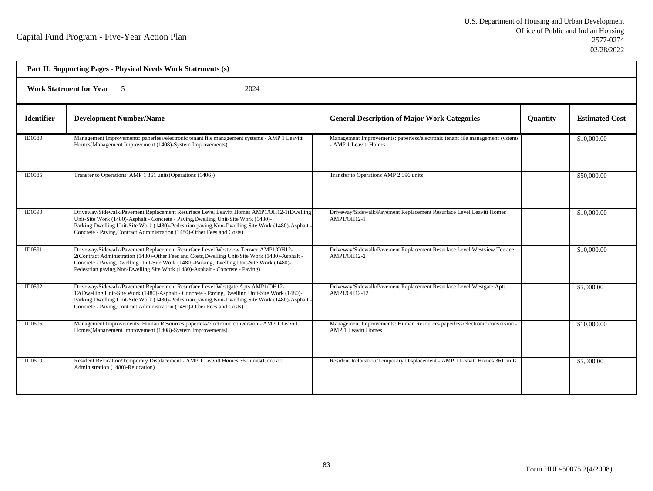| Part II: Supporting Pages - Physical Needs Work Statements (s) |                                                                                                                                                                                                                                                                                                                                                                      |                                                                                                          |                 |                       |  |
|----------------------------------------------------------------|----------------------------------------------------------------------------------------------------------------------------------------------------------------------------------------------------------------------------------------------------------------------------------------------------------------------------------------------------------------------|----------------------------------------------------------------------------------------------------------|-----------------|-----------------------|--|
| 2024<br><b>Work Statement for Year</b> 5                       |                                                                                                                                                                                                                                                                                                                                                                      |                                                                                                          |                 |                       |  |
| <b>Identifier</b>                                              | <b>Development Number/Name</b>                                                                                                                                                                                                                                                                                                                                       | <b>General Description of Major Work Categories</b>                                                      | <b>Quantity</b> | <b>Estimated Cost</b> |  |
| ID0580                                                         | Management Improvements: paperless/electronic tenant file management systems - AMP 1 Leavitt<br>Homes(Management Improvement (1408)-System Improvements)                                                                                                                                                                                                             | Management Improvements: paperless/electronic tenant file management systems<br>- AMP 1 Leavitt Homes    |                 | \$10,000.00           |  |
| <b>ID0585</b>                                                  | Transfer to Operations AMP 1 361 units (Operations (1406))                                                                                                                                                                                                                                                                                                           | Transfer to Operations AMP 2 396 units                                                                   |                 | \$50,000.00           |  |
| ID0590                                                         | Driveway/Sidewalk/Pavement Replacement Resurface Level Leavitt Homes AMP1/OH12-1(Dwelling<br>Unit-Site Work (1480)-Asphalt - Concrete - Paving, Dwelling Unit-Site Work (1480)-<br>Parking, Dwelling Unit-Site Work (1480)-Pedestrian paving, Non-Dwelling Site Work (1480)-Asphalt -<br>Concrete - Paving, Contract Administration (1480)-Other Fees and Costs)     | Driveway/Sidewalk/Pavement Replacement Resurface Level Leavitt Homes<br>AMP1/OH12-1                      |                 | \$10,000.00           |  |
| ID0591                                                         | Driveway/Sidewalk/Pavement Replacement Resurface Level Westview Terrace AMP1/OH12-<br>2(Contract Administration (1480)-Other Fees and Costs, Dwelling Unit-Site Work (1480)-Asphalt -<br>Concrete - Paving, Dwelling Unit-Site Work (1480)-Parking, Dwelling Unit-Site Work (1480)-<br>Pedestrian paving, Non-Dwelling Site Work (1480)-Asphalt - Concrete - Paving) | Driveway/Sidewalk/Pavement Replacement Resurface Level Westview Terrace<br>AMP1/OH12-2                   |                 | \$10,000.00           |  |
| <b>ID0592</b>                                                  | Driveway/Sidewalk/Pavement Replacement Resurface Level Westgate Apts AMP1/OH12-<br>12(Dwelling Unit-Site Work (1480)-Asphalt - Concrete - Paving, Dwelling Unit-Site Work (1480)-<br>Parking, Dwelling Unit-Site Work (1480)-Pedestrian paving, Non-Dwelling Site Work (1480)-Asphalt<br>Concrete - Paving, Contract Administration (1480)-Other Fees and Costs)     | Driveway/Sidewalk/Pavement Replacement Resurface Level Westgate Apts<br>AMP1/OH12-12                     |                 | \$5,000.00            |  |
| ID0605                                                         | Management Improvements: Human Resources paperless/electronic conversion - AMP 1 Leavitt<br>Homes(Management Improvement (1408)-System Improvements)                                                                                                                                                                                                                 | Management Improvements: Human Resources paperless/electronic conversion -<br><b>AMP 1 Leavitt Homes</b> |                 | \$10,000.00           |  |
| ID0610                                                         | Resident Relocation/Temporary Displacement - AMP 1 Leavitt Homes 361 units(Contract<br>Administration (1480)-Relocation)                                                                                                                                                                                                                                             | Resident Relocation/Temporary Displacement - AMP 1 Leavitt Homes 361 units                               |                 | \$5,000.00            |  |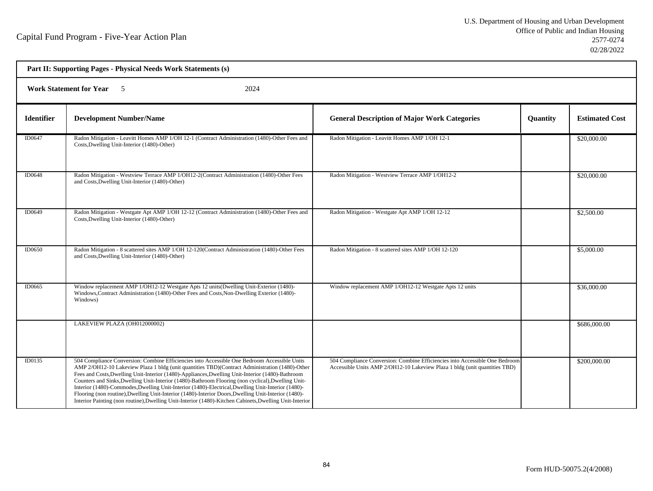| Part II: Supporting Pages - Physical Needs Work Statements (s) |                                                                                                                                                                                                                                                                                                                                                                                                                                                                                                                                                                                                                                                                                                                                   |                                                                                                                                                           |          |                       |  |  |
|----------------------------------------------------------------|-----------------------------------------------------------------------------------------------------------------------------------------------------------------------------------------------------------------------------------------------------------------------------------------------------------------------------------------------------------------------------------------------------------------------------------------------------------------------------------------------------------------------------------------------------------------------------------------------------------------------------------------------------------------------------------------------------------------------------------|-----------------------------------------------------------------------------------------------------------------------------------------------------------|----------|-----------------------|--|--|
|                                                                | <b>Work Statement for Year</b> 5<br>2024                                                                                                                                                                                                                                                                                                                                                                                                                                                                                                                                                                                                                                                                                          |                                                                                                                                                           |          |                       |  |  |
| <b>Identifier</b>                                              | <b>Development Number/Name</b>                                                                                                                                                                                                                                                                                                                                                                                                                                                                                                                                                                                                                                                                                                    | <b>General Description of Major Work Categories</b>                                                                                                       | Quantity | <b>Estimated Cost</b> |  |  |
| <b>ID0647</b>                                                  | Radon Mitigation - Leavitt Homes AMP 1/OH 12-1 (Contract Administration (1480)-Other Fees and<br>Costs, Dwelling Unit-Interior (1480)-Other)                                                                                                                                                                                                                                                                                                                                                                                                                                                                                                                                                                                      | Radon Mitigation - Leavitt Homes AMP 1/OH 12-1                                                                                                            |          | \$20,000.00           |  |  |
| ID0648                                                         | Radon Mitigation - Westview Terrace AMP 1/OH12-2(Contract Administration (1480)-Other Fees<br>and Costs, Dwelling Unit-Interior (1480)-Other)                                                                                                                                                                                                                                                                                                                                                                                                                                                                                                                                                                                     | Radon Mitigation - Westview Terrace AMP 1/OH12-2                                                                                                          |          | \$20,000.00           |  |  |
| ID0649                                                         | Radon Mitigation - Westgate Apt AMP 1/OH 12-12 (Contract Administration (1480)-Other Fees and<br>Costs, Dwelling Unit-Interior (1480)-Other)                                                                                                                                                                                                                                                                                                                                                                                                                                                                                                                                                                                      | Radon Mitigation - Westgate Apt AMP 1/OH 12-12                                                                                                            |          | \$2,500.00            |  |  |
| ID0650                                                         | Radon Mitigation - 8 scattered sites AMP 1/OH 12-120(Contract Administration (1480)-Other Fees<br>and Costs, Dwelling Unit-Interior (1480)-Other)                                                                                                                                                                                                                                                                                                                                                                                                                                                                                                                                                                                 | Radon Mitigation - 8 scattered sites AMP 1/OH 12-120                                                                                                      |          | \$5,000.00            |  |  |
| ID0665                                                         | Window replacement AMP 1/OH12-12 Westgate Apts 12 units(Dwelling Unit-Exterior (1480)-<br>Windows, Contract Administration (1480)-Other Fees and Costs, Non-Dwelling Exterior (1480)-<br>Windows)                                                                                                                                                                                                                                                                                                                                                                                                                                                                                                                                 | Window replacement AMP 1/OH12-12 Westgate Apts 12 units                                                                                                   |          | \$36,000.00           |  |  |
|                                                                | LAKEVIEW PLAZA (OH012000002)                                                                                                                                                                                                                                                                                                                                                                                                                                                                                                                                                                                                                                                                                                      |                                                                                                                                                           |          | \$686,000.00          |  |  |
| ID0135                                                         | 504 Compliance Conversion: Combine Efficiencies into Accessible One Bedroom Accessible Units<br>AMP 2/OH12-10 Lakeview Plaza 1 bldg (unit quantities TBD)(Contract Administration (1480)-Other<br>Fees and Costs, Dwelling Unit-Interior (1480)-Appliances, Dwelling Unit-Interior (1480)-Bathroom<br>Counters and Sinks, Dwelling Unit-Interior (1480)-Bathroom Flooring (non cyclical), Dwelling Unit-<br>Interior (1480)-Commodes, Dwelling Unit-Interior (1480)-Electrical, Dwelling Unit-Interior (1480)-<br>Flooring (non routine), Dwelling Unit-Interior (1480)-Interior Doors, Dwelling Unit-Interior (1480)-<br>Interior Painting (non routine), Dwelling Unit-Interior (1480)-Kitchen Cabinets, Dwelling Unit-Interior | 504 Compliance Conversion: Combine Efficiencies into Accessible One Bedroom<br>Accessible Units AMP 2/OH12-10 Lakeview Plaza 1 bldg (unit quantities TBD) |          | \$200,000.00          |  |  |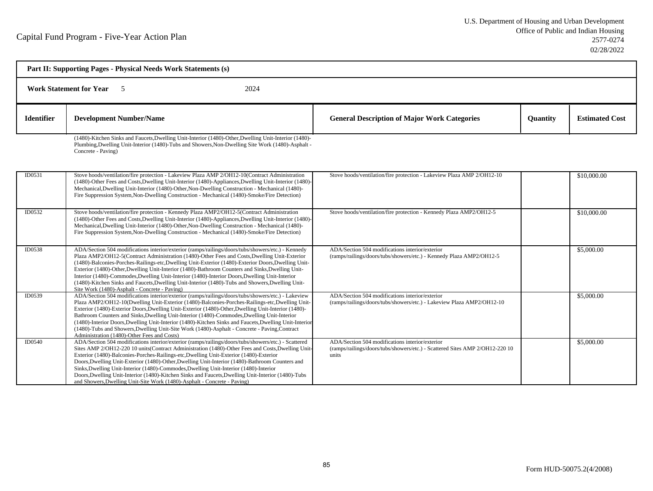| Part II: Supporting Pages - Physical Needs Work Statements (s)<br><b>Work Statement for Year</b> 5<br>2024 |                                                                                                                                                                                                                                                                                                                                                                                                                                                                                                                                                                                                                                                                                   |                                                                                                                                          |  |                   |
|------------------------------------------------------------------------------------------------------------|-----------------------------------------------------------------------------------------------------------------------------------------------------------------------------------------------------------------------------------------------------------------------------------------------------------------------------------------------------------------------------------------------------------------------------------------------------------------------------------------------------------------------------------------------------------------------------------------------------------------------------------------------------------------------------------|------------------------------------------------------------------------------------------------------------------------------------------|--|-------------------|
|                                                                                                            |                                                                                                                                                                                                                                                                                                                                                                                                                                                                                                                                                                                                                                                                                   |                                                                                                                                          |  | <b>Identifier</b> |
|                                                                                                            | (1480)-Kitchen Sinks and Faucets, Dwelling Unit-Interior (1480)-Other, Dwelling Unit-Interior (1480)-<br>Plumbing, Dwelling Unit-Interior (1480)-Tubs and Showers, Non-Dwelling Site Work (1480)-Asphalt -<br>Concrete - Paving)                                                                                                                                                                                                                                                                                                                                                                                                                                                  |                                                                                                                                          |  |                   |
| ID0531                                                                                                     | Stove hoods/ventilation/fire protection - Lakeview Plaza AMP 2/OH12-10(Contract Administration<br>(1480)-Other Fees and Costs, Dwelling Unit-Interior (1480)-Appliances, Dwelling Unit-Interior (1480)-<br>Mechanical, Dwelling Unit-Interior (1480)-Other, Non-Dwelling Construction - Mechanical (1480)-<br>Fire Suppression System, Non-Dwelling Construction - Mechanical (1480)-Smoke/Fire Detection)                                                                                                                                                                                                                                                                        | Stove hoods/ventilation/fire protection - Lakeview Plaza AMP 2/OH12-10                                                                   |  | \$10,000.00       |
| ID0532                                                                                                     | Stove hoods/ventilation/fire protection - Kennedy Plaza AMP2/OH12-5(Contract Administration<br>(1480)-Other Fees and Costs, Dwelling Unit-Interior (1480)-Appliances, Dwelling Unit-Interior (1480)-<br>Mechanical, Dwelling Unit-Interior (1480)-Other, Non-Dwelling Construction - Mechanical (1480)-<br>Fire Suppression System, Non-Dwelling Construction - Mechanical (1480)-Smoke/Fire Detection)                                                                                                                                                                                                                                                                           | Stove hoods/ventilation/fire protection - Kennedy Plaza AMP2/OH12-5                                                                      |  | \$10,000.00       |
| ID0538                                                                                                     | ADA/Section 504 modifications interior/exterior (ramps/railings/doors/tubs/showers/etc.) - Kennedy<br>Plaza AMP2/OH12-5(Contract Administration (1480)-Other Fees and Costs, Dwelling Unit-Exterior<br>(1480)-Balconies-Porches-Railings-etc, Dwelling Unit-Exterior (1480)-Exterior Doors, Dwelling Unit-<br>Exterior (1480)-Other, Dwelling Unit-Interior (1480)-Bathroom Counters and Sinks, Dwelling Unit-<br>Interior (1480)-Commodes, Dwelling Unit-Interior (1480)-Interior Doors, Dwelling Unit-Interior<br>(1480)-Kitchen Sinks and Faucets, Dwelling Unit-Interior (1480)-Tubs and Showers, Dwelling Unit-<br>Site Work (1480)-Asphalt - Concrete - Paving)             | ADA/Section 504 modifications interior/exterior<br>(ramps/railings/doors/tubs/showers/etc.) - Kennedy Plaza AMP2/OH12-5                  |  | \$5,000.00        |
| ID0539                                                                                                     | ADA/Section 504 modifications interior/exterior (ramps/railings/doors/tubs/showers/etc.) - Lakeview<br>Plaza AMP2/OH12-10(Dwelling Unit-Exterior (1480)-Balconies-Porches-Railings-etc, Dwelling Unit-<br>Exterior (1480)-Exterior Doors, Dwelling Unit-Exterior (1480)-Other, Dwelling Unit-Interior (1480)-<br>Bathroom Counters and Sinks, Dwelling Unit-Interior (1480)-Commodes, Dwelling Unit-Interior<br>(1480)-Interior Doors, Dwelling Unit-Interior (1480)-Kitchen Sinks and Faucets, Dwelling Unit-Interior<br>(1480)-Tubs and Showers, Dwelling Unit-Site Work (1480)-Asphalt - Concrete - Paving, Contract<br>Administration (1480)-Other Fees and Costs)            | ADA/Section 504 modifications interior/exterior<br>(ramps/railings/doors/tubs/showers/etc.) - Lakeview Plaza AMP2/OH12-10                |  | \$5,000.00        |
| ID0540                                                                                                     | ADA/Section 504 modifications interior/exterior (ramps/railings/doors/tubs/showers/etc.) - Scattered<br>Sites AMP 2/OH12-220 10 units(Contract Administration (1480)-Other Fees and Costs, Dwelling Unit-<br>Exterior (1480)-Balconies-Porches-Railings-etc, Dwelling Unit-Exterior (1480)-Exterior<br>Doors, Dwelling Unit-Exterior (1480)-Other, Dwelling Unit-Interior (1480)-Bathroom Counters and<br>Sinks, Dwelling Unit-Interior (1480)-Commodes, Dwelling Unit-Interior (1480)-Interior<br>Doors, Dwelling Unit-Interior (1480)-Kitchen Sinks and Faucets, Dwelling Unit-Interior (1480)-Tubs<br>and Showers, Dwelling Unit-Site Work (1480)-Asphalt - Concrete - Paving) | ADA/Section 504 modifications interior/exterior<br>(ramps/railings/doors/tubs/showers/etc.) - Scattered Sites AMP 2/OH12-220 10<br>units |  | \$5,000.00        |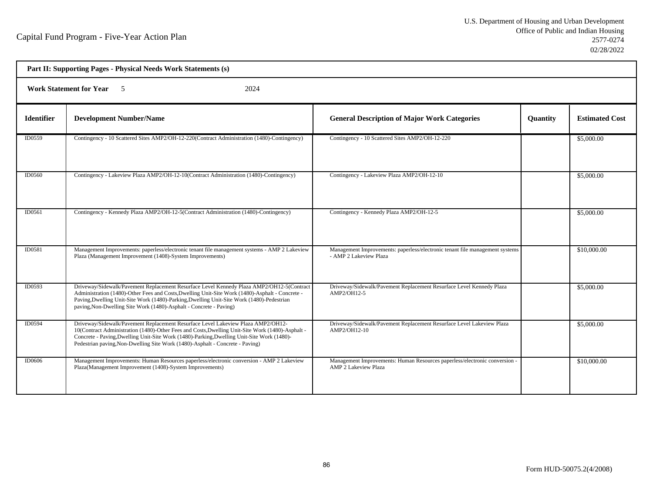٦

| Part II: Supporting Pages - Physical Needs Work Statements (s) |                                                                                                                                                                                                                                                                                                                                                                     |                                                                                                           |          |                       |
|----------------------------------------------------------------|---------------------------------------------------------------------------------------------------------------------------------------------------------------------------------------------------------------------------------------------------------------------------------------------------------------------------------------------------------------------|-----------------------------------------------------------------------------------------------------------|----------|-----------------------|
|                                                                | <b>Work Statement for Year</b> 5<br>2024                                                                                                                                                                                                                                                                                                                            |                                                                                                           |          |                       |
| <b>Identifier</b>                                              | <b>Development Number/Name</b>                                                                                                                                                                                                                                                                                                                                      | <b>General Description of Major Work Categories</b>                                                       | Quantity | <b>Estimated Cost</b> |
| ID0559                                                         | Contingency - 10 Scattered Sites AMP2/OH-12-220(Contract Administration (1480)-Contingency)                                                                                                                                                                                                                                                                         | Contingency - 10 Scattered Sites AMP2/OH-12-220                                                           |          | \$5,000.00            |
| <b>ID0560</b>                                                  | Contingency - Lakeview Plaza AMP2/OH-12-10(Contract Administration (1480)-Contingency)                                                                                                                                                                                                                                                                              | Contingency - Lakeview Plaza AMP2/OH-12-10                                                                |          | \$5,000.00            |
| ID0561                                                         | Contingency - Kennedy Plaza AMP2/OH-12-5(Contract Administration (1480)-Contingency)                                                                                                                                                                                                                                                                                | Contingency - Kennedy Plaza AMP2/OH-12-5                                                                  |          | \$5,000.00            |
| ID0581                                                         | Management Improvements: paperless/electronic tenant file management systems - AMP 2 Lakeview<br>Plaza (Management Improvement (1408)-System Improvements)                                                                                                                                                                                                          | Management Improvements: paperless/electronic tenant file management systems<br>- AMP 2 Lakeview Plaza    |          | \$10,000.00           |
| ID0593                                                         | Driveway/Sidewalk/Pavement Replacement Resurface Level Kennedy Plaza AMP2/OH12-5(Contract<br>Administration (1480)-Other Fees and Costs, Dwelling Unit-Site Work (1480)-Asphalt - Concrete -<br>Paving, Dwelling Unit-Site Work (1480)-Parking, Dwelling Unit-Site Work (1480)-Pedestrian<br>paving, Non-Dwelling Site Work (1480)-Asphalt - Concrete - Paving)     | Driveway/Sidewalk/Pavement Replacement Resurface Level Kennedy Plaza<br>AMP2/OH12-5                       |          | \$5,000.00            |
| ID0594                                                         | Driveway/Sidewalk/Pavement Replacement Resurface Level Lakeview Plaza AMP2/OH12-<br>10(Contract Administration (1480)-Other Fees and Costs, Dwelling Unit-Site Work (1480)-Asphalt -<br>Concrete - Paving, Dwelling Unit-Site Work (1480)-Parking, Dwelling Unit-Site Work (1480)-<br>Pedestrian paving, Non-Dwelling Site Work (1480)-Asphalt - Concrete - Paving) | Driveway/Sidewalk/Pavement Replacement Resurface Level Lakeview Plaza<br>AMP2/OH12-10                     |          | \$5,000.00            |
| <b>ID0606</b>                                                  | Management Improvements: Human Resources paperless/electronic conversion - AMP 2 Lakeview<br>Plaza(Management Improvement (1408)-System Improvements)                                                                                                                                                                                                               | Management Improvements: Human Resources paperless/electronic conversion -<br><b>AMP 2 Lakeview Plaza</b> |          | \$10,000.00           |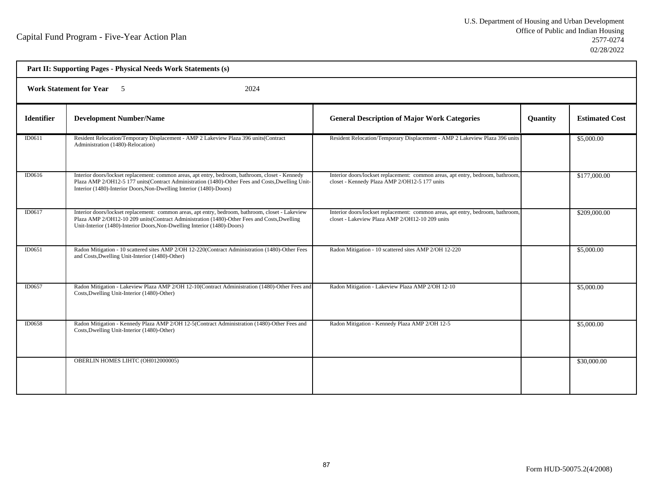| Part II: Supporting Pages - Physical Needs Work Statements (s) |                                                                                                                                                                                                                                                                               |                                                                                                                                    |          |                       |
|----------------------------------------------------------------|-------------------------------------------------------------------------------------------------------------------------------------------------------------------------------------------------------------------------------------------------------------------------------|------------------------------------------------------------------------------------------------------------------------------------|----------|-----------------------|
|                                                                | <b>Work Statement for Year</b> 5<br>2024                                                                                                                                                                                                                                      |                                                                                                                                    |          |                       |
| <b>Identifier</b>                                              | <b>Development Number/Name</b>                                                                                                                                                                                                                                                | <b>General Description of Major Work Categories</b>                                                                                | Quantity | <b>Estimated Cost</b> |
| ID0611                                                         | Resident Relocation/Temporary Displacement - AMP 2 Lakeview Plaza 396 units(Contract<br>Administration (1480)-Relocation)                                                                                                                                                     | Resident Relocation/Temporary Displacement - AMP 2 Lakeview Plaza 396 units                                                        |          | \$5,000.00            |
| ID0616                                                         | Interior doors/lockset replacement: common areas, apt entry, bedroom, bathroom, closet - Kennedy<br>Plaza AMP 2/OH12-5 177 units(Contract Administration (1480)-Other Fees and Costs, Dwelling Unit-<br>Interior (1480)-Interior Doors, Non-Dwelling Interior (1480)-Doors)   | Interior doors/lockset replacement: common areas, apt entry, bedroom, bathroom,<br>closet - Kennedy Plaza AMP 2/OH12-5 177 units   |          | \$177,000.00          |
| ID0617                                                         | Interior doors/lockset replacement: common areas, apt entry, bedroom, bathroom, closet - Lakeview<br>Plaza AMP 2/OH12-10 209 units (Contract Administration (1480)-Other Fees and Costs, Dwelling<br>Unit-Interior (1480)-Interior Doors, Non-Dwelling Interior (1480)-Doors) | Interior doors/lockset replacement: common areas, apt entry, bedroom, bathroom,<br>closet - Lakeview Plaza AMP 2/OH12-10 209 units |          | \$209,000.00          |
| ID0651                                                         | Radon Mitigation - 10 scattered sites AMP 2/OH 12-220(Contract Administration (1480)-Other Fees<br>and Costs, Dwelling Unit-Interior (1480)-Other)                                                                                                                            | Radon Mitigation - 10 scattered sites AMP 2/OH 12-220                                                                              |          | \$5,000.00            |
| ID0657                                                         | Radon Mitigation - Lakeview Plaza AMP 2/OH 12-10(Contract Administration (1480)-Other Fees and<br>Costs, Dwelling Unit-Interior (1480)-Other)                                                                                                                                 | Radon Mitigation - Lakeview Plaza AMP 2/OH 12-10                                                                                   |          | \$5,000.00            |
| ID0658                                                         | Radon Mitigation - Kennedy Plaza AMP 2/OH 12-5(Contract Administration (1480)-Other Fees and<br>Costs, Dwelling Unit-Interior (1480)-Other)                                                                                                                                   | Radon Mitigation - Kennedy Plaza AMP 2/OH 12-5                                                                                     |          | \$5,000.00            |
|                                                                | OBERLIN HOMES LIHTC (OH012000005)                                                                                                                                                                                                                                             |                                                                                                                                    |          | \$30,000.00           |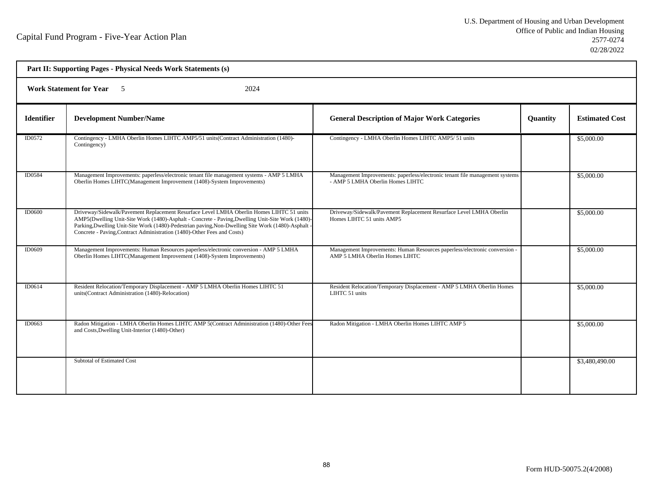| Part II: Supporting Pages - Physical Needs Work Statements (s) |                                                                                                                                                                                                                                                                                                                                                                             |                                                                                                                  |          |                       |
|----------------------------------------------------------------|-----------------------------------------------------------------------------------------------------------------------------------------------------------------------------------------------------------------------------------------------------------------------------------------------------------------------------------------------------------------------------|------------------------------------------------------------------------------------------------------------------|----------|-----------------------|
| Work Statement for Year 5<br>2024                              |                                                                                                                                                                                                                                                                                                                                                                             |                                                                                                                  |          |                       |
| <b>Identifier</b>                                              | <b>Development Number/Name</b>                                                                                                                                                                                                                                                                                                                                              | <b>General Description of Major Work Categories</b>                                                              | Quantity | <b>Estimated Cost</b> |
| ID0572                                                         | Contingency - LMHA Oberlin Homes LIHTC AMP5/51 units (Contract Administration (1480)-<br>Contingency)                                                                                                                                                                                                                                                                       | Contingency - LMHA Oberlin Homes LIHTC AMP5/ 51 units                                                            |          | \$5,000.00            |
| <b>ID0584</b>                                                  | Management Improvements: paperless/electronic tenant file management systems - AMP 5 LMHA<br>Oberlin Homes LIHTC(Management Improvement (1408)-System Improvements)                                                                                                                                                                                                         | Management Improvements: paperless/electronic tenant file management systems<br>- AMP 5 LMHA Oberlin Homes LIHTC |          | \$5,000.00            |
| <b>ID0600</b>                                                  | Driveway/Sidewalk/Pavement Replacement Resurface Level LMHA Oberlin Homes LIHTC 51 units<br>AMP5(Dwelling Unit-Site Work (1480)-Asphalt - Concrete - Paving, Dwelling Unit-Site Work (1480)-<br>Parking, Dwelling Unit-Site Work (1480)-Pedestrian paving, Non-Dwelling Site Work (1480)-Asphalt<br>Concrete - Paving, Contract Administration (1480)-Other Fees and Costs) | Driveway/Sidewalk/Pavement Replacement Resurface Level LMHA Oberlin<br>Homes LIHTC 51 units AMP5                 |          | \$5,000.00            |
| ID0609                                                         | Management Improvements: Human Resources paperless/electronic conversion - AMP 5 LMHA<br>Oberlin Homes LIHTC(Management Improvement (1408)-System Improvements)                                                                                                                                                                                                             | Management Improvements: Human Resources paperless/electronic conversion -<br>AMP 5 LMHA Oberlin Homes LIHTC     |          | \$5,000.00            |
| ID0614                                                         | Resident Relocation/Temporary Displacement - AMP 5 LMHA Oberlin Homes LIHTC 51<br>units(Contract Administration (1480)-Relocation)                                                                                                                                                                                                                                          | Resident Relocation/Temporary Displacement - AMP 5 LMHA Oberlin Homes<br>LIHTC 51 units                          |          | \$5,000.00            |
| ID0663                                                         | Radon Mitigation - LMHA Oberlin Homes LIHTC AMP 5(Contract Administration (1480)-Other Fees<br>and Costs, Dwelling Unit-Interior (1480)-Other)                                                                                                                                                                                                                              | Radon Mitigation - LMHA Oberlin Homes LIHTC AMP 5                                                                |          | \$5,000.00            |
|                                                                | <b>Subtotal of Estimated Cost</b>                                                                                                                                                                                                                                                                                                                                           |                                                                                                                  |          | \$3,480,490.00        |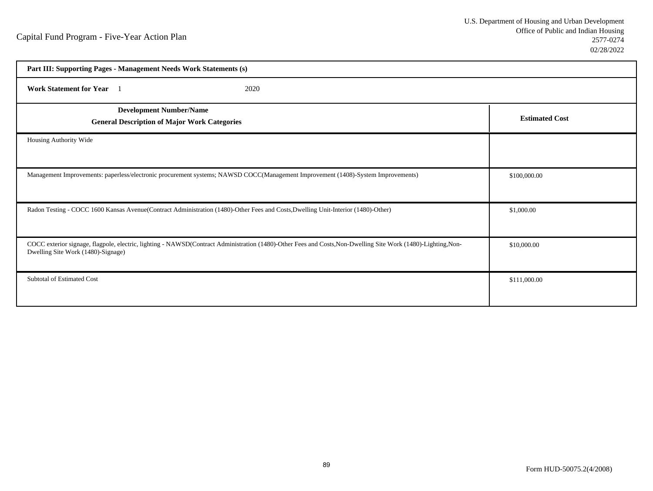| Part III: Supporting Pages - Management Needs Work Statements (s)                                                                                                                                   |                       |  |  |
|-----------------------------------------------------------------------------------------------------------------------------------------------------------------------------------------------------|-----------------------|--|--|
| Work Statement for Year 1<br>2020                                                                                                                                                                   |                       |  |  |
| <b>Development Number/Name</b><br><b>General Description of Major Work Categories</b>                                                                                                               | <b>Estimated Cost</b> |  |  |
| Housing Authority Wide                                                                                                                                                                              |                       |  |  |
| Management Improvements: paperless/electronic procurement systems; NAWSD COCC(Management Improvement (1408)-System Improvements)                                                                    | \$100,000.00          |  |  |
| Radon Testing - COCC 1600 Kansas Avenue(Contract Administration (1480)-Other Fees and Costs, Dwelling Unit-Interior (1480)-Other)                                                                   | \$1,000.00            |  |  |
| COCC exterior signage, flagpole, electric, lighting - NAWSD(Contract Administration (1480)-Other Fees and Costs, Non-Dwelling Site Work (1480)-Lighting, Non-<br>Dwelling Site Work (1480)-Signage) | \$10,000.00           |  |  |
| <b>Subtotal of Estimated Cost</b>                                                                                                                                                                   | \$111,000.00          |  |  |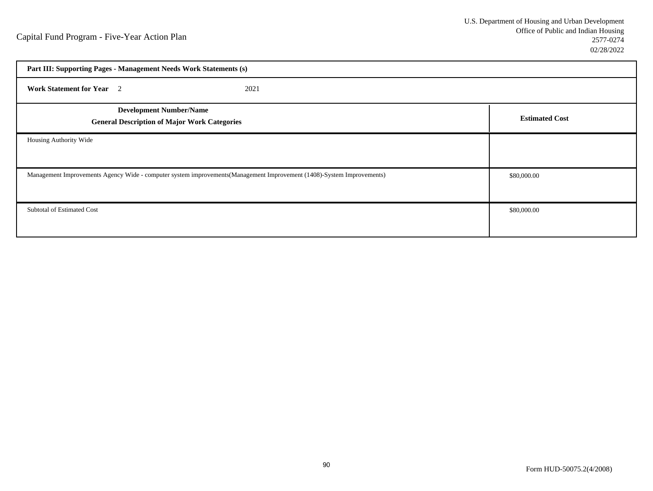| Part III: Supporting Pages - Management Needs Work Statements (s)                                                      |                       |
|------------------------------------------------------------------------------------------------------------------------|-----------------------|
| <b>Work Statement for Year</b> 2<br>2021                                                                               |                       |
| <b>Development Number/Name</b><br><b>General Description of Major Work Categories</b>                                  | <b>Estimated Cost</b> |
| Housing Authority Wide                                                                                                 |                       |
| Management Improvements Agency Wide - computer system improvements (Management Improvement (1408)-System Improvements) | \$80,000.00           |
| Subtotal of Estimated Cost                                                                                             | \$80,000.00           |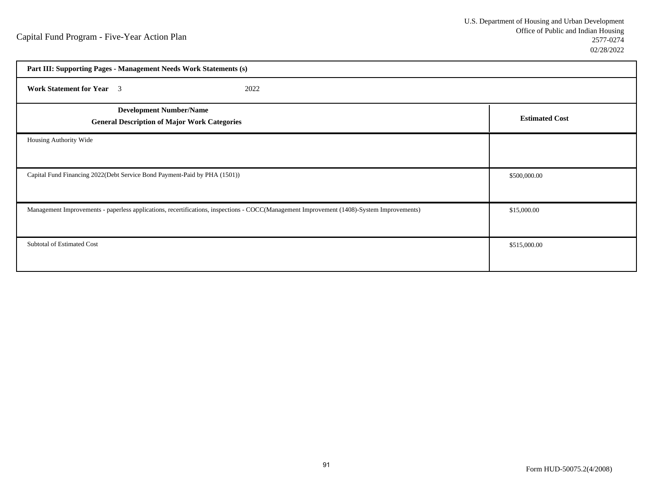| Part III: Supporting Pages - Management Needs Work Statements (s)                                                                         |                       |  |
|-------------------------------------------------------------------------------------------------------------------------------------------|-----------------------|--|
| <b>Work Statement for Year</b> 3<br>2022                                                                                                  |                       |  |
| <b>Development Number/Name</b><br><b>General Description of Major Work Categories</b>                                                     | <b>Estimated Cost</b> |  |
| Housing Authority Wide                                                                                                                    |                       |  |
| Capital Fund Financing 2022(Debt Service Bond Payment-Paid by PHA (1501))                                                                 | \$500,000.00          |  |
| Management Improvements - paperless applications, recertifications, inspections - COCC(Management Improvement (1408)-System Improvements) | \$15,000.00           |  |
| Subtotal of Estimated Cost                                                                                                                | \$515,000.00          |  |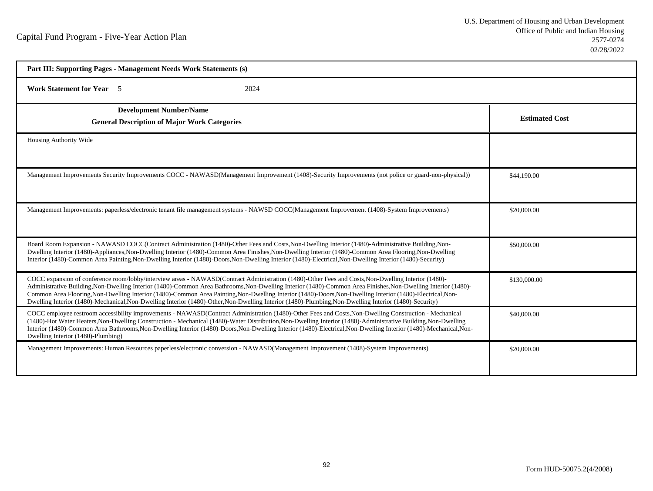| Part III: Supporting Pages - Management Needs Work Statements (s)                                                                                                                                                                                                                                                                                                                                                                                                                                                                                                                                                                            |                       |  |  |
|----------------------------------------------------------------------------------------------------------------------------------------------------------------------------------------------------------------------------------------------------------------------------------------------------------------------------------------------------------------------------------------------------------------------------------------------------------------------------------------------------------------------------------------------------------------------------------------------------------------------------------------------|-----------------------|--|--|
| <b>Work Statement for Year</b> 5<br>2024                                                                                                                                                                                                                                                                                                                                                                                                                                                                                                                                                                                                     |                       |  |  |
| <b>Development Number/Name</b><br><b>General Description of Major Work Categories</b>                                                                                                                                                                                                                                                                                                                                                                                                                                                                                                                                                        | <b>Estimated Cost</b> |  |  |
| Housing Authority Wide                                                                                                                                                                                                                                                                                                                                                                                                                                                                                                                                                                                                                       |                       |  |  |
| Management Improvements Security Improvements COCC - NAWASD(Management Improvement (1408)-Security Improvements (not police or guard-non-physical))                                                                                                                                                                                                                                                                                                                                                                                                                                                                                          | \$44,190.00           |  |  |
| Management Improvements: paperless/electronic tenant file management systems - NAWSD COCC(Management Improvement (1408)-System Improvements)                                                                                                                                                                                                                                                                                                                                                                                                                                                                                                 | \$20,000.00           |  |  |
| Board Room Expansion - NAWASD COCC(Contract Administration (1480)-Other Fees and Costs, Non-Dwelling Interior (1480)-Administrative Building, Non-<br>Dwelling Interior (1480)-Appliances, Non-Dwelling Interior (1480)-Common Area Finishes, Non-Dwelling Interior (1480)-Common Area Flooring, Non-Dwelling<br>Interior (1480)-Common Area Painting, Non-Dwelling Interior (1480)-Doors, Non-Dwelling Interior (1480)-Electrical, Non-Dwelling Interior (1480)-Security)                                                                                                                                                                   | \$50,000.00           |  |  |
| COCC expansion of conference room/lobby/interview areas - NAWASD(Contract Administration (1480)-Other Fees and Costs, Non-Dwelling Interior (1480)-<br>Administrative Building, Non-Dwelling Interior (1480)-Common Area Bathrooms, Non-Dwelling Interior (1480)-Common Area Finishes, Non-Dwelling Interior (1480)-<br>Common Area Flooring, Non-Dwelling Interior (1480)-Common Area Painting, Non-Dwelling Interior (1480)-Doors, Non-Dwelling Interior (1480)-Electrical, Non-<br>Dwelling Interior (1480)-Mechanical, Non-Dwelling Interior (1480)-Other, Non-Dwelling Interior (1480)-Plumbing, Non-Dwelling Interior (1480)-Security) | \$130,000.00          |  |  |
| COCC employee restroom accessibility improvements - NAWASD(Contract Administration (1480)-Other Fees and Costs, Non-Dwelling Construction - Mechanical<br>(1480)-Hot Water Heaters, Non-Dwelling Construction - Mechanical (1480)-Water Distribution, Non-Dwelling Interior (1480)-Administrative Building, Non-Dwelling<br>Interior (1480)-Common Area Bathrooms, Non-Dwelling Interior (1480)-Doors, Non-Dwelling Interior (1480)-Electrical, Non-Dwelling Interior (1480)-Mechanical, Non-<br>Dwelling Interior (1480)-Plumbing)                                                                                                          | \$40,000.00           |  |  |
| Management Improvements: Human Resources paperless/electronic conversion - NAWASD(Management Improvement (1408)-System Improvements)                                                                                                                                                                                                                                                                                                                                                                                                                                                                                                         | \$20,000.00           |  |  |